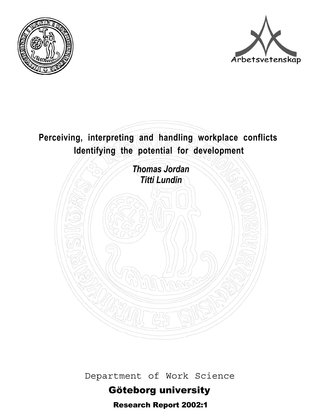



# **Perceiving, interpreting and handling workplace conflicts Identifying the potential for development**



Department of Work Science

# Göteborg university

Research Report 2002:1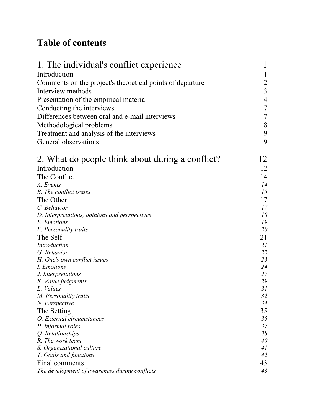## **Table of contents**

| 1. The individual's conflict experience                                     | $\mathbf 1$    |
|-----------------------------------------------------------------------------|----------------|
| Introduction                                                                |                |
| Comments on the project's theoretical points of departure                   | $\overline{2}$ |
| Interview methods                                                           | $\overline{3}$ |
| Presentation of the empirical material                                      | 4              |
|                                                                             | $\tau$         |
| Conducting the interviews<br>Differences between oral and e-mail interviews | $\overline{7}$ |
|                                                                             |                |
| Methodological problems                                                     | 8              |
| Treatment and analysis of the interviews                                    | 9              |
| General observations                                                        | 9              |
| 2. What do people think about during a conflict?                            | 12             |
| Introduction                                                                | 12             |
| The Conflict                                                                | 14             |
| A. Events                                                                   | 14             |
| <b>B.</b> The conflict issues                                               | 15             |
| The Other                                                                   | 17             |
| C. Behavior                                                                 | 17             |
| D. Interpretations, opinions and perspectives                               | 18             |
| E. Emotions                                                                 | 19             |
| F. Personality traits                                                       | 20             |
| The Self                                                                    | 21             |
| Introduction                                                                | 21             |
| G. Behavior                                                                 | 22             |
| H. One's own conflict issues                                                | 23             |
| I. Emotions                                                                 | 24             |
| J. Interpretations                                                          | 27             |
| K. Value judgments                                                          | 29             |
| L. Values                                                                   | 31             |
| M. Personality traits                                                       | 32             |
| N. Perspective                                                              | 34             |
| The Setting                                                                 | 35             |
| O. External circumstances                                                   | 35             |
| P. Informal roles                                                           | 37             |
| Q. Relationships                                                            | 38             |
| R. The work team                                                            | 40             |
| S. Organizational culture                                                   | 41             |
| T. Goals and functions                                                      | 42             |
| Final comments                                                              | 43             |
| The development of awareness during conflicts                               | 43             |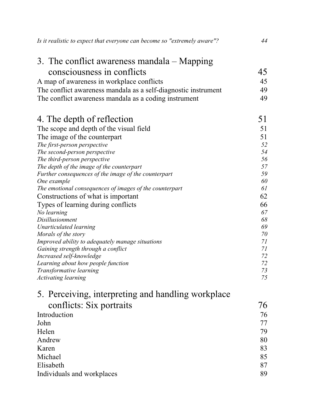| 3. The conflict awareness mandala $-$ Mapping                  |          |
|----------------------------------------------------------------|----------|
| consciousness in conflicts                                     | 45       |
| A map of awareness in workplace conflicts                      | 45       |
| The conflict awareness mandala as a self-diagnostic instrument | 49       |
| The conflict awareness mandala as a coding instrument          | 49       |
|                                                                |          |
| 4. The depth of reflection                                     | 51       |
| The scope and depth of the visual field                        | 51       |
| The image of the counterpart                                   | 51       |
| The first-person perspective                                   | 52       |
| The second-person perspective                                  | 54       |
| The third-person perspective                                   | 56       |
| The depth of the image of the counterpart                      | 57       |
| Further consequences of the image of the counterpart           | 59       |
| One example                                                    | 60       |
| The emotional consequences of images of the counterpart        | 61       |
| Constructions of what is important                             | 62       |
| Types of learning during conflicts                             | 66       |
| No learning<br>Disillusionment                                 | 67<br>68 |
| Unarticulated learning                                         | 69       |
| Morals of the story                                            | 70       |
| Improved ability to adequately manage situations               | 71       |
| Gaining strength through a conflict                            | 71       |
| Increased self-knowledge                                       | 72       |
| Learning about how people function                             | 72       |
| Transformative learning                                        | 73       |
| <b>Activating learning</b>                                     | 75       |
| 5. Perceiving, interpreting and handling workplace             |          |
| conflicts: Six portraits                                       | 76       |
| Introduction                                                   | 76       |
| John                                                           | 77       |
| Helen                                                          | 79       |
| Andrew                                                         | 80       |
| Karen                                                          | 83       |
| Michael                                                        | 85       |
| Elisabeth                                                      | 87       |
| Individuals and workplaces                                     | 89       |
|                                                                |          |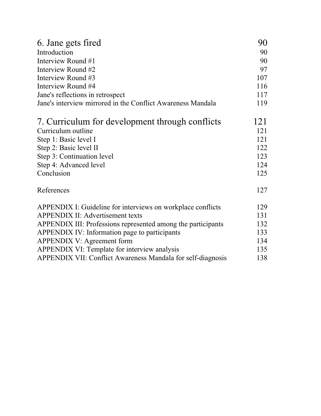| 6. Jane gets fired                                           | 90  |
|--------------------------------------------------------------|-----|
| Introduction                                                 | 90  |
| Interview Round #1                                           | 90  |
| Interview Round #2                                           | 97  |
| Interview Round #3                                           | 107 |
| Interview Round #4                                           | 116 |
| Jane's reflections in retrospect                             | 117 |
| Jane's interview mirrored in the Conflict Awareness Mandala  | 119 |
| 7. Curriculum for development through conflicts              | 121 |
| Curriculum outline                                           | 121 |
| Step 1: Basic level I                                        | 121 |
| Step 2: Basic level II                                       | 122 |
| Step 3: Continuation level                                   | 123 |
| Step 4: Advanced level                                       | 124 |
| Conclusion                                                   | 125 |
| References                                                   | 127 |
| APPENDIX I: Guideline for interviews on workplace conflicts  | 129 |
| <b>APPENDIX II: Advertisement texts</b>                      | 131 |
| APPENDIX III: Professions represented among the participants | 132 |
| APPENDIX IV: Information page to participants                | 133 |
| <b>APPENDIX V: Agreement form</b>                            | 134 |
| APPENDIX VI: Template for interview analysis                 | 135 |
| APPENDIX VII: Conflict Awareness Mandala for self-diagnosis  | 138 |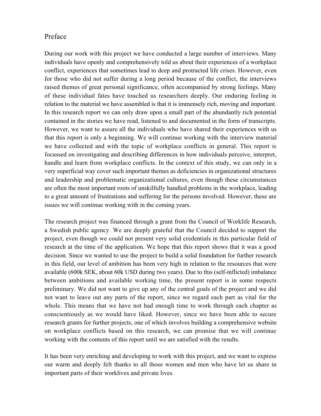## Preface

During our work with this project we have conducted a large number of interviews. Many individuals have openly and comprehensively told us about their experiences of a workplace conflict, experiences that sometimes lead to deep and protracted life crises. However, even for those who did not suffer during a long period because of the conflict, the interviews raised themes of great personal significance, often accompanied by strong feelings. Many of these individual fates have touched us researchers deeply. Our enduring feeling in relation to the material we have assembled is that it is immensely rich, moving and important. In this research report we can only draw upon a small part of the abundantly rich potential contained in the stories we have read, listened to and documented in the form of transcripts. However, we want to assure all the individuals who have shared their experiences with us that this report is only a beginning. We will continue working with the interview material we have collected and with the topic of workplace conflicts in general. This report is focussed on investigating and describing differences in how individuals perceive, interpret, handle and learn from workplace conflicts. In the context of this study, we can only in a very superficial way cover such important themes as deficiencies in organizational structures and leadership and problematic organizational cultures, even though these circumstances are often the most important roots of unskilfully handled problems in the workplace, leading to a great amount of frustrations and suffering for the persons involved. However, these are issues we will continue working with in the coming years.

The research project was financed through a grant from the Council of Worklife Research, a Swedish public agency. We are deeply grateful that the Council decided to support the project, even though we could not present very solid credentials in this particular field of research at the time of the application. We hope that this report shows that it was a good decision. Since we wanted to use the project to build a solid foundation for further research in this field, our level of ambition has been very high in relation to the resources that were available (600k SEK, about 60k USD during two years). Due to this (self-inflicted) imbalance between ambitions and available working time, the present report is in some respects preliminary. We did not want to give up any of the central goals of the project and we did not want to leave out any parts of the report, since we regard each part as vital for the whole. This means that we have not had enough time to work through each chapter as conscientiously as we would have liked. However, since we have been able to secure research grants for further projects, one of which involves building a comprehensive website on workplace conflicts based on this research, we can promise that we will continue working with the contents of this report until we are satisfied with the results.

It has been very enriching and developing to work with this project, and we want to express our warm and deeply felt thanks to all those women and men who have let us share in important parts of their worklives and private lives.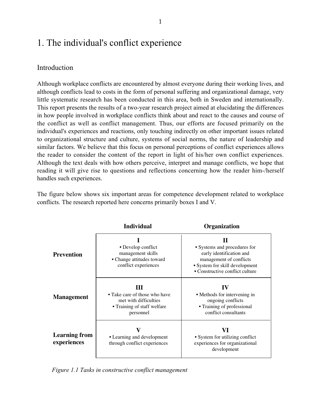## 1. The individual's conflict experience

## Introduction

Although workplace conflicts are encountered by almost everyone during their working lives, and although conflicts lead to costs in the form of personal suffering and organizational damage, very little systematic research has been conducted in this area, both in Sweden and internationally. This report presents the results of a two-year research project aimed at elucidating the differences in how people involved in workplace conflicts think about and react to the causes and course of the conflict as well as conflict management. Thus, our efforts are focused primarily on the individual's experiences and reactions, only touching indirectly on other important issues related to organizational structure and culture, systems of social norms, the nature of leadership and similar factors. We believe that this focus on personal perceptions of conflict experiences allows the reader to consider the content of the report in light of his/her own conflict experiences. Although the text deals with how others perceive, interpret and manage conflicts, we hope that reading it will give rise to questions and reflections concerning how the reader him-/herself handles such experiences.

The figure below shows six important areas for competence development related to workplace conflicts. The research reported here concerns primarily boxes I and V.

|                                     | <b>Individual</b>                                                                                       | Organization                                                                                                                                                  |
|-------------------------------------|---------------------------------------------------------------------------------------------------------|---------------------------------------------------------------------------------------------------------------------------------------------------------------|
| <b>Prevention</b>                   | • Develop conflict<br>management skills<br>• Change attitudes toward<br>conflict experiences            | Н<br>• Systems and procedures for<br>early identification and<br>management of conflicts<br>• System for skill development<br>• Constructive conflict culture |
| <b>Management</b>                   | Ш<br>• Take care of those who have<br>met with difficulties<br>• Training of staff welfare<br>personnel | $\bf{IV}$<br>• Methods for intervening in<br>ongoing conflicts<br>• Training of professional<br>conflict consultants                                          |
| <b>Learning from</b><br>experiences | • Learning and development<br>through conflict experiences                                              | VI<br>• System for utilizing conflict<br>experiences for organizational<br>development                                                                        |

*Figure 1.1 Tasks in constructive conflict management*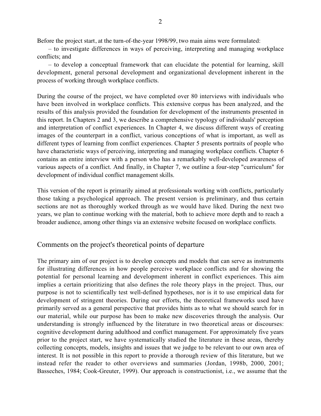Before the project start, at the turn-of-the-year 1998/99, two main aims were formulated:

– to investigate differences in ways of perceiving, interpreting and managing workplace conflicts; and

– to develop a conceptual framework that can elucidate the potential for learning, skill development, general personal development and organizational development inherent in the process of working through workplace conflicts.

During the course of the project, we have completed over 80 interviews with individuals who have been involved in workplace conflicts. This extensive corpus has been analyzed, and the results of this analysis provided the foundation for development of the instruments presented in this report. In Chapters 2 and 3, we describe a comprehensive typology of individuals' perception and interpretation of conflict experiences. In Chapter 4, we discuss different ways of creating images of the counterpart in a conflict, various conceptions of what is important, as well as different types of learning from conflict experiences. Chapter 5 presents portraits of people who have characteristic ways of perceiving, interpreting and managing workplace conflicts. Chapter 6 contains an entire interview with a person who has a remarkably well-developed awareness of various aspects of a conflict. And finally, in Chapter 7, we outline a four-step "curriculum" for development of individual conflict management skills.

This version of the report is primarily aimed at professionals working with conflicts, particularly those taking a psychological approach. The present version is preliminary, and thus certain sections are not as thoroughly worked through as we would have liked. During the next two years, we plan to continue working with the material, both to achieve more depth and to reach a broader audience, among other things via an extensive website focused on workplace conflicts.

## Comments on the project's theoretical points of departure

The primary aim of our project is to develop concepts and models that can serve as instruments for illustrating differences in how people perceive workplace conflicts and for showing the potential for personal learning and development inherent in conflict experiences. This aim implies a certain prioritizing that also defines the role theory plays in the project. Thus, our purpose is not to scientifically test well-defined hypotheses, nor is it to use empirical data for development of stringent theories. During our efforts, the theoretical frameworks used have primarily served as a general perspective that provides hints as to what we should search for in our material, while our purpose has been to make new discoveries through the analysis. Our understanding is strongly influenced by the literature in two theoretical areas or discourses: cognitive development during adulthood and conflict management. For approximately five years prior to the project start, we have systematically studied the literature in these areas, thereby collecting concepts, models, insights and issues that we judge to be relevant to our own area of interest. It is not possible in this report to provide a thorough review of this literature, but we instead refer the reader to other overviews and summaries (Jordan, 1998b, 2000, 2001; Basseches, 1984; Cook-Greuter, 1999). Our approach is constructionist, i.e., we assume that the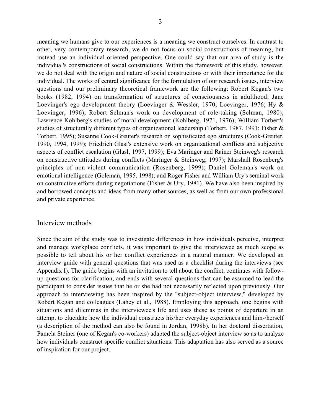meaning we humans give to our experiences is a meaning we construct ourselves. In contrast to other, very contemporary research, we do not focus on social constructions of meaning, but instead use an individual-oriented perspective. One could say that our area of study is the individual's constructions of social constructions. Within the framework of this study, however, we do not deal with the origin and nature of social constructions or with their importance for the individual. The works of central significance for the formulation of our research issues, interview questions and our preliminary theoretical framework are the following: Robert Kegan's two books (1982, 1994) on transformation of structures of consciousness in adulthood; Jane Loevinger's ego development theory (Loevinger & Wessler, 1970; Loevinger, 1976; Hy & Loevinger, 1996); Robert Selman's work on development of role-taking (Selman, 1980); Lawrence Kohlberg's studies of moral development (Kohlberg, 1971, 1976); William Torbert's studies of structurally different types of organizational leadership (Torbert, 1987, 1991; Fisher & Torbert, 1995); Susanne Cook-Greuter's research on sophisticated ego structures (Cook-Greuter, 1990, 1994, 1999); Friedrich Glasl's extensive work on organizational conflicts and subjective aspects of conflict escalation (Glasl, 1997, 1999); Eva Maringer and Rainer Steinweg's research on constructive attitudes during conflicts (Maringer & Steinweg, 1997); Marshall Rosenberg's principles of non-violent communication (Rosenberg, 1999); Daniel Goleman's work on emotional intelligence (Goleman, 1995, 1998); and Roger Fisher and William Ury's seminal work on constructive efforts during negotiations (Fisher & Ury, 1981). We have also been inspired by and borrowed concepts and ideas from many other sources, as well as from our own professional and private experience.

#### Interview methods

Since the aim of the study was to investigate differences in how individuals perceive, interpret and manage workplace conflicts, it was important to give the interviewee as much scope as possible to tell about his or her conflict experiences in a natural manner. We developed an interview guide with general questions that was used as a checklist during the interviews (see Appendix I). The guide begins with an invitation to tell about the conflict, continues with followup questions for clarification, and ends with several questions that can be assumed to lead the participant to consider issues that he or she had not necessarily reflected upon previously. Our approach to interviewing has been inspired by the "subject-object interview," developed by Robert Kegan and colleagues (Lahey et al., 1988). Employing this approach, one begins with situations and dilemmas in the interviewee's life and uses these as points of departure in an attempt to elucidate how the individual constructs his/her everyday experiences and him-/herself (a description of the method can also be found in Jordan, 1998b). In her doctoral dissertation, Pamela Steiner (one of Kegan's co-workers) adapted the subject-object interview so as to analyze how individuals construct specific conflict situations. This adaptation has also served as a source of inspiration for our project.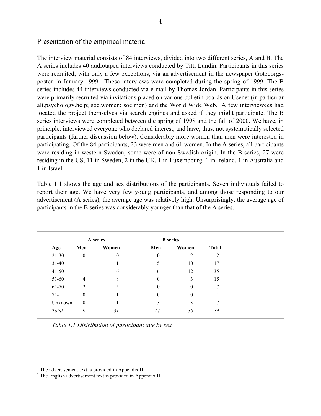## Presentation of the empirical material

The interview material consists of 84 interviews, divided into two different series, A and B. The A series includes 40 audiotaped interviews conducted by Titti Lundin. Participants in this series were recruited, with only a few exceptions, via an advertisement in the newspaper Göteborgsposten in January 1999.<sup>1</sup> These interviews were completed during the spring of 1999. The B series includes 44 interviews conducted via e-mail by Thomas Jordan. Participants in this series were primarily recruited via invitations placed on various bulletin boards on Usenet (in particular alt.psychology.help; soc.women; soc.men) and the World Wide Web.<sup>2</sup> A few interviewees had located the project themselves via search engines and asked if they might participate. The B series interviews were completed between the spring of 1998 and the fall of 2000. We have, in principle, interviewed everyone who declared interest, and have, thus, not systematically selected participants (further discussion below). Considerably more women than men were interested in participating. Of the 84 participants, 23 were men and 61 women. In the A series, all participants were residing in western Sweden; some were of non-Swedish origin. In the B series, 27 were residing in the US, 11 in Sweden, 2 in the UK, 1 in Luxembourg, 1 in Ireland, 1 in Australia and 1 in Israel.

Table 1.1 shows the age and sex distributions of the participants. Seven individuals failed to report their age. We have very few young participants, and among those responding to our advertisement (A series), the average age was relatively high. Unsurprisingly, the average age of participants in the B series was considerably younger than that of the A series.

|           |                | A series |              | <b>B</b> series |              |
|-----------|----------------|----------|--------------|-----------------|--------------|
| Age       | Men            | Women    | Men          | Women           | <b>Total</b> |
| $21 - 30$ | $\overline{0}$ | 0        | $\mathbf{0}$ | 2               | 2            |
| $31-40$   |                |          | 5            | 10              | 17           |
| $41 - 50$ |                | 16       | 6            | 12              | 35           |
| 51-60     | 4              | 8        | $\mathbf{0}$ | 3               | 15           |
| 61-70     | 2              | C        | $\theta$     | $\mathbf{0}$    | $\tau$       |
| $71 -$    | $\mathbf{0}$   |          | $\theta$     | $\theta$        |              |
| Unknown   | $\mathbf{0}$   |          | 3            | 3               | 7            |
| Total     | 9              | 31       | 14           | 30              | 84           |

*Table 1.1 Distribution of participant age by sex*

 $\frac{1}{1}$  $<sup>1</sup>$  The advertisement text is provided in Appendix II.</sup>

 $2$ <sup>2</sup> The English advertisement text is provided in Appendix II.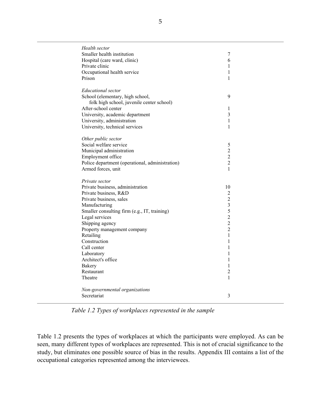| Health sector                                   |                         |
|-------------------------------------------------|-------------------------|
| Smaller health institution                      | 7                       |
| Hospital (care ward, clinic)                    | 6                       |
| Private clinic                                  | 1                       |
| Occupational health service                     | $\mathbf{1}$            |
| Prison                                          | 1                       |
|                                                 |                         |
| <b>Educational</b> sector                       |                         |
| School (elementary, high school,                | 9                       |
| folk high school, juvenile center school)       |                         |
| After-school center                             | 1                       |
| University, academic department                 | $\overline{\mathbf{3}}$ |
| University, administration                      | 1                       |
| University, technical services                  | 1                       |
|                                                 |                         |
| Other public sector                             |                         |
| Social welfare service                          | 5                       |
| Municipal administration                        | $\overline{2}$          |
| Employment office                               | $\overline{2}$          |
| Police department (operational, administration) | $\overline{c}$          |
| Armed forces, unit                              | 1                       |
| Private sector                                  |                         |
| Private business, administration                | 10                      |
| Private business, R&D                           | 2                       |
| Private business, sales                         | $\overline{2}$          |
| Manufacturing                                   | $\overline{\mathbf{3}}$ |
| Smaller consulting firm (e.g., IT, training)    | 5                       |
| Legal services                                  | $\overline{c}$          |
| Shipping agency                                 | $\overline{2}$          |
| Property management company                     | $\overline{2}$          |
| Retailing                                       | $\mathbf{1}$            |
| Construction                                    | 1                       |
| Call center                                     | 1                       |
| Laboratory                                      | 1                       |
| Architect's office                              | 1                       |
| <b>Bakery</b>                                   | 1                       |
| Restaurant                                      | $\overline{c}$          |
| Theatre                                         | 1                       |
|                                                 |                         |
| Non-governmental organizations                  |                         |
| Secretariat                                     | 3                       |
|                                                 |                         |

*Table 1.2 Types of workplaces represented in the sample*

Table 1.2 presents the types of workplaces at which the participants were employed. As can be seen, many different types of workplaces are represented. This is not of crucial significance to the study, but eliminates one possible source of bias in the results. Appendix III contains a list of the occupational categories represented among the interviewees.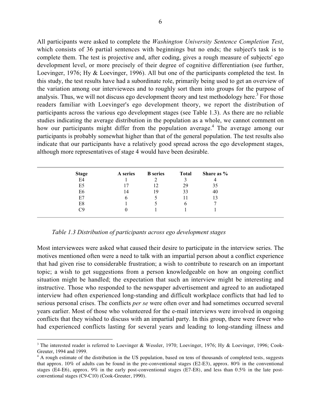All participants were asked to complete the *Washington University Sentence Completion Test*, which consists of 36 partial sentences with beginnings but no ends; the subject's task is to complete them. The test is projective and, after coding, gives a rough measure of subjects' ego development level, or more precisely of their degree of cognitive differentiation (see further, Loevinger, 1976; Hy & Loevinger, 1996). All but one of the participants completed the test. In this study, the test results have had a subordinate role, primarily being used to get an overview of the variation among our interviewees and to roughly sort them into groups for the purpose of analysis. Thus, we will not discuss ego development theory and test methodology here.<sup>3</sup> For those readers familiar with Loevinger's ego development theory, we report the distribution of participants across the various ego development stages (see Table 1.3). As there are no reliable studies indicating the average distribution in the population as a whole, we cannot comment on how our participants might differ from the population average.<sup>4</sup> The average among our participants is probably somewhat higher than that of the general population. The test results also indicate that our participants have a relatively good spread across the ego development stages, although more representatives of stage 4 would have been desirable.

| <b>Stage</b>   | A series   | <b>B</b> series | <b>Total</b> | Share as % |
|----------------|------------|-----------------|--------------|------------|
| E <sub>4</sub> |            |                 |              |            |
| E <sub>5</sub> |            |                 | 29           | 35         |
| E <sub>6</sub> | 14         | 19              | 33           | 40         |
| E7             | b          |                 |              | l3         |
| E8             |            |                 |              |            |
| Cθ             | $^{\circ}$ |                 |              |            |
|                |            |                 |              |            |

*Table 1.3 Distribution of participants across ego development stages*

Most interviewees were asked what caused their desire to participate in the interview series. The motives mentioned often were a need to talk with an impartial person about a conflict experience that had given rise to considerable frustration; a wish to contribute to research on an important topic; a wish to get suggestions from a person knowledgeable on how an ongoing conflict situation might be handled; the expectation that such an interview might be interesting and instructive. Those who responded to the newspaper advertisement and agreed to an audiotaped interview had often experienced long-standing and difficult workplace conflicts that had led to serious personal crises. The conflicts *per se* were often over and had sometimes occurred several years earlier. Most of those who volunteered for the e-mail interviews were involved in ongoing conflicts that they wished to discuss with an impartial party. In this group, there were fewer who had experienced conflicts lasting for several years and leading to long-standing illness and

 $\frac{1}{3}$ <sup>3</sup> The interested reader is referred to Loevinger & Wessler, 1970; Loevinger, 1976; Hy & Loevinger, 1996; Cook-Greuter, 1994 and 1999.

<sup>&</sup>lt;sup>4</sup> A rough estimate of the distribution in the US population, based on tens of thousands of completed tests, suggests that approx. 10% of adults can be found in the pre-conventional stages (E2-E3), approx. 80% in the conventional stages (E4-E6), approx. 9% in the early post-conventional stages (E7-E8), and less than 0.5% in the late postconventional stages (C9-C10) (Cook-Greuter, 1990).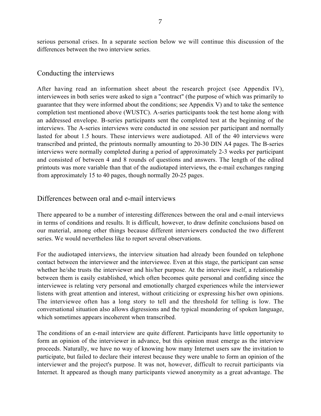serious personal crises. In a separate section below we will continue this discussion of the differences between the two interview series.

## Conducting the interviews

After having read an information sheet about the research project (see Appendix IV), interviewees in both series were asked to sign a "contract" (the purpose of which was primarily to guarantee that they were informed about the conditions; see Appendix V) and to take the sentence completion test mentioned above (WUSTC). A-series participants took the test home along with an addressed envelope. B-series participants sent the completed test at the beginning of the interviews. The A-series interviews were conducted in one session per participant and normally lasted for about 1.5 hours. These interviews were audiotaped. All of the 40 interviews were transcribed and printed, the printouts normally amounting to 20-30 DIN A4 pages. The B-series interviews were normally completed during a period of approximately 2-3 weeks per participant and consisted of between 4 and 8 rounds of questions and answers. The length of the edited printouts was more variable than that of the audiotaped interviews, the e-mail exchanges ranging from approximately 15 to 40 pages, though normally 20-25 pages.

## Differences between oral and e-mail interviews

There appeared to be a number of interesting differences between the oral and e-mail interviews in terms of conditions and results. It is difficult, however, to draw definite conclusions based on our material, among other things because different interviewers conducted the two different series. We would nevertheless like to report several observations.

For the audiotaped interviews, the interview situation had already been founded on telephone contact between the interviewer and the interviewee. Even at this stage, the participant can sense whether he/she trusts the interviewer and his/her purpose. At the interview itself, a relationship between them is easily established, which often becomes quite personal and confiding since the interviewee is relating very personal and emotionally charged experiences while the interviewer listens with great attention and interest, without criticizing or expressing his/her own opinions. The interviewee often has a long story to tell and the threshold for telling is low. The conversational situation also allows digressions and the typical meandering of spoken language, which sometimes appears incoherent when transcribed.

The conditions of an e-mail interview are quite different. Participants have little opportunity to form an opinion of the interviewer in advance, but this opinion must emerge as the interview proceeds. Naturally, we have no way of knowing how many Internet users saw the invitation to participate, but failed to declare their interest because they were unable to form an opinion of the interviewer and the project's purpose. It was not, however, difficult to recruit participants via Internet. It appeared as though many participants viewed anonymity as a great advantage. The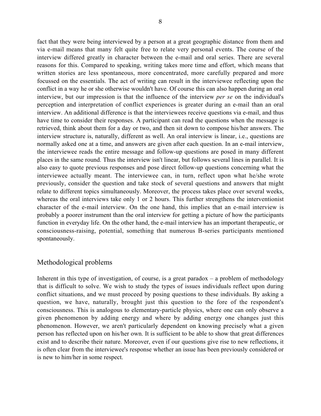fact that they were being interviewed by a person at a great geographic distance from them and via e-mail means that many felt quite free to relate very personal events. The course of the interview differed greatly in character between the e-mail and oral series. There are several reasons for this. Compared to speaking, writing takes more time and effort, which means that written stories are less spontaneous, more concentrated, more carefully prepared and more focussed on the essentials. The act of writing can result in the interviewee reflecting upon the conflict in a way he or she otherwise wouldn't have. Of course this can also happen during an oral interview, but our impression is that the influence of the interview *per se* on the individual's perception and interpretation of conflict experiences is greater during an e-mail than an oral interview. An additional difference is that the interviewees receive questions via e-mail, and thus have time to consider their responses. A participant can read the questions when the message is retrieved, think about them for a day or two, and then sit down to compose his/her answers. The interview structure is, naturally, different as well. An oral interview is linear, i.e., questions are normally asked one at a time, and answers are given after each question. In an e-mail interview, the interviewee reads the entire message and follow-up questions are posed in many different places in the same round. Thus the interview isn't linear, but follows several lines in parallel. It is also easy to quote previous responses and pose direct follow-up questions concerning what the interviewee actually meant. The interviewee can, in turn, reflect upon what he/she wrote previously, consider the question and take stock of several questions and answers that might relate to different topics simultaneously. Moreover, the process takes place over several weeks, whereas the oral interviews take only 1 or 2 hours. This further strengthens the interventionist character of the e-mail interview. On the one hand, this implies that an e-mail interview is probably a poorer instrument than the oral interview for getting a picture of how the participants function in everyday life. On the other hand, the e-mail interview has an important therapeutic, or consciousness-raising, potential, something that numerous B-series participants mentioned spontaneously.

## Methodological problems

Inherent in this type of investigation, of course, is a great paradox  $-$  a problem of methodology that is difficult to solve. We wish to study the types of issues individuals reflect upon during conflict situations, and we must proceed by posing questions to these individuals. By asking a question, we have, naturally, brought just this question to the fore of the respondent's consciousness. This is analogous to elementary-particle physics, where one can only observe a given phenomenon by adding energy and where by adding energy one changes just this phenomenon. However, we aren't particularly dependent on knowing precisely what a given person has reflected upon on his/her own. It is sufficient to be able to show that great differences exist and to describe their nature. Moreover, even if our questions give rise to new reflections, it is often clear from the interviewee's response whether an issue has been previously considered or is new to him/her in some respect.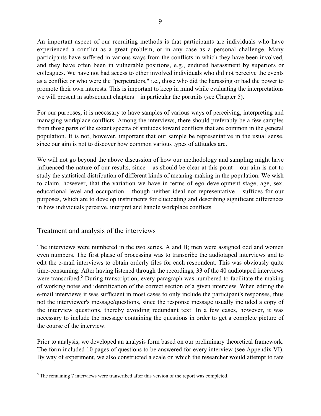An important aspect of our recruiting methods is that participants are individuals who have experienced a conflict as a great problem, or in any case as a personal challenge. Many participants have suffered in various ways from the conflicts in which they have been involved, and they have often been in vulnerable positions, e.g., endured harassment by superiors or colleagues. We have not had access to other involved individuals who did not perceive the events as a conflict or who were the "perpetrators," i.e., those who did the harassing or had the power to promote their own interests. This is important to keep in mind while evaluating the interpretations we will present in subsequent chapters – in particular the portraits (see Chapter 5).

For our purposes, it is necessary to have samples of various ways of perceiving, interpreting and managing workplace conflicts. Among the interviews, there should preferably be a few samples from those parts of the extant spectra of attitudes toward conflicts that are common in the general population. It is not, however, important that our sample be representative in the usual sense, since our aim is not to discover how common various types of attitudes are.

We will not go beyond the above discussion of how our methodology and sampling might have influenced the nature of our results, since – as should be clear at this point – our aim is not to study the statistical distribution of different kinds of meaning-making in the population. We wish to claim, however, that the variation we have in terms of ego development stage, age, sex, educational level and occupation – though neither ideal nor representative – suffices for our purposes, which are to develop instruments for elucidating and describing significant differences in how individuals perceive, interpret and handle workplace conflicts.

## Treatment and analysis of the interviews

The interviews were numbered in the two series, A and B; men were assigned odd and women even numbers. The first phase of processing was to transcribe the audiotaped interviews and to edit the e-mail interviews to obtain orderly files for each respondent. This was obviously quite time-consuming. After having listened through the recordings, 33 of the 40 audiotaped interviews were transcribed.<sup>5</sup> During transcription, every paragraph was numbered to facilitate the making of working notes and identification of the correct section of a given interview. When editing the e-mail interviews it was sufficient in most cases to only include the participant's responses, thus not the interviewer's message/questions, since the response message usually included a copy of the interview questions, thereby avoiding redundant text. In a few cases, however, it was necessary to include the message containing the questions in order to get a complete picture of the course of the interview.

Prior to analysis, we developed an analysis form based on our preliminary theoretical framework. The form included 10 pages of questions to be answered for every interview (see Appendix VI). By way of experiment, we also constructed a scale on which the researcher would attempt to rate

 <sup>5</sup>  $5$  The remaining 7 interviews were transcribed after this version of the report was completed.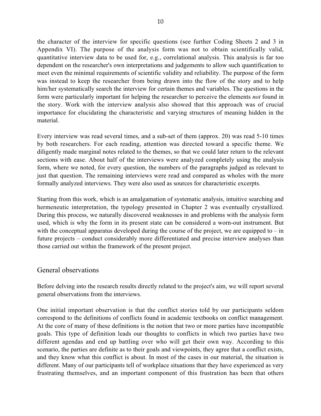the character of the interview for specific questions (see further Coding Sheets 2 and 3 in Appendix VI). The purpose of the analysis form was not to obtain scientifically valid, quantitative interview data to be used for, e.g., correlational analysis. This analysis is far too dependent on the researcher's own interpretations and judgements to allow such quantification to meet even the minimal requirements of scientific validity and reliability. The purpose of the form was instead to keep the researcher from being drawn into the flow of the story and to help him/her systematically search the interview for certain themes and variables. The questions in the form were particularly important for helping the researcher to perceive the elements *not* found in the story. Work with the interview analysis also showed that this approach was of crucial importance for elucidating the characteristic and varying structures of meaning hidden in the material.

Every interview was read several times, and a sub-set of them (approx. 20) was read 5-10 times by both researchers. For each reading, attention was directed toward a specific theme. We diligently made marginal notes related to the themes, so that we could later return to the relevant sections with ease. About half of the interviews were analyzed completely using the analysis form, where we noted, for every question, the numbers of the paragraphs judged as relevant to just that question. The remaining interviews were read and compared as wholes with the more formally analyzed interviews. They were also used as sources for characteristic excerpts.

Starting from this work, which is an amalgamation of systematic analysis, intuitive searching and hermeneutic interpretation, the typology presented in Chapter 2 was eventually crystallized. During this process, we naturally discovered weaknesses in and problems with the analysis form used, which is why the form in its present state can be considered a worn-out instrument. But with the conceptual apparatus developed during the course of the project, we are equipped to – in future projects – conduct considerably more differentiated and precise interview analyses than those carried out within the framework of the present project.

## General observations

Before delving into the research results directly related to the project's aim, we will report several general observations from the interviews.

One initial important observation is that the conflict stories told by our participants seldom correspond to the definitions of conflicts found in academic textbooks on conflict management. At the core of many of these definitions is the notion that two or more parties have incompatible goals. This type of definition leads our thoughts to conflicts in which two parties have two different agendas and end up battling over who will get their own way. According to this scenario, the parties are definite as to their goals and viewpoints, they agree that a conflict exists, and they know what this conflict is about. In most of the cases in our material, the situation is different. Many of our participants tell of workplace situations that they have experienced as very frustrating themselves, and an important component of this frustration has been that others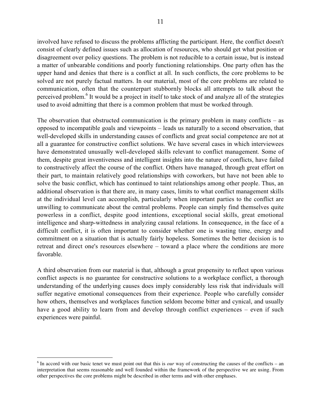involved have refused to discuss the problems afflicting the participant. Here, the conflict doesn't consist of clearly defined issues such as allocation of resources, who should get what position or disagreement over policy questions. The problem is not reducible to a certain issue, but is instead a matter of unbearable conditions and poorly functioning relationships. One party often has the upper hand and denies that there is a conflict at all. In such conflicts, the core problems to be solved are not purely factual matters. In our material, most of the core problems are related to communication, often that the counterpart stubbornly blocks all attempts to talk about the perceived problem.<sup>6</sup> It would be a project in itself to take stock of and analyze all of the strategies used to avoid admitting that there is a common problem that must be worked through.

The observation that obstructed communication is the primary problem in many conflicts – as opposed to incompatible goals and viewpoints – leads us naturally to a second observation, that well-developed skills in understanding causes of conflicts and great social competence are not at all a guarantee for constructive conflict solutions. We have several cases in which interviewees have demonstrated unusually well-developed skills relevant to conflict management. Some of them, despite great inventiveness and intelligent insights into the nature of conflicts, have failed to constructively affect the course of the conflict. Others have managed, through great effort on their part, to maintain relatively good relationships with coworkers, but have not been able to solve the basic conflict, which has continued to taint relationships among other people. Thus, an additional observation is that there are, in many cases, limits to what conflict management skills at the individual level can accomplish, particularly when important parties to the conflict are unwilling to communicate about the central problems. People can simply find themselves quite powerless in a conflict, despite good intentions, exceptional social skills, great emotional intelligence and sharp-wittedness in analyzing causal relations. In consequence, in the face of a difficult conflict, it is often important to consider whether one is wasting time, energy and commitment on a situation that is actually fairly hopeless. Sometimes the better decision is to retreat and direct one's resources elsewhere – toward a place where the conditions are more favorable.

A third observation from our material is that, although a great propensity to reflect upon various conflict aspects is no guarantee for constructive solutions to a workplace conflict, a thorough understanding of the underlying causes does imply considerably less risk that individuals will suffer negative emotional consequences from their experience. People who carefully consider how others, themselves and workplaces function seldom become bitter and cynical, and usually have a good ability to learn from and develop through conflict experiences – even if such experiences were painful.

 $\frac{1}{6}$  $\delta$  In accord with our basic tenet we must point out that this is *our* way of constructing the causes of the conflicts – an interpretation that seems reasonable and well founded within the framework of the perspective we are using. From other perspectives the core problems might be described in other terms and with other emphases.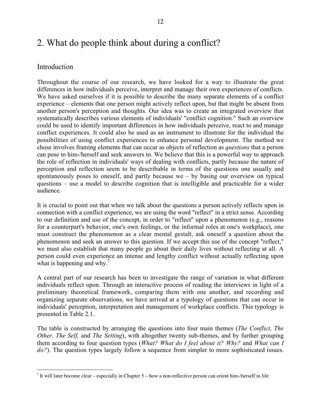## 2. What do people think about during a conflict?

### Introduction

Throughout the course of our research, we have looked for a way to illustrate the great differences in how individuals perceive, interpret and manage their own experiences of conflicts. We have asked ourselves if it is possible to describe the many separate elements of a conflict experience – elements that one person might actively reflect upon, but that might be absent from another person's perception and thoughts. Our idea was to create an integrated overview that systematically describes various elements of individuals' "conflict cognition." Such an overview could be used to identify important differences in how individuals perceive, react to and manage conflict experiences. It could also be used as an instrument to illustrate for the individual the possibilities of using conflict experiences to enhance personal development. The method we chose involves framing elements that can occur as objects of reflection as *questions* that a person can pose to him-/herself and seek answers to. We believe that this is a powerful way to approach the role of reflection in individuals' ways of dealing with conflicts, partly because the nature of perception and reflection seem to be describable in terms of the questions one usually and spontaneously poses to oneself, and partly because  $we - by$  basing our overview on typical questions – use a model to describe cognition that is intelligible and practicable for a wider audience.

It is crucial to point out that when we talk about the questions a person actively reflects upon in connection with a conflict experience, we are using the word "reflect" in a strict sense. According to our definition and use of the concept, in order to "reflect" upon a phenomenon (e.g., reasons for a counterpart's behavior, one's own feelings, or the informal roles at one's workplace), one must construct the phenomenon as a clear mental gestalt, ask oneself a question about the phenomenon and seek an answer to this question. If we accept this use of the concept "reflect," we must also establish that many people go about their daily lives without reflecting at all. A person could even experience an intense and lengthy conflict without actually reflecting upon what is happening and why.<sup>7</sup>

A central part of our research has been to investigate the range of variation in what different individuals reflect upon. Through an interactive process of reading the interviews in light of a preliminary theoretical framework, comparing them with one another, and recording and organizing separate observations, we have arrived at a typology of questions that can occur in individuals' perception, interpretation and management of workplace conflicts. This typology is presented in Table 2.1.

The table is constructed by arranging the questions into four main themes (*The Conflict, The Other, The Self,* and *The Setting*), with altogether twenty sub-themes, and by further grouping them according to four question types (*What? What do I feel about it? Why?* and *What can I do?*). The question types largely follow a sequence from simpler to more sophisticated issues.

<sup>-&</sup>lt;br>7 It will later become clear – especially in Chapter  $5$  – how a non-reflective person can orient him-/herself in life.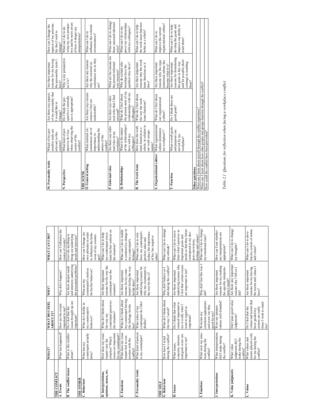|                               | WHAT?                                                                         | <b>WHAT DO I FEEL</b><br>ABOUT IT?                                                                    | WHY?                                                                                                | WHAT CAN I DO?                                                                                                                                                                |
|-------------------------------|-------------------------------------------------------------------------------|-------------------------------------------------------------------------------------------------------|-----------------------------------------------------------------------------------------------------|-------------------------------------------------------------------------------------------------------------------------------------------------------------------------------|
| THE CONFLICT                  |                                                                               |                                                                                                       |                                                                                                     |                                                                                                                                                                               |
| A. Events                     | What has happened?                                                            | How are the events<br>important to me?                                                                | Why did it happen?                                                                                  | How can I influence the<br>course of events?                                                                                                                                  |
| <b>B.</b> The conflict issues | What is the conflict<br>about?                                                | issues brought up are<br>Do I feel that the<br>important?                                             | the presented problems?<br>and interests underlying<br>Are there deeper needs                       | bring out underlying<br>Can I do anything to<br>needs and interests?                                                                                                          |
| THE OTHER                     |                                                                               |                                                                                                       |                                                                                                     |                                                                                                                                                                               |
| C. Behaviour                  | counterpart actually<br>What has my<br>done?                                  | What do I dislike in<br>my counterpart's<br>behavior?                                                 | counterpart's motives<br>for his/her behavior?<br>What are my                                       | How can I change my<br>own attitudes in order<br>to influence the beha-<br>viour of my counter-<br>part?                                                                      |
| D. Interpretations,           | How does my coun-                                                             | What do I think about                                                                                 | Are there important                                                                                 | What can I do to help                                                                                                                                                         |
| opinions, issues, etc.        | issues are important<br>situation? Which<br>terpart view the                  | counterpart perceives<br>the situation?<br>the way my                                                 | reasons for the way the<br>counterpart sees the<br>situation?                                       | luate his/her outlook on<br>my counterpart reeva-<br>the situation?                                                                                                           |
| E. Emotions                   | What does my coun-<br>for my counterpart?                                     | What do I think about                                                                                 | Are there important                                                                                 | What can I do to enable                                                                                                                                                       |
|                               | terpart feel in con-<br>nection with the<br>conflict?                         | my counterpart having<br>the feelings he/she<br>has?                                                  | terpart feeling the way<br>reasons for my coun-<br>he/she does?                                     | a constructive change in<br>my counterpart's<br>feelings?                                                                                                                     |
| F. Personality traits         | What kind of person                                                           | What sides of my                                                                                      | Are there important                                                                                 | What can I do to rein-                                                                                                                                                        |
|                               | is my counterpart?                                                            | counterpart do I like/<br>dislike?                                                                    | why my counterpart is<br>underlying reasons for<br>the way he/she is?                               | force my counterpart's<br>reduce the importance<br>of his/her negative<br>positive sides and<br>sides?                                                                        |
| THE SELF                      |                                                                               |                                                                                                       |                                                                                                     |                                                                                                                                                                               |
| G. Behaviour                  | during the conflict?<br>How have I acted                                      | What do I think about<br>the way I acted?                                                             | did during the conflict?<br>Why did I behave as I                                                   | What can I do to change<br>my attitude?                                                                                                                                       |
| H. Issues                     | and goals were/are<br>concerns, interests<br>important to me?<br>What issues, | seemed important to<br>Do I think that what<br>me is really what I<br>want to regard as<br>important? | underlying reasons why<br>I feel that certain issues<br>are important to me?<br>Are there important | needs so that they better<br>luate what I perceive as<br>What can I do to reeva-<br>correspond to my dee-<br>feelings and values?<br>important goals and<br>pest convictions, |
| I. Emotions                   | What were my emo-<br>tions during the<br>conflict?                            | emotions appropriate<br>and were/ are they<br>good for me?<br>Were/are my                             | Why did I feel the way I<br>did?                                                                    | What can I do to change<br>my emotional state?                                                                                                                                |
| J. Interpretations            | What interpretations<br>did I make during<br>the conflict?                    | tations well-founded?<br>Were my interpre-                                                            | reasons for my making<br>the specific interpreta-<br>Are there important<br>tions I made?           | How can I test whether<br>my interpretations are<br>appropriate?                                                                                                              |
| K. Value judgments            | make during the<br>judgments did I<br>What value<br>conflict?                 | Did I pass good value<br>judgments?                                                                   | Are there any important<br>reasons why I felt as I<br>did?                                          | What can I do to change<br>my thoughts?                                                                                                                                       |
| L. Values                     | norms played a role<br>for me during the<br>What values and<br>conflict?      | values and norms that<br>Do I feel that the<br>actions are really<br>have guided my                   | reasons for my having<br>the norms and values I<br>Are there important<br>have?                     | lop my system of norms<br>and values?<br>What can I do to deve-                                                                                                               |
|                               |                                                                               | those I wish to stand<br>for?                                                                         |                                                                                                     |                                                                                                                                                                               |

| M. Personality traits                                                             | Which of my per-<br>sonality traits are | of my personality that<br>Are there any aspects | reasons for my having<br>Are there important | aspects of my persona-<br>How can I change the |
|-----------------------------------------------------------------------------------|-----------------------------------------|-------------------------------------------------|----------------------------------------------|------------------------------------------------|
|                                                                                   | relevant in this                        | I would like to                                 | the personality traits I                     | ity that I wish to                             |
|                                                                                   | context?                                | change?                                         | have?                                        | change?                                        |
| N. Perspective                                                                    | What kind of per-                       | Do I think the per-                             | Why is my perspective                        | What can I do to de-                           |
|                                                                                   | spective do I use                       | spective I normally                             | as it is?                                    | velop my own perspec-                          |
|                                                                                   | when observing the                      | use is appropriate?                             |                                              | tive and be more aware                         |
|                                                                                   | course of the                           |                                                 |                                              | of how it shapes my                            |
|                                                                                   | $\mbox{conflict?}$                      |                                                 |                                              | interpretations?                               |
| THE SCENE                                                                         |                                         |                                                 |                                              |                                                |
| O. General setting                                                                | What external cir-                      | Are there any circum-                           | Are there any reasons                        | What can I do to                               |
|                                                                                   | cumstances are of                       | stances I feel are                              | why the external cir-                        | influence the external                         |
|                                                                                   | importance in                           | undesirable?                                    | cumstances are as they                       | circumstances?                                 |
|                                                                                   | understanding the                       |                                                 | are?                                         |                                                |
|                                                                                   | nature of the                           |                                                 |                                              |                                                |
|                                                                                   | conflict?                               |                                                 |                                              |                                                |
| P. Informal roles                                                                 | Are there any infor-                    | Are there any infor-                            | What are the reasons for                     | What can I do to change                        |
|                                                                                   | mal roles at my                         | mal roles that I find                           | the present informal                         | these unsound informal                         |
|                                                                                   | workplace?                              | unsound?                                        | role structure?                              | roles?                                         |
| Q. Relationships                                                                  | What is the nature                      | What do I feel about                            | Why do certain rela-                         | What can I do to im-                           |
|                                                                                   | of the relationships I                  | the present state of my                         | tionships have the                           | prove my relationships                         |
|                                                                                   | have with my                            | relationships with my                           | qualities they have?                         | with my colleagues?                            |
|                                                                                   | colleagues?                             | colleagues?                                     |                                              |                                                |
| R. The work team                                                                  | How does the work                       | What do I feel about                            | Are there important                          | What can I do to help                          |
|                                                                                   | team function as a                      | the way the work                                | reasons why the work                         | the work team function                         |
|                                                                                   | whole, in relation to                   | team functions?                                 | team functions as it                         | better as a whole?                             |
|                                                                                   | our work assign-                        |                                                 | does?                                        |                                                |
|                                                                                   | menis?                                  |                                                 |                                              |                                                |
| S. Organizational culture                                                         | What organizational                     | What do I feel about                            | Are there important                          | What can I do to                               |
|                                                                                   | culture dominates                       | our organizational                              | reasons why the orga-                        | improve the current                            |
|                                                                                   | my workplace??                          | culture?                                        | nizational culture has                       | organizational culture?                        |
|                                                                                   |                                         |                                                 | become what it is?                           |                                                |
| T. Function                                                                       | What overall goals                      | Do I think these are                            | Are there important                          | What can I do to help                          |
|                                                                                   | and purposes are                        | good goals?                                     | reasons for formulating                      | develop the goals and                          |
|                                                                                   | served by my                            |                                                 | the goals in this way                        | improve our ability to                         |
|                                                                                   | workplace?                              |                                                 | and for possible short-                      | reach them?                                    |
|                                                                                   |                                         |                                                 | comings in reaching                          |                                                |
|                                                                                   |                                         |                                                 | them?                                        |                                                |
| Other questions                                                                   |                                         |                                                 |                                              |                                                |
| What can I learn about myself through the conflict experience?                    |                                         |                                                 |                                              |                                                |
| What can I learn about how other people and groups function through the conflict? |                                         |                                                 |                                              |                                                |
| How could the conflict have been prevented?                                       |                                         |                                                 |                                              |                                                |

Table 2.1 Questions for reflection when facing a workplace conflict *Table 2.1 Questions for reflection when facing a workplace conflict*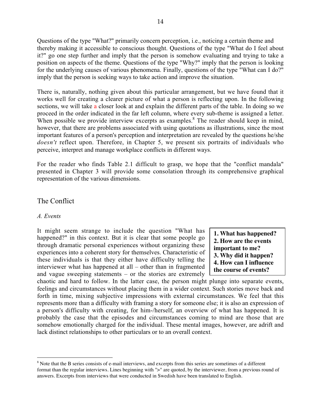Questions of the type "What?" primarily concern perception, i.e., noticing a certain theme and thereby making it accessible to conscious thought. Questions of the type "What do I feel about it?" go one step further and imply that the person is somehow evaluating and trying to take a position on aspects of the theme. Questions of the type "Why?" imply that the person is looking for the underlying causes of various phenomena. Finally, questions of the type "What can I do?" imply that the person is seeking ways to take action and improve the situation.

There is, naturally, nothing given about this particular arrangement, but we have found that it works well for creating a clearer picture of what a person is reflecting upon. In the following sections, we will take a closer look at and explain the different parts of the table. In doing so we proceed in the order indicated in the far left column, where every sub-theme is assigned a letter. When possible we provide interview excerpts as examples.<sup>8</sup> The reader should keep in mind, however, that there are problems associated with using quotations as illustrations, since the most important features of a person's perception and interpretation are revealed by the questions he/she *doesn't* reflect upon. Therefore, in Chapter 5, we present six portraits of individuals who perceive, interpret and manage workplace conflicts in different ways.

For the reader who finds Table 2.1 difficult to grasp, we hope that the "conflict mandala" presented in Chapter 3 will provide some consolation through its comprehensive graphical representation of the various dimensions.

## The Conflict

#### *A. Events*

It might seem strange to include the question "What has happened?" in this context. But it is clear that some people go through dramatic personal experiences without organizing these experiences into a coherent story for themselves. Characteristic of these individuals is that they either have difficulty telling the interviewer what has happened at all – other than in fragmented and vague sweeping statements – or the stories are extremely

**1. What has happened? 2. How are the events important to me? 3. Why did it happen? 4. How can I influence the course of events?**

chaotic and hard to follow. In the latter case, the person might plunge into separate events, feelings and circumstances without placing them in a wider context. Such stories move back and forth in time, mixing subjective impressions with external circumstances. We feel that this represents more than a difficulty with framing a story for someone else; it is also an expression of a person's difficulty with creating, for him-/herself, an overview of what has happened. It is probably the case that the episodes and circumstances coming to mind are those that are somehow emotionally charged for the individual. These mental images, however, are adrift and lack distinct relationships to other particulars or to an overall context.

 $\frac{1}{8}$ <sup>8</sup> Note that the B series consists of e-mail interviews, and excerpts from this series are sometimes of a different format than the regular interviews. Lines beginning with ">" are quoted, by the interviewer, from a previous round of answers. Excerpts from interviews that were conducted in Swedish have been translated to English.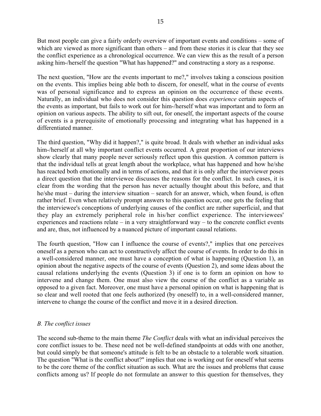But most people can give a fairly orderly overview of important events and conditions – some of which are viewed as more significant than others – and from these stories it is clear that they see the conflict experience as a chronological occurrence. We can view this as the result of a person asking him-/herself the question "What has happened?" and constructing a story as a response.

The next question, "How are the events important to me?," involves taking a conscious position on the events. This implies being able both to discern, for oneself, what in the course of events was of personal significance and to express an opinion on the occurrence of these events. Naturally, an individual who does not consider this question does *experience* certain aspects of the events as important, but fails to work out for him-/herself what was important and to form an opinion on various aspects. The ability to sift out, for oneself, the important aspects of the course of events is a prerequisite of emotionally processing and integrating what has happened in a differentiated manner.

The third question, "Why did it happen?," is quite broad. It deals with whether an individual asks him-/herself at all why important conflict events occurred. A great proportion of our interviews show clearly that many people never seriously reflect upon this question. A common pattern is that the individual tells at great length about the workplace, what has happened and how he/she has reacted both emotionally and in terms of actions, and that it is only after the interviewer poses a direct question that the interviewee discusses the reasons for the conflict. In such cases, it is clear from the wording that the person has never actually thought about this before, and that he/she must – during the interview situation – search for an answer, which, when found, is often rather brief. Even when relatively prompt answers to this question occur, one gets the feeling that the interviewee's conceptions of underlying causes of the conflict are rather superficial, and that they play an extremely peripheral role in his/her conflict experience. The interviewees' experiences and reactions relate – in a very straightforward way – to the concrete conflict events and are, thus, not influenced by a nuanced picture of important causal relations.

The fourth question, "How can I influence the course of events?," implies that one perceives oneself as a person who can act to constructively affect the course of events. In order to do this in a well-considered manner, one must have a conception of what is happening (Question 1), an opinion about the negative aspects of the course of events (Question 2), and some ideas about the causal relations underlying the events (Question 3) if one is to form an opinion on how to intervene and change them. One must also view the course of the conflict as a variable as opposed to a given fact. Moreover, one must have a personal opinion on what is happening that is so clear and well rooted that one feels authorized (by oneself) to, in a well-considered manner, intervene to change the course of the conflict and move it in a desired direction.

## *B. The conflict issues*

The second sub-theme to the main theme *The Conflict* deals with what an individual perceives the core conflict issues to be. These need not be well-defined standpoints at odds with one another, but could simply be that someone's attitude is felt to be an obstacle to a tolerable work situation. The question "What is the conflict about?" implies that one is working out for oneself what seems to be the core theme of the conflict situation as such. What are the issues and problems that cause conflicts among us? If people do not formulate an answer to this question for themselves, they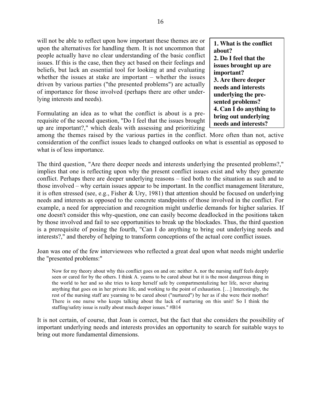will not be able to reflect upon how important these themes are or upon the alternatives for handling them. It is not uncommon that people actually have no clear understanding of the basic conflict issues. If this is the case, then they act based on their feelings and beliefs, but lack an essential tool for looking at and evaluating whether the issues at stake are important – whether the issues driven by various parties ("the presented problems") are actually of importance for those involved (perhaps there are other underlying interests and needs).

Formulating an idea as to what the conflict is about is a prerequisite of the second question, "Do I feel that the issues brought up are important?," which deals with assessing and prioritizing

**1. What is the conflict about? 2. Do I feel that the issues brought up are important? 3. Are there deeper needs and interests underlying the presented problems? 4. Can I do anything to bring out underlying needs and interests?**

among the themes raised by the various parties in the conflict. More often than not, active consideration of the conflict issues leads to changed outlooks on what is essential as opposed to what is of less importance.

The third question, "Are there deeper needs and interests underlying the presented problems?," implies that one is reflecting upon why the present conflict issues exist and why they generate conflict. Perhaps there are deeper underlying reasons – tied both to the situation as such and to those involved – why certain issues appear to be important. In the conflict management literature, it is often stressed (see, e.g., Fisher & Ury, 1981) that attention should be focused on underlying needs and interests as opposed to the concrete standpoints of those involved in the conflict. For example, a need for appreciation and recognition might underlie demands for higher salaries. If one doesn't consider this why-question, one can easily become deadlocked in the positions taken by those involved and fail to see opportunities to break up the blockades. Thus, the third question is a prerequisite of posing the fourth, "Can I do anything to bring out underlying needs and interests?," and thereby of helping to transform conceptions of the actual core conflict issues.

Joan was one of the few interviewees who reflected a great deal upon what needs might underlie the "presented problems:"

Now for my theory about why this conflict goes on and on: neither A. nor the nursing staff feels deeply seen or cared for by the others. I think A. yearns to be cared about but it is the most dangerous thing in the world to her and so she tries to keep herself safe by compartmentalizing her life, never sharing anything that goes on in her private life, and working to the point of exhaustion. […] Interestingly, the rest of the nursing staff are yearning to be cared about ("nurtured") by her as if she were their mother! There is one nurse who keeps talking about the lack of nurturing on this unit! So I think the staffing/safety issue is really about much deeper issues." #B14

It is not certain, of course, that Joan is correct, but the fact that she considers the possibility of important underlying needs and interests provides an opportunity to search for suitable ways to bring out more fundamental dimensions.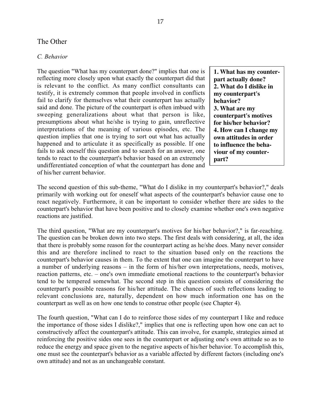## The Other

#### *C. Behavior*

The question "What has my counterpart done?" implies that one is reflecting more closely upon what exactly the counterpart did that is relevant to the conflict. As many conflict consultants can testify, it is extremely common that people involved in conflicts fail to clarify for themselves what their counterpart has actually said and done. The picture of the counterpart is often imbued with sweeping generalizations about what that person is like, presumptions about what he/she is trying to gain, unreflective interpretations of the meaning of various episodes, etc. The question implies that one is trying to sort out what has actually happened and to articulate it as specifically as possible. If one fails to ask oneself this question and to search for an answer, one tends to react to the counterpart's behavior based on an extremely undifferentiated conception of what the counterpart has done and of his/her current behavior.

**1. What has my counterpart actually done? 2. What do I dislike in my counterpart's behavior? 3. What are my counterpart's motives for his/her behavior? 4. How can I change my own attitudes in order to influence the behaviour of my counterpart?**

The second question of this sub-theme, "What do I dislike in my counterpart's behavior?," deals primarily with working out for oneself what aspects of the counterpart's behavior cause one to react negatively. Furthermore, it can be important to consider whether there are sides to the counterpart's behavior that have been positive and to closely examine whether one's own negative reactions are justified.

The third question, "What are my counterpart's motives for his/her behavior?," is far-reaching. The question can be broken down into two steps. The first deals with considering, at all, the idea that there is probably some reason for the counterpart acting as he/she does. Many never consider this and are therefore inclined to react to the situation based only on the reactions the counterpart's behavior causes in them. To the extent that one can imagine the counterpart to have a number of underlying reasons – in the form of his/her own interpretations, needs, motives, reaction patterns, etc. – one's own immediate emotional reactions to the counterpart's behavior tend to be tempered somewhat. The second step in this question consists of considering the counterpart's possible reasons for his/her attitude. The chances of such reflections leading to relevant conclusions are, naturally, dependent on how much information one has on the counterpart as well as on how one tends to construe other people (see Chapter 4).

The fourth question, "What can I do to reinforce those sides of my counterpart I like and reduce the importance of those sides I dislike?," implies that one is reflecting upon how one can act to constructively affect the counterpart's attitude. This can involve, for example, strategies aimed at reinforcing the positive sides one sees in the counterpart or adjusting one's own attitude so as to reduce the energy and space given to the negative aspects of his/her behavior. To accomplish this, one must see the counterpart's behavior as a variable affected by different factors (including one's own attitude) and not as an unchangeable constant.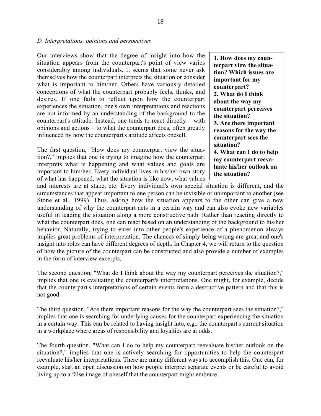#### *D. Interpretations, opinions and perspectives*

Our interviews show that the degree of insight into how the situation appears from the counterpart's point of view varies considerably among individuals. It seems that some never ask themselves how the counterpart interprets the situation or consider what is important to him/her. Others have variously detailed conceptions of what the counterpart probably feels, thinks, and desires. If one fails to reflect upon how the counterpart experiences the situation, one's own interpretations and reactions are not informed by an understanding of the background to the counterpart's attitude. Instead, one tends to react directly – with opinions and actions – to what the counterpart does, often greatly influenced by how the counterpart's attitude affects oneself.

The first question, "How does my counterpart view the situation?," implies that one is trying to imagine how the counterpart interprets what is happening and what values and goals are important to him/her. Every individual lives in his/her own story of what has happened, what the situation is like now, what values

**1. How does my counterpart view the situation? Which issues are important for my counterpart? 2. What do I think about the way my counterpart perceives the situation? 3. Are there important reasons for the way the counterpart sees the situation? 4. What can I do to help my counterpart reevaluate his/her outlook on the situation?**

and interests are at stake, etc. Every individual's own special situation is different, and the circumstances that appear important to one person can be invisible or unimportant to another (see Stone et al., 1999). Thus, asking how the situation appears to the other can give a new understanding of why the counterpart acts in a certain way and can also evoke new variables useful in leading the situation along a more constructive path. Rather than reacting directly to what the counterpart does, one can react based on an understanding of the background to his/her behavior. Naturally, trying to enter into other people's experience of a phenomenon always implies great problems of interpretation. The chances of simply being wrong are great and one's insight into roles can have different degrees of depth. In Chapter 4, we will return to the question of how the picture of the counterpart can be constructed and also provide a number of examples in the form of interview excerpts.

The second question, "What do I think about the way my counterpart perceives the situation?," implies that one is evaluating the counterpart's interpretations. One might, for example, decide that the counterpart's interpretations of certain events form a destructive pattern and that this is not good.

The third question, "Are there important reasons for the way the counterpart sees the situation?," implies that one is searching for underlying causes for the counterpart experiencing the situation in a certain way. This can be related to having insight into, e.g., the counterpart's current situation in a workplace where areas of responsibility and loyalties are at odds.

The fourth question, "What can I do to help my counterpart reevaluate his/her outlook on the situation?," implies that one is actively searching for opportunities to help the counterpart reevaluate his/her interpretations. There are many different ways to accomplish this. One can, for example, start an open discussion on how people interpret separate events or be careful to avoid living up to a false image of oneself that the counterpart might embrace.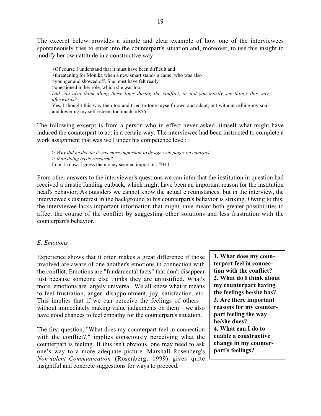The excerpt below provides a simple and clear example of how one of the interviewees spontaneously tries to enter into the counterpart's situation and, moreover, to use this insight to modify her own attitude in a constructive way:

>Of course I understand that it must have been difficult and >threatening for Monika when a new smart stand-in came, who was also >younger and showed off. She must have felt really >questioned in her role, which she was too. *Did you also think along these lines during the conflict, or did you mostly see things this way afterwards?* Yes, I thought this way then too and tried to tone myself down and adapt, but without selling my soul and lowering my self-esteem too much. #B56

The following excerpt is from a person who in effect never asked himself what might have induced the counterpart to act in a certain way. The interviewee had been instructed to complete a work assignment that was well under his competence level:

*> Why did he decide it was more important to design web pages on contract > than doing basic research?* I don't know. I guess the money seemed important. #B11

From other answers to the interviewer's questions we can infer that the institution in question had received a drastic funding cutback, which might have been an important reason for the institution head's behavior. As outsiders we cannot know the actual circumstances, but in the interview, the interviewee's disinterest in the background to his counterpart's behavior is striking. Owing to this, the interviewee lacks important information that might have meant both greater possibilities to affect the course of the conflict by suggesting other solutions and less frustration with the counterpart's behavior.

#### *E. Emotions*

Experience shows that it often makes a great difference if those involved are aware of one another's emotions in connection with the conflict. Emotions are "fundamental facts" that don't disappear just because someone else thinks they are unjustified. What's more, emotions are largely universal. We all know what it means to feel frustration, anger, disappointment, joy, satisfaction, etc. This implies that if we can perceive the feelings of others – without immediately making value judgements on them – we also have good chances to feel empathy for the counterpart's situation.

The first question, "What does my counterpart feel in connection with the conflict?," implies consciously perceiving what the counterpart is feeling. If this isn't obvious, one may need to ask one's way to a more adequate picture. Marshall Rosenberg's *Nonviolent Communication* (Rosenberg, 1999) gives quite insightful and concrete suggestions for ways to proceed.

**1. What does my counterpart feel in connection with the conflict? 2. What do I think about my counterpart having the feelings he/she has? 3. Are there important reasons for my counterpart feeling the way he/she does? 4. What can I do to enable a constructive change in my counterpart's feelings?**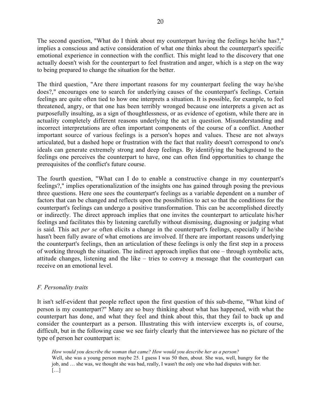The second question, "What do I think about my counterpart having the feelings he/she has?," implies a conscious and active consideration of what one thinks about the counterpart's specific emotional experience in connection with the conflict. This might lead to the discovery that one actually doesn't wish for the counterpart to feel frustration and anger, which is a step on the way to being prepared to change the situation for the better.

The third question, "Are there important reasons for my counterpart feeling the way he/she does?," encourages one to search for underlying causes of the counterpart's feelings. Certain feelings are quite often tied to how one interprets a situation. It is possible, for example, to feel threatened, angry, or that one has been terribly wronged because one interprets a given act as purposefully insulting, as a sign of thoughtlessness, or as evidence of egotism, while there are in actuality completely different reasons underlying the act in question. Misunderstanding and incorrect interpretations are often important components of the course of a conflict. Another important source of various feelings is a person's hopes and values. These are not always articulated, but a dashed hope or frustration with the fact that reality doesn't correspond to one's ideals can generate extremely strong and deep feelings. By identifying the background to the feelings one perceives the counterpart to have, one can often find opportunities to change the prerequisites of the conflict's future course.

The fourth question, "What can I do to enable a constructive change in my counterpart's feelings?," implies operationalization of the insights one has gained through posing the previous three questions. Here one sees the counterpart's feelings as a variable dependent on a number of factors that can be changed and reflects upon the possibilities to act so that the conditions for the counterpart's feelings can undergo a positive transformation. This can be accomplished directly or indirectly. The direct approach implies that one invites the counterpart to articulate his/her feelings and facilitates this by listening carefully without dismissing, diagnosing or judging what is said. This act *per se* often elicits a change in the counterpart's feelings, especially if he/she hasn't been fully aware of what emotions are involved. If there are important reasons underlying the counterpart's feelings, then an articulation of these feelings is only the first step in a process of working through the situation. The indirect approach implies that one – through symbolic acts, attitude changes, listening and the like – tries to convey a message that the counterpart can receive on an emotional level.

## *F. Personality traits*

It isn't self-evident that people reflect upon the first question of this sub-theme, "What kind of person is my counterpart?" Many are so busy thinking about what has happened, with what the counterpart has done, and what they feel and think about this, that they fail to back up and consider the counterpart as a person. Illustrating this with interview excerpts is, of course, difficult, but in the following case we see fairly clearly that the interviewee has no picture of the type of person her counterpart is:

*How would you describe the woman that came? How would you describe her as a person?* Well, she was a young person maybe 25. I guess I was 50 then, about. She was, well, hungry for the job, and … she was, we thought she was bad, really, I wasn't the only one who had disputes with her. […]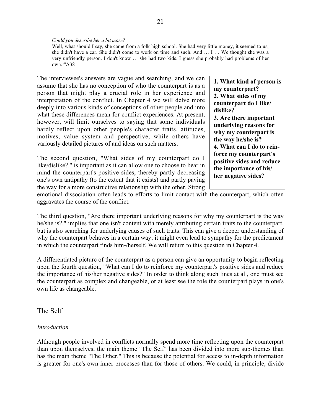#### *Could you describe her a bit more?*

Well, what should I say, she came from a folk high school. She had very little money, it seemed to us, she didn't have a car. She didn't come to work on time and such. And … I … We thought she was a very unfriendly person. I don't know … she had two kids. I guess she probably had problems of her own. #A38

The interviewee's answers are vague and searching, and we can assume that she has no conception of who the counterpart is as a person that might play a crucial role in her experience and interpretation of the conflict. In Chapter 4 we will delve more deeply into various kinds of conceptions of other people and into what these differences mean for conflict experiences. At present, however, will limit ourselves to saying that some individuals hardly reflect upon other people's character traits, attitudes, motives, value system and perspective, while others have variously detailed pictures of and ideas on such matters.

The second question, "What sides of my counterpart do I like/dislike?," is important as it can allow one to choose to bear in mind the counterpart's positive sides, thereby partly decreasing one's own antipathy (to the extent that it exists) and partly paving the way for a more constructive relationship with the other. Strong **1. What kind of person is my counterpart? 2. What sides of my counterpart do I like/ dislike? 3. Are there important underlying reasons for why my counterpart is the way he/she is? 4. What can I do to reinforce my counterpart's positive sides and reduce the importance of his/ her negative sides?**

emotional dissociation often leads to efforts to limit contact with the counterpart, which often aggravates the course of the conflict.

The third question, "Are there important underlying reasons for why my counterpart is the way he/she is?," implies that one isn't content with merely attributing certain traits to the counterpart, but is also searching for underlying causes of such traits. This can give a deeper understanding of why the counterpart behaves in a certain way; it might even lead to sympathy for the predicament in which the counterpart finds him-/herself. We will return to this question in Chapter 4.

A differentiated picture of the counterpart as a person can give an opportunity to begin reflecting upon the fourth question, "What can I do to reinforce my counterpart's positive sides and reduce the importance of his/her negative sides?" In order to think along such lines at all, one must see the counterpart as complex and changeable, or at least see the role the counterpart plays in one's own life as changeable.

The Self

#### *Introduction*

Although people involved in conflicts normally spend more time reflecting upon the counterpart than upon themselves, the main theme "The Self" has been divided into more sub-themes than has the main theme "The Other." This is because the potential for access to in-depth information is greater for one's own inner processes than for those of others. We could, in principle, divide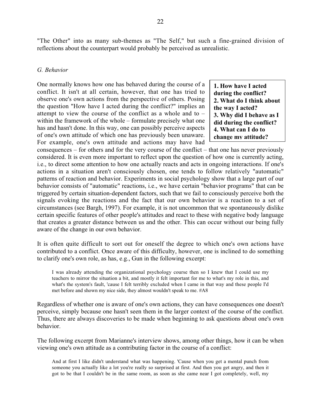"The Other" into as many sub-themes as "The Self," but such a fine-grained division of reflections about the counterpart would probably be perceived as unrealistic.

#### *G. Behavior*

One normally knows how one has behaved during the course of a conflict. It isn't at all certain, however, that one has tried to observe one's own actions from the perspective of others. Posing the question "How have I acted during the conflict?" implies an attempt to view the course of the conflict as a whole and to – within the framework of the whole – formulate precisely what one has and hasn't done. In this way, one can possibly perceive aspects of one's own attitude of which one has previously been unaware. For example, one's own attitude and actions may have had **1. How have I acted during the conflict? 2. What do I think about the way I acted? 3. Why did I behave as I did during the conflict? 4. What can I do to change my attitude?**

consequences – for others and for the very course of the conflict – that one has never previously considered. It is even more important to reflect upon the question of how one is currently acting, i.e., to direct some attention to how one actually reacts and acts in ongoing interactions. If one's actions in a situation aren't consciously chosen, one tends to follow relatively "automatic" patterns of reaction and behavior. Experiments in social psychology show that a large part of our behavior consists of "automatic" reactions, i.e., we have certain "behavior programs" that can be triggered by certain situation-dependent factors, such that we fail to consciously perceive both the signals evoking the reactions and the fact that our own behavior is a reaction to a set of circumstances (see Bargh, 1997). For example, it is not uncommon that we spontaneously dislike certain specific features of other people's attitudes and react to these with negative body language that creates a greater distance between us and the other. This can occur without our being fully aware of the change in our own behavior.

It is often quite difficult to sort out for oneself the degree to which one's own actions have contributed to a conflict. Once aware of this difficulty, however, one is inclined to do something to clarify one's own role, as has, e.g., Gun in the following excerpt:

I was already attending the organizational psychology course then so I knew that I could use my teachers to mirror the situation a bit, and mostly it felt important for me to what's my role in this, and what's the system's fault, 'cause I felt terribly excluded when I came in that way and these people I'd met before and shown my nice side, they almost wouldn't speak to me. #A8

Regardless of whether one is aware of one's own actions, they can have consequences one doesn't perceive, simply because one hasn't seen them in the larger context of the course of the conflict. Thus, there are always discoveries to be made when beginning to ask questions about one's own behavior.

The following excerpt from Marianne's interview shows, among other things, how it can be when viewing one's own attitude as a contributing factor in the course of a conflict:

And at first I like didn't understand what was happening. 'Cause when you get a mental punch from someone you actually like a lot you're really so surprised at first. And then you get angry, and then it got to be that I couldn't be in the same room, as soon as she came near I got completely, well, my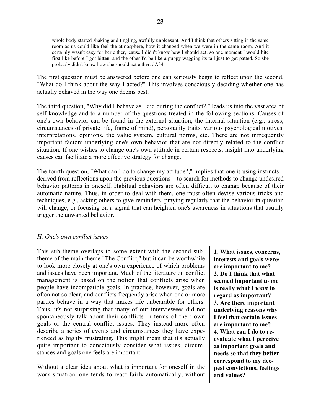whole body started shaking and tingling, awfully unpleasant. And I think that others sitting in the same room as us could like feel the atmosphere, how it changed when we were in the same room. And it certainly wasn't easy for her either, 'cause I didn't know how I should act, so one moment I would bite first like before I got bitten, and the other I'd be like a puppy wagging its tail just to get patted. So she probably didn't know how she should act either. #A34

The first question must be answered before one can seriously begin to reflect upon the second, "What do I think about the way I acted?" This involves consciously deciding whether one has actually behaved in the way one deems best.

The third question, "Why did I behave as I did during the conflict?," leads us into the vast area of self-knowledge and to a number of the questions treated in the following sections. Causes of one's own behavior can be found in the external situation, the internal situation (e.g., stress, circumstances of private life, frame of mind), personality traits, various psychological motives, interpretations, opinions, the value system, cultural norms, etc. There are not infrequently important factors underlying one's own behavior that are not directly related to the conflict situation. If one wishes to change one's own attitude in certain respects, insight into underlying causes can facilitate a more effective strategy for change.

The fourth question, "What can I do to change my attitude?," implies that one is using instincts – derived from reflections upon the previous questions – to search for methods to change undesired behavior patterns in oneself. Habitual behaviors are often difficult to change because of their automatic nature. Thus, in order to deal with them, one must often devise various tricks and techniques, e.g., asking others to give reminders, praying regularly that the behavior in question will change, or focusing on a signal that can heighten one's awareness in situations that usually trigger the unwanted behavior.

#### *H. One's own conflict issues*

This sub-theme overlaps to some extent with the second subtheme of the main theme "The Conflict," but it can be worthwhile to look more closely at one's own experience of which problems and issues have been important. Much of the literature on conflict management is based on the notion that conflicts arise when people have incompatible goals. In practice, however, goals are often not so clear, and conflicts frequently arise when one or more parties behave in a way that makes life unbearable for others. Thus, it's not surprising that many of our interviewees did not spontaneously talk about their conflicts in terms of their own goals or the central conflict issues. They instead more often describe a series of events and circumstances they have experienced as highly frustrating. This might mean that it's actually quite important to consciously consider what issues, circumstances and goals one feels are important.

Without a clear idea about what is important for oneself in the work situation, one tends to react fairly automatically, without **1. What issues, concerns, interests and goals were/ are important to me? 2. Do I think that what seemed important to me is really what I** *want* **to regard as important? 3. Are there important underlying reasons why I feel that certain issues are important to me? 4. What can I do to reevaluate what I perceive as important goals and needs so that they better correspond to my deepest convictions, feelings and values?**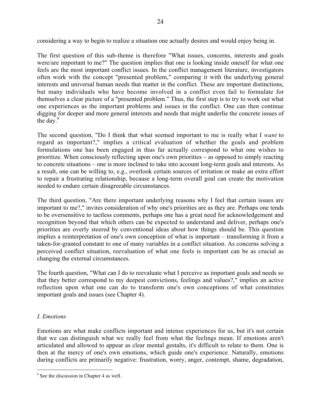considering a way to begin to realize a situation one actually desires and would enjoy being in.

The first question of this sub-theme is therefore "What issues, concerns, interests and goals were/are important to me?" The question implies that one is looking inside oneself for what one feels are the most important conflict issues. In the conflict management literature, investigators often work with the concept "presented problem," comparing it with the underlying general interests and universal human needs that matter in the conflict. These are important distinctions, but many individuals who have become involved in a conflict even fail to formulate for themselves a clear picture of a "presented problem." Thus, the first step is to try to work out what one experiences as the important problems and issues in the conflict. One can then continue digging for deeper and more general interests and needs that might underlie the concrete issues of the day. $9$ 

The second question, "Do I think that what seemed important to me is really what I *want* to regard as important?," implies a critical evaluation of whether the goals and problem formulations one has been engaged in thus far actually correspond to what one wishes to prioritize. When consciously reflecting upon one's own priorities – as opposed to simply reacting to concrete situations – one is more inclined to take into account long-term goals and interests. As a result, one can be willing to, e.g., overlook certain sources of irritation or make an extra effort to repair a frustrating relationship, because a long-term overall goal can create the motivation needed to endure certain disagreeable circumstances.

The third question, "Are there important underlying reasons why I feel that certain issues are important to me?," invites consideration of why one's priorities are as they are. Perhaps one tends to be oversensitive to tactless comments, perhaps one has a great need for acknowledgement and recognition beyond that which others can be expected to understand and deliver, perhaps one's priorities are overly steered by conventional ideas about how things should be. This question implies a reinterpretation of one's own conception of what is important – transforming it from a taken-for-granted constant to one of many variables in a conflict situation. As concerns solving a perceived conflict situation, reevaluation of what one feels is important can be as crucial as changing the external circumstances.

The fourth question, "What can I do to reevaluate what I perceive as important goals and needs so that they better correspond to my deepest convictions, feelings and values?," implies an active reflection upon what one can do to transform one's own conceptions of what constitutes important goals and issues (see Chapter 4).

#### *I. Emotions*

Emotions are what make conflicts important and intense experiences for us, but it's not certain that we can distinguish what we really feel from what the feelings mean. If emotions aren't articulated and allowed to appear as clear mental gestalts, it's difficult to relate to them. One is then at the mercy of one's own emotions, which guide one's experience. Naturally, emotions during conflicts are primarily negative: frustration, worry, anger, contempt, shame, degradation,

<sup>-&</sup>lt;br>9  $9^9$  See the discussion in Chapter 4 as well.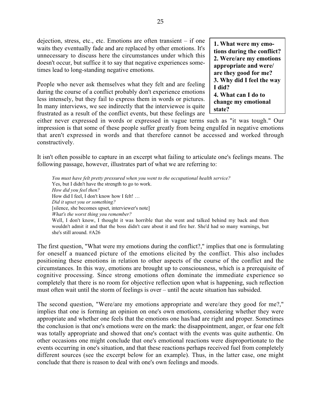dejection, stress, etc., etc. Emotions are often transient – if one waits they eventually fade and are replaced by other emotions. It's unnecessary to discuss here the circumstances under which this doesn't occur, but suffice it to say that negative experiences sometimes lead to long-standing negative emotions.

People who never ask themselves what they felt and are feeling during the course of a conflict probably don't experience emotions less intensely, but they fail to express them in words or pictures. In many interviews, we see indirectly that the interviewee is quite frustrated as a result of the conflict events, but these feelings are

**1. What were my emotions during the conflict? 2. Were/are my emotions appropriate and were/ are they good for me? 3. Why did I feel the way I did? 4. What can I do to change my emotional state?**

either never expressed in words or expressed in vague terms such as "it was tough." Our impression is that some of these people suffer greatly from being engulfed in negative emotions that aren't expressed in words and that therefore cannot be accessed and worked through constructively.

It isn't often possible to capture in an excerpt what failing to articulate one's feelings means. The following passage, however, illustrates part of what we are referring to:

*You must have felt pretty pressured when you went to the occupational health service?* Yes, but I didn't have the strength to go to work. *How did you feel then?* How did I feel, I don't know how I felt! … *Did it upset you or something?* [silence, she becomes upset, interviewer's note] *What's the worst thing you remember?* Well, I don't know, I thought it was horrible that she went and talked behind my back and then wouldn't admit it and that the boss didn't care about it and fire her. She'd had so many warnings, but she's still around. #A26

The first question, "What were my emotions during the conflict?," implies that one is formulating for oneself a nuanced picture of the emotions elicited by the conflict. This also includes positioning these emotions in relation to other aspects of the course of the conflict and the circumstances. In this way, emotions are brought up to consciousness, which is a prerequisite of cognitive processing. Since strong emotions often dominate the immediate experience so completely that there is no room for objective reflection upon what is happening, such reflection must often wait until the storm of feelings is over – until the acute situation has subsided.

The second question, "Were/are my emotions appropriate and were/are they good for me?," implies that one is forming an opinion on one's own emotions, considering whether they were appropriate and whether one feels that the emotions one has/had are right and proper. Sometimes the conclusion is that one's emotions were on the mark: the disappointment, anger, or fear one felt was totally appropriate and showed that one's contact with the events was quite authentic. On other occasions one might conclude that one's emotional reactions were disproportionate to the events occurring in one's situation, and that these reactions perhaps received fuel from completely different sources (see the excerpt below for an example). Thus, in the latter case, one might conclude that there is reason to deal with one's own feelings and moods.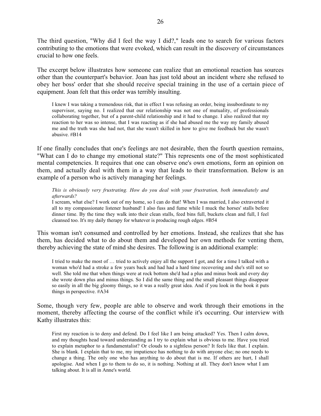The third question, "Why did I feel the way I did?," leads one to search for various factors contributing to the emotions that were evoked, which can result in the discovery of circumstances crucial to how one feels.

The excerpt below illustrates how someone can realize that an emotional reaction has sources other than the counterpart's behavior. Joan has just told about an incident where she refused to obey her boss' order that she should receive special training in the use of a certain piece of equipment. Joan felt that this order was terribly insulting.

I knew I was taking a tremendous risk, that in effect I was refusing an order, being insubordinate to my supervisor, saying no. I realized that our relationship was not one of mutuality, of professionals collaborating together, but of a parent-child relationship and it had to change. I also realized that my reaction to her was so intense, that I was reacting as if she had abused me the way my family abused me and the truth was she had not, that she wasn't skilled in how to give me feedback but she wasn't abusive. #B14

If one finally concludes that one's feelings are not desirable, then the fourth question remains, "What can I do to change my emotional state?" This represents one of the most sophisticated mental competencies. It requires that one can observe one's own emotions, form an opinion on them, and actually deal with them in a way that leads to their transformation. Below is an example of a person who is actively managing her feelings.

*This is obviously very frustrating. How do you deal with your frustration, both immediately and afterwards?*

I scream, what else? I work out of my home, so I can do that! When I was married, I also extraverted it all to my compassionate listener husband! I also fuss and fume while I muck the horses' stalls before dinner time. By the time they walk into their clean stalls, feed bins full, buckets clean and full, I feel cleansed too. It's my daily therapy for whatever is producing rough edges. #B54

This woman isn't consumed and controlled by her emotions. Instead, she realizes that she has them, has decided what to do about them and developed her own methods for venting them, thereby achieving the state of mind she desires. The following is an additional example:

I tried to make the most of … tried to actively enjoy all the support I got, and for a time I talked with a woman who'd had a stroke a few years back and had had a hard time recovering and she's still not so well. She told me that when things were at rock bottom she'd had a plus and minus book and every day she wrote down plus and minus things. So I did the same thing and the small pleasant things disappear so easily in all the big gloomy things, so it was a really great idea. And if you look in the book it puts things in perspective. #A34

Some, though very few, people are able to observe and work through their emotions in the moment, thereby affecting the course of the conflict while it's occurring. Our interview with Kathy illustrates this:

First my reaction is to deny and defend. Do I feel like I am being attacked? Yes. Then I calm down, and my thoughts head toward understanding as I try to explain what is obvious to me. Have you tried to explain metaphor to a fundamentalist? Or clouds to a sightless person? It feels like that. I explain. She is blank. I explain that to me, my impatience has nothing to do with anyone else; no one needs to change a thing. The only one who has anything to do about that is me. If others are hurt, I shall apologise. And when I go to them to do so, it is nothing. Nothing at all. They don't know what I am talking about. It is all in Anne's world.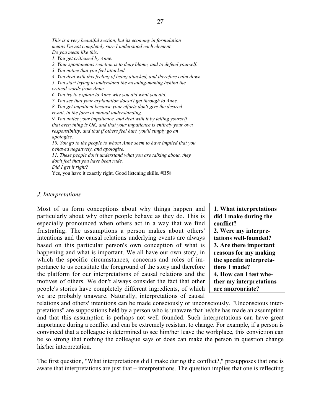*This is a very beautiful section, but its economy in formulation means I'm not completely sure I understood each element. Do you mean like this: 1. You get criticized by Anne. 2. Your spontaneous reaction is to deny blame, and to defend yourself. 3. You notice that you feel attacked. 4. You deal with this feeling of being attacked, and therefore calm down. 5. You start trying to understand the meaning-making behind the critical words from Anne. 6. You try to explain to Anne why you did what you did. 7. You see that your explanation doesn't get through to Anne. 8. You get impatient because your efforts don't give the desired result, in the form of mutual understanding. 9. You notice your impatience, and deal with it by telling yourself that everything is OK, and that your impatience is entirely your own responsibility, and that if others feel hurt, you'll simply go an apologise. 10. You go to the people to whom Anne seem to have implied that you behaved negatively, and apologise. 11. These people don't understand what you are talking about, they don't feel that you have been rude. Did I get it right?* Yes, you have it exactly right. Good listening skills. #B58

#### *J. Interpretations*

Most of us form conceptions about why things happen and particularly about why other people behave as they do. This is especially pronounced when others act in a way that we find frustrating. The assumptions a person makes about others' intentions and the causal relations underlying events are always based on this particular person's own conception of what is happening and what is important. We all have our own story, in which the specific circumstances, concerns and roles of importance to us constitute the foreground of the story and therefore the platform for our interpretations of causal relations and the motives of others. We don't always consider the fact that other people's stories have completely different ingredients, of which we are probably unaware. Naturally, interpretations of causal

**1. What interpretations did I make during the conflict? 2. Were my interpretations well-founded? 3. Are there important reasons for my making the specific interpretations I made? 4. How can I test whether my interpretations are appropriate?**

relations and others' intentions can be made consciously or unconsciously. "Unconscious interpretations" are suppositions held by a person who is unaware that he/she has made an assumption and that this assumption is perhaps not well founded. Such interpretations can have great importance during a conflict and can be extremely resistant to change. For example, if a person is convinced that a colleague is determined to see him/her leave the workplace, this conviction can be so strong that nothing the colleague says or does can make the person in question change his/her interpretation.

The first question, "What interpretations did I make during the conflict?," presupposes that one is aware that interpretations are just that – interpretations. The question implies that one is reflecting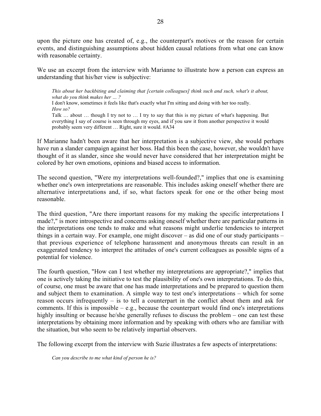upon the picture one has created of, e.g., the counterpart's motives or the reason for certain events, and distinguishing assumptions about hidden causal relations from what one can know with reasonable certainty.

We use an excerpt from the interview with Marianne to illustrate how a person can express an understanding that his/her view is subjective:

*This about her backbiting and claiming that [certain colleagues] think such and such, what's it about, what do you think makes her … ?* I don't know, sometimes it feels like that's exactly what I'm sitting and doing with her too really. *How so?* Talk … about … though I try not to … I try to say that this is my picture of what's happening. But everything I say of course is seen through my eyes, and if you saw it from another perspective it would probably seem very different … Right, sure it would. #A34

If Marianne hadn't been aware that her interpretation is a subjective view, she would perhaps have run a slander campaign against her boss. Had this been the case, however, she wouldn't have thought of it as slander, since she would never have considered that her interpretation might be colored by her own emotions, opinions and biased access to information.

The second question, "Were my interpretations well-founded?," implies that one is examining whether one's own interpretations are reasonable. This includes asking oneself whether there are alternative interpretations and, if so, what factors speak for one or the other being most reasonable.

The third question, "Are there important reasons for my making the specific interpretations I made?," is more introspective and concerns asking oneself whether there are particular patterns in the interpretations one tends to make and what reasons might underlie tendencies to interpret things in a certain way. For example, one might discover – as did one of our study participants – that previous experience of telephone harassment and anonymous threats can result in an exaggerated tendency to interpret the attitudes of one's current colleagues as possible signs of a potential for violence.

The fourth question, "How can I test whether my interpretations are appropriate?," implies that one is actively taking the initiative to test the plausibility of one's own interpretations. To do this, of course, one must be aware that one has made interpretations and be prepared to question them and subject them to examination. A simple way to test one's interpretations – which for some reason occurs infrequently – is to tell a counterpart in the conflict about them and ask for comments. If this is impossible  $-$  e.g., because the counterpart would find one's interpretations highly insulting or because he/she generally refuses to discuss the problem – one can test these interpretations by obtaining more information and by speaking with others who are familiar with the situation, but who seem to be relatively impartial observers.

The following excerpt from the interview with Suzie illustrates a few aspects of interpretations:

*Can you describe to me what kind of person he is?*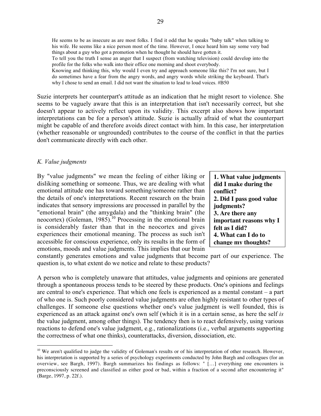He seems to be as insecure as are most folks. I find it odd that he speaks "baby talk" when talking to his wife. He seems like a nice person most of the time. However, I once heard him say some very bad things about a guy who got a promotion when he thought he should have gotten it. To tell you the truth I sense an anger that I suspect (from watching television) could develop into the profile for the folks who walk into their office one morning and shoot everybody. Knowing and thinking this, why would I even try and approach someone like this? I'm not sure, but I do sometimes have a fear from the angry words, and angry words while striking the keyboard. That's

why I chose to send an email. I did not want the situation to lead to loud voices. #B50

Suzie interprets her counterpart's attitude as an indication that he might resort to violence. She seems to be vaguely aware that this is an interpretation that isn't necessarily correct, but she doesn't appear to actively reflect upon its validity. This excerpt also shows how important interpretations can be for a person's attitude. Suzie is actually afraid of what the counterpart might be capable of and therefore avoids direct contact with him. In this case, her interpretation (whether reasonable or ungrounded) contributes to the course of the conflict in that the parties don't communicate directly with each other.

#### *K. Value judgments*

By "value judgments" we mean the feeling of either liking or disliking something or someone. Thus, we are dealing with what emotional attitude one has toward something/someone rather than the details of one's interpretations. Recent research on the brain indicates that sensory impressions are processed in parallel by the "emotional brain" (the amygdala) and the "thinking brain" (the neocortex) (Goleman, 1985).<sup>10</sup> Processing in the emotional brain is considerably faster than that in the neocortex and gives experiences their emotional meaning. The process as such isn't accessible for conscious experience, only its results in the form of emotions, moods and value judgments. This implies that our brain

**1. What value judgments did I make during the conflict? 2. Did I pass good value judgments? 3. Are there any important reasons why I felt as I did? 4. What can I do to change my thoughts?**

constantly generates emotions and value judgments that become part of our experience. The question is, to what extent do we notice and relate to these products?

A person who is completely unaware that attitudes, value judgments and opinions are generated through a spontaneous process tends to be steered by these products. One's opinions and feelings are central to one's experience. That which one feels is experienced as a mental constant – a part of who one is. Such poorly considered value judgments are often highly resistant to other types of challenges. If someone else questions whether one's value judgment is well founded, this is experienced as an attack against one's own self (which it is in a certain sense, as here the self *is* the value judgment, among other things). The tendency then is to react defensively, using various reactions to defend one's value judgment, e.g., rationalizations (i.e., verbal arguments supporting the correctness of what one thinks), counterattacks, diversion, dissociation, etc.

<sup>&</sup>lt;sup>10</sup> We aren't qualified to judge the validity of Goleman's results or of his interpretation of other research. However, his interpretation is supported by a series of psychology experiments conducted by John Bargh and colleagues (for an overview, see Bargh, 1997). Bargh summarizes his findings as follows: " […] everything one encounters is preconsciously screened and classified as either good or bad, within a fraction of a second after encountering it" (Barge, 1997, p. 22f.).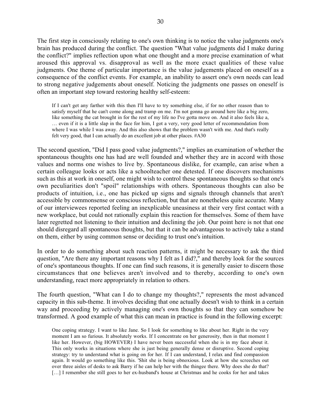The first step in consciously relating to one's own thinking is to notice the value judgments one's brain has produced during the conflict. The question "What value judgments did I make during the conflict?" implies reflection upon what one thought and a more precise examination of what aroused this approval vs. disapproval as well as the more exact qualities of these value judgments. One theme of particular importance is the value judgements placed on oneself as a consequence of the conflict events. For example, an inability to assert one's own needs can lead to strong negative judgements about oneself. Noticing the judgments one passes on oneself is often an important step toward restoring healthy self-esteem:

If I can't get any farther with this then I'll have to try something else, if for no other reason than to satisfy myself that he can't come along and tramp on me. I'm not gonna go around here like a big zero, like something the cat brought in for the rest of my life no I've gotta move on. And it also feels like a, … even if it is a little slap in the face for him, I got a very, very good letter of recommendation from where I was while I was away. And this also shows that the problem wasn't with me. And that's really felt very good, that I can actually do an excellent job at other places. #A30

The second question, "Did I pass good value judgments?," implies an examination of whether the spontaneous thoughts one has had are well founded and whether they are in accord with those values and norms one wishes to live by. Spontaneous dislike, for example, can arise when a certain colleague looks or acts like a schoolteacher one detested. If one discovers mechanisms such as this at work in oneself, one might wish to control these spontaneous thoughts so that one's own peculiarities don't "spoil" relationships with others. Spontaneous thoughts can also be products of intuition, i.e., one has picked up signs and signals through channels that aren't accessible by commonsense or conscious reflection, but that are nonetheless quite accurate. Many of our interviewees reported feeling an inexplicable uneasiness at their very first contact with a new workplace, but could not rationally explain this reaction for themselves. Some of them have later regretted not listening to their intuition and declining the job. Our point here is not that one should disregard all spontaneous thoughts, but that it can be advantageous to actively take a stand on them, either by using common sense or deciding to trust one's intuition.

In order to do something about such reaction patterns, it might be necessary to ask the third question, "Are there any important reasons why I felt as I did?," and thereby look for the sources of one's spontaneous thoughts. If one can find such reasons, it is generally easier to discern those circumstances that one believes aren't involved and to thereby, according to one's own understanding, react more appropriately in relation to others.

The fourth question, "What can I do to change my thoughts?," represents the most advanced capacity in this sub-theme. It involves deciding that one actually doesn't wish to think in a certain way and proceeding by actively managing one's own thoughts so that they can somehow be transformed. A good example of what this can mean in practice is found in the following excerpt:

One coping strategy. I want to like Jane. So I look for something to like about her. Right in the very moment I am so furious. It absolutely works. If I concentrate on her generosity, then in that moment I like her. However, (big HOWEVER) I have never been successful when she is in my face about it. This only works in situations where she is just being generally dense or disruptive. Second coping strategy: try to understand what is going on for her. If I can understand, I relax and find compassion again. It would go something like this. 'Shit she is being obnoxious. Look at how she screeches out over three aisles of desks to ask Barry if he can help her with the thingee there. Why does she do that? [...] I remember she still goes to her ex-husband's house at Christmas and he cooks for her and takes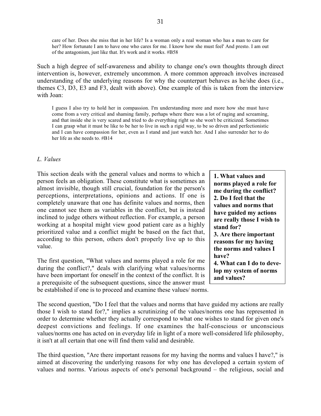care of her. Does she miss that in her life? Is a woman only a real woman who has a man to care for her? How fortunate I am to have one who cares for me. I know how she must feel' And presto. I am out of the antagonism, just like that. It's work and it works. #B58

Such a high degree of self-awareness and ability to change one's own thoughts through direct intervention is, however, extremely uncommon. A more common approach involves increased understanding of the underlying reasons for why the counterpart behaves as he/she does (i.e., themes C3, D3, E3 and F3, dealt with above). One example of this is taken from the interview with Joan:

I guess I also try to hold her in compassion. I'm understanding more and more how she must have come from a very critical and shaming family, perhaps where there was a lot of raging and screaming, and that inside she is very scared and tried to do everything right so she won't be criticized. Sometimes I can grasp what it must be like to be her to live in such a rigid way, to be so driven and perfectionistic and I can have compassion for her, even as I stand and just watch her. And I also surrender her to do her life as she needs to. #B14

#### *L. Values*

This section deals with the general values and norms to which a person feels an obligation. These constitute what is sometimes an almost invisible, though still crucial, foundation for the person's perceptions, interpretations, opinions and actions. If one is completely unaware that one has definite values and norms, then one cannot see them as variables in the conflict, but is instead inclined to judge others without reflection. For example, a person working at a hospital might view good patient care as a highly prioritized value and a conflict might be based on the fact that, according to this person, others don't properly live up to this value.

The first question, "What values and norms played a role for me during the conflict?," deals with clarifying what values/norms have been important for oneself in the context of the conflict. It is a prerequisite of the subsequent questions, since the answer must be established if one is to proceed and examine these values/ norms.

**1. What values and norms played a role for me during the conflict? 2. Do I feel that the values and norms that have guided my actions are really those I wish to stand for? 3. Are there important reasons for my having the norms and values I have? 4. What can I do to develop my system of norms and values?**

The second question, "Do I feel that the values and norms that have guided my actions are really those I wish to stand for?," implies a scrutinizing of the values/norms one has represented in order to determine whether they actually correspond to what one wishes to stand for given one's deepest convictions and feelings. If one examines the half-conscious or unconscious values/norms one has acted on in everyday life in light of a more well-considered life philosophy, it isn't at all certain that one will find them valid and desirable.

The third question, "Are there important reasons for my having the norms and values I have?," is aimed at discovering the underlying reasons for why one has developed a certain system of values and norms. Various aspects of one's personal background – the religious, social and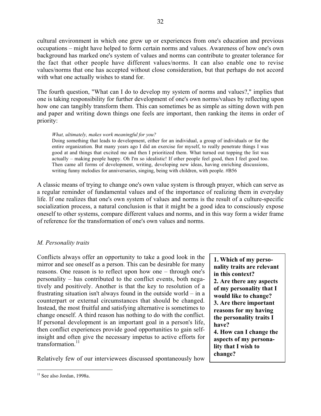cultural environment in which one grew up or experiences from one's education and previous occupations – might have helped to form certain norms and values. Awareness of how one's own background has marked one's system of values and norms can contribute to greater tolerance for the fact that other people have different values/norms. It can also enable one to revise values/norms that one has accepted without close consideration, but that perhaps do not accord with what one actually wishes to stand for.

The fourth question, "What can I do to develop my system of norms and values?," implies that one is taking responsibility for further development of one's own norms/values by reflecting upon how one can tangibly transform them. This can sometimes be as simple as sitting down with pen and paper and writing down things one feels are important, then ranking the items in order of priority:

#### *What, ultimately, makes work meaningful for you?*

Doing something that leads to development, either for an individual, a group of individuals or for the entire organization. But many years ago I did an exercise for myself, to really penetrate things I was good at and things that excited me and then I prioritized them. What turned out topping the list was actually – making people happy. Oh I'm so idealistic! If other people feel good, then I feel good too. Then came all forms of development, writing, developing new ideas, having enriching discussions, writing funny melodies for anniversaries, singing, being with children, with people. #B56

A classic means of trying to change one's own value system is through prayer, which can serve as a regular reminder of fundamental values and of the importance of realizing them in everyday life. If one realizes that one's own system of values and norms is the result of a culture-specific socialization process, a natural conclusion is that it might be a good idea to consciously expose oneself to other systems, compare different values and norms, and in this way form a wider frame of reference for the transformation of one's own values and norms.

### *M. Personality traits*

Conflicts always offer an opportunity to take a good look in the mirror and see oneself as a person. This can be desirable for many reasons. One reason is to reflect upon how one – through one's personality – has contributed to the conflict events, both negatively and positively. Another is that the key to resolution of a frustrating situation isn't always found in the outside world – in a counterpart or external circumstances that should be changed. Instead, the most fruitful and satisfying alternative is sometimes to change oneself. A third reason has nothing to do with the conflict. If personal development is an important goal in a person's life, then conflict experiences provide good opportunities to gain selfinsight and often give the necessary impetus to active efforts for transformation. $^{11}$ 

Relatively few of our interviewees discussed spontaneously how

**<sup>1.</sup> Which of my personality traits are relevant in this context? 2. Are there any aspects of my personality that I would like to change? 3. Are there important reasons for my having the personality traits I have? 4. How can I change the aspects of my personality that I wish to change?**

 $11$  See also Jordan, 1998a.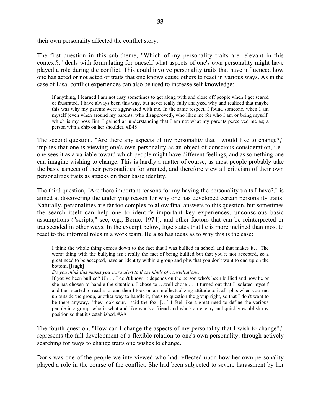their own personality affected the conflict story.

The first question in this sub-theme, "Which of my personality traits are relevant in this context?," deals with formulating for oneself what aspects of one's own personality might have played a role during the conflict. This could involve personality traits that have influenced how one has acted or not acted or traits that one knows cause others to react in various ways. As in the case of Lisa, conflict experiences can also be used to increase self-knowledge:

If anything, I learned I am not easy sometimes to get along with and close off people when I get scared or frustrated. I have always been this way, but never really fully analyzed why and realized that maybe this was why my parents were aggravated with me. In the same respect, I found someone, when I am myself (even when around my parents, who disapproved), who likes me for who I am or being myself, which is my boss Jim. I gained an understanding that I am not what my parents perceived me as; a person with a chip on her shoulder. #B48

The second question, "Are there any aspects of my personality that I would like to change?," implies that one is viewing one's own personality as an object of conscious consideration, i.e., one sees it as a variable toward which people might have different feelings, and as something one can imagine wishing to change. This is hardly a matter of course, as most people probably take the basic aspects of their personalities for granted, and therefore view all criticism of their own personalities traits as attacks on their basic identity.

The third question, "Are there important reasons for my having the personality traits I have?," is aimed at discovering the underlying reason for why one has developed certain personality traits. Naturally, personalities are far too complex to allow final answers to this question, but sometimes the search itself can help one to identify important key experiences, unconscious basic assumptions ("scripts," see, e.g., Berne, 1974), and other factors that can be reinterpreted or transcended in other ways. In the excerpt below, Inge states that he is more inclined than most to react to the informal roles in a work team. He also has ideas as to why this is the case:

I think the whole thing comes down to the fact that I was bullied in school and that makes it… The worst thing with the bullying isn't really the fact of being bullied but that you're not accepted, so a great need to be accepted, have an identity within a group and plus that you don't want to end up on the bottom. [laugh]

*Do you think this makes you extra alert to those kinds of constellations?*

If you've been bullied? Uh … I don't know, it depends on the person who's been bullied and how he or she has chosen to handle the situation. I chose to …well chose … it turned out that I isolated myself and then started to read a lot and then I took on an intellectualizing attitude to it all, plus when you end up outside the group, another way to handle it, that's to question the group right, so that I don't want to be there anyway, "they look sour," said the fox. […] I feel like a great need to define the various people in a group, who is what and like who's a friend and who's an enemy and quickly establish my position so that it's established. #A9

The fourth question, "How can I change the aspects of my personality that I wish to change?," represents the full development of a flexible relation to one's own personality, through actively searching for ways to change traits one wishes to change.

Doris was one of the people we interviewed who had reflected upon how her own personality played a role in the course of the conflict. She had been subjected to severe harassment by her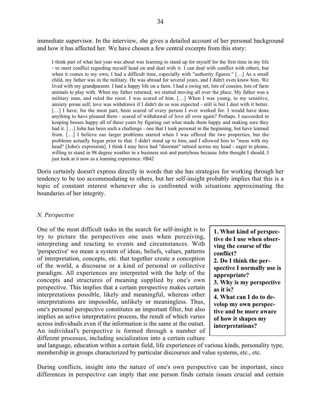immediate supervisor. In the interview, she gives a detailed account of her personal background and how it has affected her. We have chosen a few central excerpts from this story:

I think part of what last year was about was learning to stand up for myself for the first time in my life - to meet conflict regarding myself head on and deal with it. I can deal with conflict with others, but when it comes to my own, I had a difficult time, especially with "authority figures." […] As a small child, my father was in the military. He was abroad for several years, and I didn't even know him. We lived with my grandparents. I had a happy life on a farm. I had a swing set, lots of cousins, lots of farm animals to play with. When my father returned, we started moving all over the place. My father was a military man, and ruled the roost. I was scared of him. […] When I was young, to my sensitive, anxiety prone self, love was withdrawn if I didn't do as was expected - still is but I deal with it better. [...] I have, for the most part, been scared of every person I ever worked for. I would have done anything to have pleased them - scared of withdrawal of love all over again? Perhaps. I succeeded in keeping bosses happy all of these years by figuring out what made them happy and making sure they had it. [...] John has been such a challenge - one that I took personal in the beginning, but have learned from. […] I believe our larger problems started when I was offered the two properties, but the problems actually began prior to that. I didn't stand up to him, and I allowed him to "mess with my head" [John's expression]. I think I may have had "doormat" tattoed across my head - eager to please, willing to stand in 98 degree weather in a business suit and pantyhose because John thought I should. I just look at it now as a learning experience. #B42

Doris certainly doesn't express directly in words that she has strategies for working through her tendency to be too accommodating to others, but her self-insight probably implies that this is a topic of constant interest whenever she is confronted with situations approximating the boundaries of her integrity.

#### *N. Perspective*

One of the most difficult tasks in the search for self-insight is to try to picture the perspectives one uses when perceiving, interpreting and reacting to events and circumstances. With 'perspective' we mean a system of ideas, beliefs, values, patterns of interpretation, concepts, etc. that together create a conception of the world, a discourse or a kind of personal or collective paradigm. All experiences are interpreted with the help of the concepts and structures of meaning supplied by one's own perspective. This implies that a certain perspective makes certain interpretations possible, likely and meaningful, whereas other interpretations are impossible, unlikely or meaningless. Thus, one's personal perspective constitutes an important filter, but also implies an active interpretative process, the result of which varies across individuals even if the information is the same at the outset. An individual's perspective is formed through a number of different processes, including socialization into a certain culture

**1. What kind of perspective do I use when observing the course of the conflict? 2. Do I think the perspective I normally use is appropriate? 3. Why is my perspective as it is? 4. What can I do to develop my own perspective and be more aware of how it shapes my interpretations?**

and language, education within a certain field, life experiences of various kinds, personality type, membership in groups characterized by particular discourses and value systems, etc., etc.

During conflicts, insight into the nature of one's own perspective can be important, since differences in perspective can imply that one person finds certain issues crucial and certain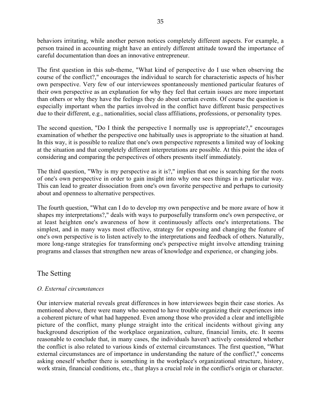behaviors irritating, while another person notices completely different aspects. For example, a person trained in accounting might have an entirely different attitude toward the importance of careful documentation than does an innovative entrepreneur.

The first question in this sub-theme, "What kind of perspective do I use when observing the course of the conflict?," encourages the individual to search for characteristic aspects of his/her own perspective. Very few of our interviewees spontaneously mentioned particular features of their own perspective as an explanation for why they feel that certain issues are more important than others or why they have the feelings they do about certain events. Of course the question is especially important when the parties involved in the conflict have different basic perspectives due to their different, e.g., nationalities, social class affiliations, professions, or personality types.

The second question, "Do I think the perspective I normally use is appropriate?," encourages examination of whether the perspective one habitually uses is appropriate to the situation at hand. In this way, it is possible to realize that one's own perspective represents a limited way of looking at the situation and that completely different interpretations are possible. At this point the idea of considering and comparing the perspectives of others presents itself immediately.

The third question, "Why is my perspective as it is?," implies that one is searching for the roots of one's own perspective in order to gain insight into why one sees things in a particular way. This can lead to greater dissociation from one's own favorite perspective and perhaps to curiosity about and openness to alternative perspectives.

The fourth question, "What can I do to develop my own perspective and be more aware of how it shapes my interpretations?," deals with ways to purposefully transform one's own perspective, or at least heighten one's awareness of how it continuously affects one's interpretations. The simplest, and in many ways most effective, strategy for exposing and changing the feature of one's own perspective is to listen actively to the interpretations and feedback of others. Naturally, more long-range strategies for transforming one's perspective might involve attending training programs and classes that strengthen new areas of knowledge and experience, or changing jobs.

# The Setting

# *O. External circumstances*

Our interview material reveals great differences in how interviewees begin their case stories. As mentioned above, there were many who seemed to have trouble organizing their experiences into a coherent picture of what had happened. Even among those who provided a clear and intelligible picture of the conflict, many plunge straight into the critical incidents without giving any background description of the workplace organization, culture, financial limits, etc. It seems reasonable to conclude that, in many cases, the individuals haven't actively considered whether the conflict is also related to various kinds of external circumstances. The first question, "What external circumstances are of importance in understanding the nature of the conflict?," concerns asking oneself whether there is something in the workplace's organizational structure, history, work strain, financial conditions, etc., that plays a crucial role in the conflict's origin or character.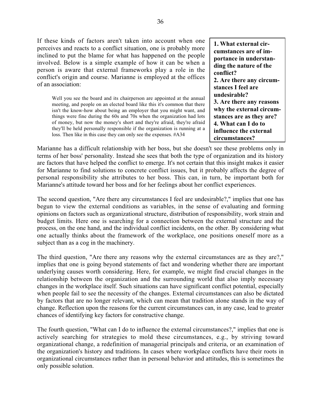If these kinds of factors aren't taken into account when one perceives and reacts to a conflict situation, one is probably more inclined to put the blame for what has happened on the people involved. Below is a simple example of how it can be when a person is aware that external frameworks play a role in the conflict's origin and course. Marianne is employed at the offices of an association:

Well you see the board and its chairperson are appointed at the annual meeting, and people on an elected board like this it's common that there isn't the know-how about being an employer that you might want, and things were fine during the 60s and 70s when the organization had lots of money, but now the money's short and they're afraid, they're afraid they'll be held personally responsible if the organization is running at a loss. Then like in this case they can only see the expenses. #A34

**1. What external circumstances are of importance in understanding the nature of the conflict? 2. Are there any circumstances I feel are undesirable? 3. Are there any reasons why the external circumstances are as they are? 4. What can I do to influence the external circumstances?**

Marianne has a difficult relationship with her boss, but she doesn't see these problems only in terms of her boss' personality. Instead she sees that both the type of organization and its history are factors that have helped the conflict to emerge. It's not certain that this insight makes it easier for Marianne to find solutions to concrete conflict issues, but it probably affects the degree of personal responsibility she attributes to her boss. This can, in turn, be important both for Marianne's attitude toward her boss and for her feelings about her conflict experiences.

The second question, "Are there any circumstances I feel are undesirable?," implies that one has begun to view the external conditions as variables, in the sense of evaluating and forming opinions on factors such as organizational structure, distribution of responsibility, work strain and budget limits. Here one is searching for a connection between the external structure and the process, on the one hand, and the individual conflict incidents, on the other. By considering what one actually thinks about the framework of the workplace, one positions oneself more as a subject than as a cog in the machinery.

The third question, "Are there any reasons why the external circumstances are as they are?," implies that one is going beyond statements of fact and wondering whether there are important underlying causes worth considering. Here, for example, we might find crucial changes in the relationship between the organization and the surrounding world that also imply necessary changes in the workplace itself. Such situations can have significant conflict potential, especially when people fail to see the necessity of the changes. External circumstances can also be dictated by factors that are no longer relevant, which can mean that tradition alone stands in the way of change. Reflection upon the reasons for the current circumstances can, in any case, lead to greater chances of identifying key factors for constructive change.

The fourth question, "What can I do to influence the external circumstances?," implies that one is actively searching for strategies to mold these circumstances, e.g., by striving toward organizational change, a redefinition of managerial principals and criteria, or an examination of the organization's history and traditions. In cases where workplace conflicts have their roots in organizational circumstances rather than in personal behavior and attitudes, this is sometimes the only possible solution.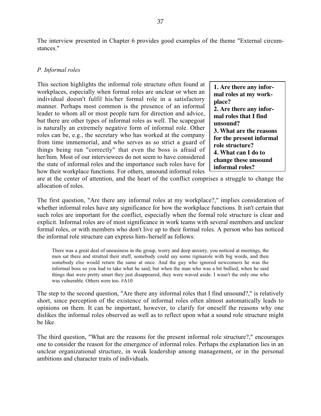The interview presented in Chapter 6 provides good examples of the theme "External circumstances."

### *P. Informal roles*

This section highlights the informal role structure often found at workplaces, especially when formal roles are unclear or when an individual doesn't fulfil his/her formal role in a satisfactory manner. Perhaps most common is the presence of an informal leader to whom all or most people turn for direction and advice, but there are other types of informal roles as well. The scapegoat is naturally an extremely negative form of informal role. Other roles can be, e.g., the secretary who has worked at the company from time immemorial, and who serves as so strict a guard of things being run "correctly" that even the boss is afraid of her/him. Most of our interviewees do not seem to have considered the state of informal roles and the importance such roles have for how their workplace functions. For others, unsound informal roles

**1. Are there any informal roles at my workplace? 2. Are there any informal roles that I find unsound? 3. What are the reasons for the present informal role structure? 4. What can I do to change these unsound informal roles?**

are at the center of attention, and the heart of the conflict comprises a struggle to change the allocation of roles.

The first question, "Are there any informal roles at my workplace?," implies consideration of whether informal roles have any significance for how the workplace functions. It isn't certain that such roles are important for the conflict, especially when the formal role structure is clear and explicit. Informal roles are of most significance in work teams with several members and unclear formal roles, or with members who don't live up to their formal roles. A person who has noticed the informal role structure can express him-/herself as follows:

There was a great deal of uneasiness in the group, worry and deep anxiety, you noticed at meetings, the men sat there and strutted their stuff, somebody could say some rigmarole with big words, and then somebody else would return the same at once. And the guy who ignored newcomers he was the informal boss so you had to take what he said, but when the man who was a bit bullied, when he said things that were pretty smart they just disappeared, they were waved aside. I wasn't the only one who was vulnerable. Others were too. #A10

The step to the second question, "Are there any informal roles that I find unsound?," is relatively short, since perception of the existence of informal roles often almost automatically leads to opinions on them. It can be important, however, to clarify for oneself the reasons why one dislikes the informal roles observed as well as to reflect upon what a sound role structure might be like.

The third question, "What are the reasons for the present informal role structure?," encourages one to consider the reason for the emergence of informal roles. Perhaps the explanation lies in an unclear organizational structure, in weak leadership among management, or in the personal ambitions and character traits of individuals.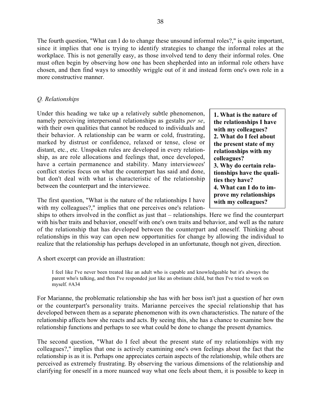**1. What is the nature of the relationships I have with my colleagues? 2. What do I feel about the present state of my relationships with my**

**3. Why do certain relationships have the quali-**

**4. What can I do to improve my relationships with my colleagues?**

**colleagues?**

**ties they have?**

## *Q. Relationships*

Under this heading we take up a relatively subtle phenomenon, namely perceiving interpersonal relationships as gestalts *per se*, with their own qualities that cannot be reduced to individuals and their behavior. A relationship can be warm or cold, frustrating, marked by distrust or confidence, relaxed or tense, close or distant, etc., etc. Unspoken rules are developed in every relationship, as are role allocations and feelings that, once developed, have a certain permanence and stability. Many interviewees' conflict stories focus on what the counterpart has said and done, but don't deal with what is characteristic of the relationship between the counterpart and the interviewee.

The first question, "What is the nature of the relationships I have with my colleagues?," implies that one perceives one's relation-

ships to others involved in the conflict as just that – relationships. Here we find the counterpart with his/her traits and behavior, oneself with one's own traits and behavior, and well as the nature of the relationship that has developed between the counterpart and oneself. Thinking about relationships in this way can open new opportunities for change by allowing the individual to realize that the relationship has perhaps developed in an unfortunate, though not given, direction.

A short excerpt can provide an illustration:

I feel like I've never been treated like an adult who is capable and knowledgeable but it's always the parent who's talking, and then I've responded just like an obstinate child, but then I've tried to work on myself. #A34

For Marianne, the problematic relationship she has with her boss isn't just a question of her own or the counterpart's personality traits. Marianne perceives the special relationship that has developed between them as a separate phenomenon with its own characteristics. The nature of the relationship affects how she reacts and acts. By seeing this, she has a chance to examine how the relationship functions and perhaps to see what could be done to change the present dynamics.

The second question, "What do I feel about the present state of my relationships with my colleagues?," implies that one is actively examining one's own feelings about the fact that the relationship is as it is. Perhaps one appreciates certain aspects of the relationship, while others are perceived as extremely frustrating. By observing the various dimensions of the relationship and clarifying for oneself in a more nuanced way what one feels about them, it is possible to keep in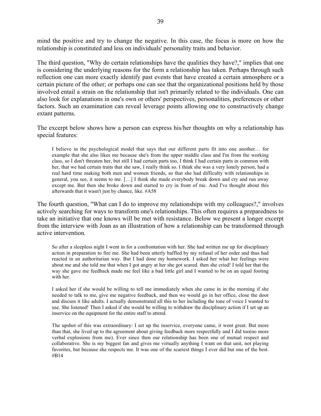mind the positive and try to change the negative. In this case, the focus is more on how the relationship is constituted and less on individuals' personality traits and behavior.

The third question, "Why do certain relationships have the qualities they have?," implies that one is considering the underlying reasons for the form a relationship has taken. Perhaps through such reflection one can more exactly identify past events that have created a certain atmosphere or a certain picture of the other; or perhaps one can see that the organizational positions held by those involved entail a strain on the relationship that isn't primarily related to the individuals. One can also look for explanations in one's own or others' perspectives, personalities, preferences or other factors. Such an examination can reveal leverage points allowing one to constructively change extant patterns.

The excerpt below shows how a person can express his/her thoughts on why a relationship has special features:

I believe in the psychological model that says that our different parts fit into one another… for example that she also likes me because she's from the upper middle class and I'm from the working class, so I don't threaten her, but still I had certain parts too, I think I had certain parts in common with her, that we had certain traits that she saw, I really think so. I think she was a very lonely person, had a real hard time making both men and women friends, so that she had difficulty with relationships in general, you see, it seems to me. […] I think she made everybody break down and cry and run away except me. But then she broke down and started to cry in front of me. And I've thought about this afterwards that it wasn't just by chance, like. #A58

The fourth question, "What can I do to improve my relationships with my colleagues?," involves actively searching for ways to transform one's relationships. This often requires a preparedness to take an initiative that one knows will be met with resistance. Below we present a longer excerpt from the interview with Joan as an illustration of how a relationship can be transformed through active intervention.

So after a sleepless night I went in for a confrontation with her. She had written me up for disciplinary action in preparation to fire me. She had been utterly baffled by my refusal of her order and thus had reacted in an authoritarian way. But I had done my homework. I asked her what her feelings were about me and she told me that when I got angry at her she got scared. then she cried! I told her that the way she gave me feedback made me feel like a bad little girl and I wanted to be on an equal footing with her.

I asked her if she would be willing to tell me immediately when she came in in the morning if she needed to talk to me, give me negative feedback, and then we would go in her office, close the door and discuss it like adults. I actually demonstrated all this to her including the tone of voice I wanted to use. She listened! Then I asked if she would be willing to withdraw the disciplinary action if I set up an inservice on the equipment for the entire staff to attend.

The upshot of this was extraordinary: I set up the inservice, everyone came, it went great. But more than that, she lived up to the agreement about giving feedback more respectfully and I did too(no more verbal explosions from me). Ever since then our relationship has been one of mutual respect and collaborative. She is my biggest fan and gives me virtually anything I want on that unit, not playing favorites, but because she respects me. It was one of the scariest things I ever did but one of the best. #B14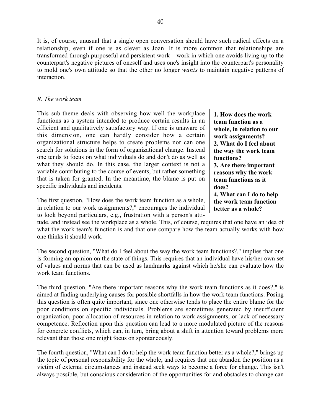It is, of course, unusual that a single open conversation should have such radical effects on a relationship, even if one is as clever as Joan. It is more common that relationships are transformed through purposeful and persistent work – work in which one avoids living up to the counterpart's negative pictures of oneself and uses one's insight into the counterpart's personality to mold one's own attitude so that the other no longer *wants* to maintain negative patterns of interaction.

### *R. The work team*

This sub-theme deals with observing how well the workplace functions as a system intended to produce certain results in an efficient and qualitatively satisfactory way. If one is unaware of this dimension, one can hardly consider how a certain organizational structure helps to create problems nor can one search for solutions in the form of organizational change. Instead one tends to focus on what individuals do and don't do as well as what they should do. In this case, the larger context is not a variable contributing to the course of events, but rather something that is taken for granted. In the meantime, the blame is put on specific individuals and incidents.

The first question, "How does the work team function as a whole, in relation to our work assignments?," encourages the individual to look beyond particulars, e.g., frustration with a person's atti-

**team function as a whole, in relation to our work assignments? 2. What do I feel about the way the work team functions? 3. Are there important reasons why the work team functions as it does? 4. What can I do to help the work team function better as a whole?**

**1. How does the work**

tude, and instead see the workplace as a whole. This, of course, requires that one have an idea of what the work team's function is and that one compare how the team actually works with how one thinks it should work.

The second question, "What do I feel about the way the work team functions?," implies that one is forming an opinion on the state of things. This requires that an individual have his/her own set of values and norms that can be used as landmarks against which he/she can evaluate how the work team functions.

The third question, "Are there important reasons why the work team functions as it does?," is aimed at finding underlying causes for possible shortfalls in how the work team functions. Posing this question is often quite important, since one otherwise tends to place the entire blame for the poor conditions on specific individuals. Problems are sometimes generated by insufficient organization, poor allocation of resources in relation to work assignments, or lack of necessary competence. Reflection upon this question can lead to a more modulated picture of the reasons for concrete conflicts, which can, in turn, bring about a shift in attention toward problems more relevant than those one might focus on spontaneously.

The fourth question, "What can I do to help the work team function better as a whole?," brings up the topic of personal responsibility for the whole, and requires that one abandon the position as a victim of external circumstances and instead seek ways to become a force for change. This isn't always possible, but conscious consideration of the opportunities for and obstacles to change can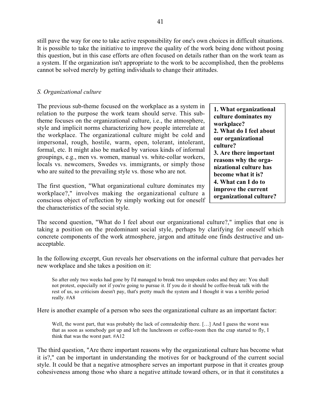still pave the way for one to take active responsibility for one's own choices in difficult situations. It is possible to take the initiative to improve the quality of the work being done without posing this question, but in this case efforts are often focused on details rather than on the work team as a system. If the organization isn't appropriate to the work to be accomplished, then the problems cannot be solved merely by getting individuals to change their attitudes.

### *S. Organizational culture*

The previous sub-theme focused on the workplace as a system in relation to the purpose the work team should serve. This subtheme focuses on the organizational culture, i.e., the atmosphere, style and implicit norms characterizing how people interrelate at the workplace. The organizational culture might be cold and impersonal, rough, hostile, warm, open, tolerant, intolerant, formal, etc. It might also be marked by various kinds of informal groupings, e.g., men vs. women, manual vs. white-collar workers, locals vs. newcomers, Swedes vs. immigrants, or simply those who are suited to the prevailing style vs. those who are not.

The first question, "What organizational culture dominates my workplace?," involves making the organizational culture a conscious object of reflection by simply working out for oneself the characteristics of the social style.

**1. What organizational culture dominates my workplace? 2. What do I feel about our organizational culture? 3. Are there important reasons why the organizational culture has become what it is? 4. What can I do to improve the current organizational culture?**

The second question, "What do I feel about our organizational culture?," implies that one is taking a position on the predominant social style, perhaps by clarifying for oneself which concrete components of the work atmosphere, jargon and attitude one finds destructive and unacceptable.

In the following excerpt, Gun reveals her observations on the informal culture that pervades her new workplace and she takes a position on it:

So after only two weeks had gone by I'd managed to break two unspoken codes and they are: You shall not protest, especially not if you're going to pursue it. If you do it should be coffee-break talk with the rest of us, so criticism doesn't pay, that's pretty much the system and I thought it was a terrible period really. #A8

Here is another example of a person who sees the organizational culture as an important factor:

Well, the worst part, that was probably the lack of comradeship there. [...] And I guess the worst was that as soon as somebody got up and left the lunchroom or coffee-room then the crap started to fly, I think that was the worst part. #A12

The third question, "Are there important reasons why the organizational culture has become what it is?," can be important in understanding the motives for or background of the current social style. It could be that a negative atmosphere serves an important purpose in that it creates group cohesiveness among those who share a negative attitude toward others, or in that it constitutes a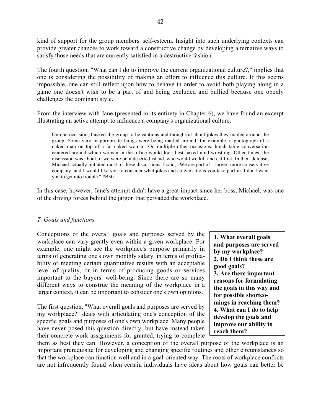kind of support for the group members' self-esteem. Insight into such underlying contexts can provide greater chances to work toward a constructive change by developing alternative ways to satisfy those needs that are currently satisfied in a destructive fashion.

The fourth question, "What can I do to improve the current organizational culture?," implies that one is considering the possibility of making an effort to influence this culture. If this seems impossible, one can still reflect upon how to behave in order to avoid both playing along in a game one doesn't wish to be a part of and being excluded and bullied because one openly challenges the dominant style.

From the interview with Jane (presented in its entirety in Chapter 6), we have found an excerpt illustrating an active attempt to influence a company's organizational culture:

On one occasion, I asked the group to be cautious and thoughtful about jokes they mailed around the group. Some very inappropriate things were being mailed around, for example, a photograph of a naked man on top of a fat naked woman. On multiple other occasions, lunch table conversation centered around which woman in the office would look best naked mud wrestling. Other times, the discussion was about, if we were on a deserted island, who would we kill and eat first. In their defense, Michael actually initiated most of these discussions. I said, "We are part of a larger, more conservative company, and I would like you to consider what jokes and conversations you take part in. I don't want you to get into trouble." #B30

In this case, however, Jane's attempt didn't have a great impact since her boss, Michael, was one of the driving forces behind the jargon that pervaded the workplace.

### *T. Goals and functions*

Conceptions of the overall goals and purposes served by the workplace can vary greatly even within a given workplace. For example, one might see the workplace's purpose primarily in terms of generating one's own monthly salary, in terms of profitability or meeting certain quantitative results with an acceptable level of quality, or in terms of producing goods or services important to the buyers' well-being. Since there are so many different ways to construe the meaning of the workplace in a larger context, it can be important to consider one's own opinions.

The first question, "What overall goals and purposes are served by my workplace?" deals with articulating one's conception of the specific goals and purposes of one's own workplace. Many people have never posed this question directly, but have instead taken their concrete work assignments for granted, trying to complete

**1. What overall goals and purposes are served by my workplace? 2. Do I think these are good goals? 3. Are there important reasons for formulating the goals in this way and for possible shortcomings in reaching them? 4. What can I do to help develop the goals and improve our ability to reach them?**

them as best they can. However, a conception of the overall purpose of the workplace is an important prerequisite for developing and changing specific routines and other circumstances so that the workplace can function well and in a goal-oriented way. The roots of workplace conflicts are not infrequently found when certain individuals have ideas about how goals can better be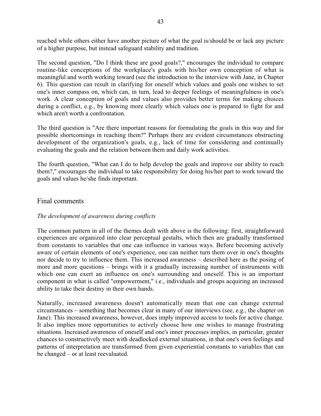reached while others either have another picture of what the goal is/should be or lack any picture of a higher purpose, but instead safeguard stability and tradition.

The second question, "Do I think these are good goals?," encourages the individual to compare routine-like conceptions of the workplace's goals with his/her own conception of what is meaningful and worth working toward (see the introduction to the interview with Jane, in Chapter 6). This question can result in clarifying for oneself which values and goals one wishes to set one's inner compass on, which can, in turn, lead to deeper feelings of meaningfulness in one's work. A clear conception of goals and values also provides better terms for making choices during a conflict, e.g., by knowing more clearly which values one is prepared to fight for and which aren't worth a confrontation.

The third question is "Are there important reasons for formulating the goals in this way and for possible shortcomings in reaching them?" Perhaps there are evident circumstances obstructing development of the organization's goals, e.g., lack of time for considering and continually evaluating the goals and the relation between them and daily work activities.

The fourth question, "What can I do to help develop the goals and improve our ability to reach them?," encourages the individual to take responsibility for doing his/her part to work toward the goals and values he/she finds important.

# Final comments

## *The development of awareness during conflicts*

The common pattern in all of the themes dealt with above is the following: first, straightforward experiences are organized into clear perceptual gestalts, which then are gradually transformed from constants to variables that one can influence in various ways. Before becoming actively aware of certain elements of one's experience, one can neither turn them over in one's thoughts nor decide to try to influence them. This increased awareness – described here as the posing of more and more questions – brings with it a gradually increasing number of instruments with which one can exert an influence on one's surrounding and oneself. This is an important component in what is called "empowerment," i.e., individuals and groups acquiring an increased ability to take their destiny in their own hands.

Naturally, increased awareness doesn't automatically mean that one can change external circumstances – something that becomes clear in many of our interviews (see, e.g., the chapter on Jane). This increased awareness, however, does imply improved access to tools for active change. It also implies more opportunities to actively choose how one wishes to manage frustrating situations. Increased awareness of oneself and one's inner processes implies, in particular, greater chances to constructively meet with deadlocked external situations, in that one's own feelings and patterns of interpretation are transformed from given experiential constants to variables that can be changed – or at least reevaluated.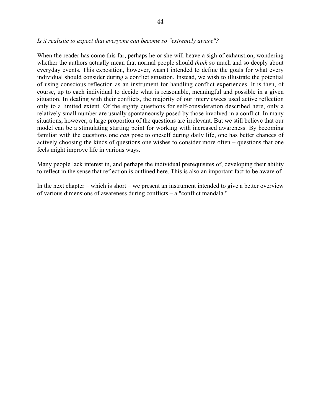#### *Is it realistic to expect that everyone can become so "extremely aware"?*

When the reader has come this far, perhaps he or she will heave a sigh of exhaustion, wondering whether the authors actually mean that normal people should *think* so much and so deeply about everyday events. This exposition, however, wasn't intended to define the goals for what every individual should consider during a conflict situation. Instead, we wish to illustrate the potential of using conscious reflection as an instrument for handling conflict experiences. It is then, of course, up to each individual to decide what is reasonable, meaningful and possible in a given situation. In dealing with their conflicts, the majority of our interviewees used active reflection only to a limited extent. Of the eighty questions for self-consideration described here, only a relatively small number are usually spontaneously posed by those involved in a conflict. In many situations, however, a large proportion of the questions are irrelevant. But we still believe that our model can be a stimulating starting point for working with increased awareness. By becoming familiar with the questions one *can* pose to oneself during daily life, one has better chances of actively choosing the kinds of questions one wishes to consider more often – questions that one feels might improve life in various ways.

Many people lack interest in, and perhaps the individual prerequisites of, developing their ability to reflect in the sense that reflection is outlined here. This is also an important fact to be aware of.

In the next chapter – which is short – we present an instrument intended to give a better overview of various dimensions of awareness during conflicts – a "conflict mandala."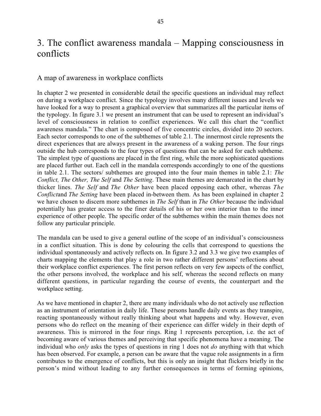# 3. The conflict awareness mandala – Mapping consciousness in conflicts

### A map of awareness in workplace conflicts

In chapter 2 we presented in considerable detail the specific questions an individual may reflect on during a workplace conflict. Since the typology involves many different issues and levels we have looked for a way to present a graphical overview that summarizes all the particular items of the typology. In figure 3.1 we present an instrument that can be used to represent an individual's level of consciousness in relation to conflict experiences. We call this chart the "conflict awareness mandala." The chart is composed of five concentric circles, divided into 20 sectors. Each sector corresponds to one of the subthemes of table 2.1. The innermost circle represents the direct experiences that are always present in the awareness of a waking person. The four rings outside the hub corresponds to the four types of questions that can be asked for each subtheme. The simplest type of questions are placed in the first ring, while the more sophisticated questions are placed further out. Each cell in the mandala corresponds accordingly to one of the questions in table 2.1. The sectors/ subthemes are grouped into the four main themes in table 2.1: *The Conflict, The Other, The Self* and *The Setting*. These main themes are demarcated in the chart by thicker lines. *The Self* and *The Other* have been placed opposing each other, whereas *The Conflict*and *The Setting* have been placed in-between them. As has been explained in chapter 2 we have chosen to discern more subthemes in *The Self* than in *The Other* because the individual potentially has greater access to the finer details of his or her own interior than to the inner experience of other people. The specific order of the subthemes within the main themes does not follow any particular principle.

The mandala can be used to give a general outline of the scope of an individual's consciousness in a conflict situation. This is done by colouring the cells that correspond to questions the individual spontaneously and actively reflects on. In figure 3.2 and 3.3 we give two examples of charts mapping the elements that play a role in two rather different persons' reflections about their workplace conflict experiences. The first person reflects on very few aspects of the conflict, the other persons involved, the workplace and his self, whereas the second reflects on many different questions, in particular regarding the course of events, the counterpart and the workplace setting.

As we have mentioned in chapter 2, there are many individuals who do not actively use reflection as an instrument of orientation in daily life. These persons handle daily events as they transpire, reacting spontaneously without really thinking about what happens and why. However, even persons who do reflect on the meaning of their experience can differ widely in their depth of awareness. This is mirrored in the four rings. Ring 1 represents perception, i.e. the act of becoming aware of various themes and perceiving that specific phenomena have a meaning. The individual who *only* asks the types of questions in ring 1 does not *do* anything with that which has been observed. For example, a person can be aware that the vague role assignments in a firm contributes to the emergence of conflicts, but this is only an insight that flickers briefly in the person's mind without leading to any further consequences in terms of forming opinions,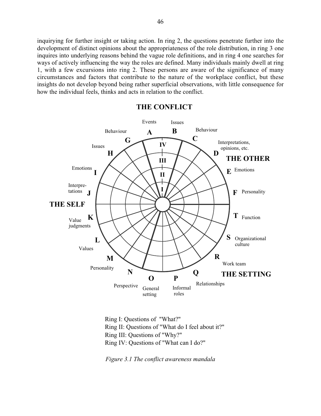inquirying for further insight or taking action. In ring 2, the questions penetrate further into the development of distinct opinions about the appropriateness of the role distribution, in ring 3 one inquires into underlying reasons behind the vague role definitions, and in ring 4 one searches for ways of actively influencing the way the roles are defined. Many individuals mainly dwell at ring 1, with a few excursions into ring 2. These persons are aware of the significance of many circumstances and factors that contribute to the nature of the workplace conflict, but these insights do not develop beyond being rather superficial observations, with little consequence for how the individual feels, thinks and acts in relation to the conflict.



**THE CONFLICT**

Ring I: Questions of "What?" Ring II: Questions of "What do I feel about it?" Ring III: Questions of "Why?" Ring IV: Questions of "What can I do?"

*Figure 3.1 The conflict awareness mandala*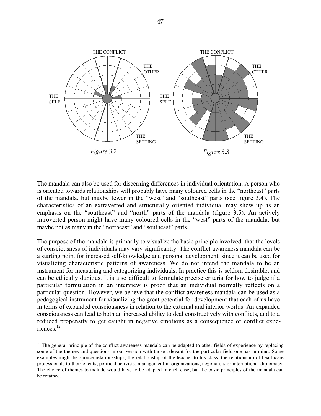

The mandala can also be used for discerning differences in individual orientation. A person who is oriented towards relationships will probably have many coloured cells in the "northeast" parts of the mandala, but maybe fewer in the "west" and "southeast" parts (see figure 3.4). The characteristics of an extraverted and structurally oriented individual may show up as an emphasis on the "southeast" and "north" parts of the mandala (figure 3.5). An actively introverted person might have many coloured cells in the "west" parts of the mandala, but maybe not as many in the "northeast" and "southeast" parts.

The purpose of the mandala is primarily to visualize the basic principle involved: that the levels of consciousness of individuals may vary significantly. The conflict awareness mandala can be a starting point for increased self-knowledge and personal development, since it can be used for visualizing characteristic patterns of awareness. We do not intend the mandala to be an instrument for measuring and categorizing individuals. In practice this is seldom desirable, and can be ethically dubious. It is also difficult to formulate precise criteria for how to judge if a particular formulation in an interview is proof that an individual normally reflects on a particular question. However, we believe that the conflict awareness mandala can be used as a pedagogical instrument for visualizing the great potential for development that each of us have in terms of expanded consciousness in relation to the external and interior worlds. An expanded consciousness can lead to both an increased ability to deal constructively with conflicts, and to a reduced propensity to get caught in negative emotions as a consequence of conflict experiences.12

 $12$  The general principle of the conflict awareness mandala can be adapted to other fields of experience by replacing some of the themes and questions in our version with those relevant for the particular field one has in mind. Some examples might be spouse relationsships, the relationship of the teacher to his class, the relationship of healthcare professionals to their clients, political activists, management in organizations, negotiators or international diplomacy. The choice of themes to include would have to be adapted in each case, but the basic principles of the mandala can be retained.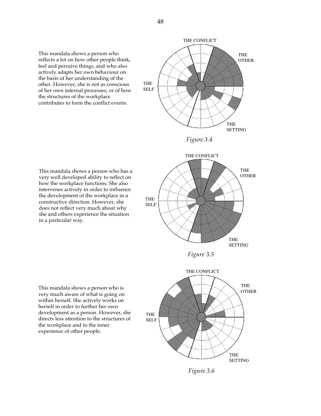This mandala shows a person who reflects a lot on how other people think, feel and perceive things, and who also actively adapts her own behaviour on the basis of her understanding of the other. However, she is not as conscious of her own internal processes, or of how the structures of the workplace contributes to form the conflict events.



THE OTHER

**SETTING** 



This mandala shows a person who has a very well developed ability to reflect on how the workplace functions. She also intervenes actively in order to influence the development of the workplace in a constructive direction. However, she does not reflect very much about why she and others experience the situation in a particular way.





*Figure 3.6*

This mandala shows a person who is very much aware of what is going on within herself. She actively works on herself in order to further her own development as a person. However, she directs less attention to the structures of the workplace and to the inner experience of other people.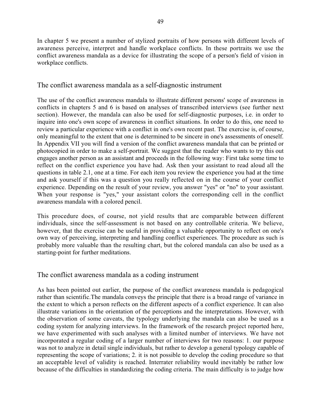In chapter 5 we present a number of stylized portraits of how persons with different levels of awareness perceive, interpret and handle workplace conflicts. In these portraits we use the conflict awareness mandala as a device for illustrating the scope of a person's field of vision in workplace conflicts.

# The conflict awareness mandala as a self-diagnostic instrument

The use of the conflict awareness mandala to illustrate different persons' scope of awareness in conflicts in chapters 5 and 6 is based on analyses of transcribed interviews (see further next section). However, the mandala can also be used for self-diagnostic purposes, i.e. in order to inquire into one's own scope of awareness in conflict situations. In order to do this, one need to review a particular experience with a conflict in one's own recent past. The exercise is, of course, only meaningful to the extent that one is determined to be sincere in one's assessments of oneself. In Appendix VII you will find a version of the conflict awareness mandala that can be printed or photocopied in order to make a self-portrait. We suggest that the reader who wants to try this out engages another person as an assistant and proceeds in the following way: First take some time to reflect on the conflict experience you have had. Ask then your assistant to read aloud all the questions in table 2.1, one at a time. For each item you review the experience you had at the time and ask yourself if this was a question you really reflected on in the course of your conflict experience. Depending on the result of your review, you answer "yes" or "no" to your assistant. When your response is "yes," your assistant colors the corresponding cell in the conflict awareness mandala with a colored pencil.

This procedure does, of course, not yield results that are comparable between different individuals, since the self-assessment is not based on any controllable criteria. We believe, however, that the exercise can be useful in providing a valuable opportunity to reflect on one's own way of perceiving, interpreting and handling conflict experiences. The procedure as such is probably more valuable than the resulting chart, but the colored mandala can also be used as a starting-point for further meditations.

# The conflict awareness mandala as a coding instrument

As has been pointed out earlier, the purpose of the conflict awareness mandala is pedagogical rather than scientific.The mandala conveys the principle that there is a broad range of variance in the extent to which a person reflects on the different aspects of a conflict experience. It can also illustrate variations in the orientation of the perceptions and the interpretations. However, with the observation of some caveats, the typology underlying the mandala can also be used as a coding system for analyzing interviews. In the framework of the research project reported here, we have experimented with such analyses with a limited number of interviews. We have not incorporated a regular coding of a larger number of interviews for two reasons: 1. our purpose was not to analyze in detail single individuals, but rather to develop a general typology capable of representing the scope of variations; 2. it is not possible to develop the coding procedure so that an acceptable level of validity is reached. Interrater reliability would inevitably be rather low because of the difficulties in standardizing the coding criteria. The main difficulty is to judge how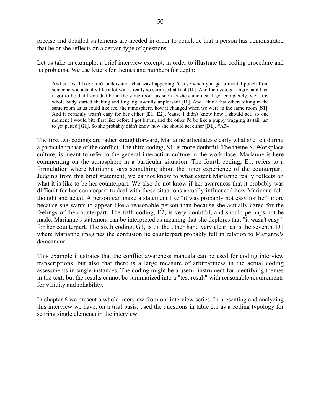precise and detailed statements are needed in order to conclude that a person has demonstrated that he or she reflects on a certain type of questions.

Let us take an example, a brief interview excerpt, in order to illustrate the coding procedure and its problems. We use letters for themes and numbers for depth:

And at first I like didn't understand what was happening. 'Cause when you get a mental punch from someone you actually like a lot you're really so surprised at first [**I1**]. And then you get angry, and then it got to be that I couldn't be in the same room, as soon as she came near I got completely, well, my whole body started shaking and tingling, awfully unpleasant [**I1**]. And I think that others sitting in the same room as us could like feel the atmosphere, how it changed when we were in the same room [**S1**]. And it certainly wasn't easy for her either [**E1, E2**], 'cause I didn't know how I should act, so one moment I would bite first like before I got bitten, and the other I'd be like a puppy wagging its tail just to get patted [**G1**]. So she probably didn't know how she should act either [**D1**]. #A34

The first two codings are rather straightforward, Marianne articulates clearly what she felt during a particular phase of the conflict. The third coding, S1, is more doubtful. The theme S, Workplace culture, is meant to refer to the general interaction culture in the workplace. Marianne is here commenting on the atmosphere in a particular situation. The fourth coding, E1, refers to a formulation where Marianne says something about the inner experience of the counterpart. Judging from this brief statement, we cannot know to what extent Marianne really reflects on what it is like to be her counterpart. We also do not know if her awareness that it probably was difficult for her counterpart to deal with these situations actually influenced how Marianne felt, thought and acted. A person can make a statement like "it was probably not easy for her" more because she wants to appear like a reasonable person than because she actually cared for the feelings of the counterpart. The fifth coding, E2, is very doubtful, and should perhaps not be made. Marianne's statement can be interpreted as meaning that she deplores that "it wasn't easy " for her counterpart. The sixth coding, G1, is on the other hand very clear, as is the seventh, D1 where Marianne imagines the confusion he counterpart probably felt in relation to Marianne's demeanour.

This example illustrates that the conflict awareness mandala can be used for coding interview transcriptions, but also that there is a large measure of arbitrariness in the actual coding assessments in single instances. The coding might be a useful instrument for identifying themes in the text, but the results cannot be summarized into a "test result" with reasonable requirements for validity and reliability.

In chapter 6 we present a whole interview from out interview series. In presenting and analyzing this interview we have, on a trial basis, used the questions in table 2.1 as a coding typology for scoring single elements in the interview.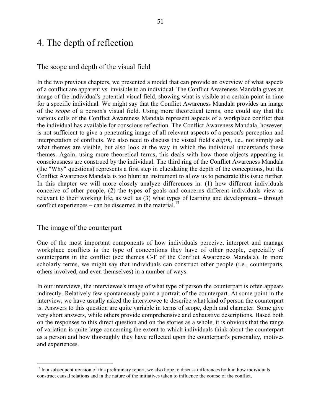# 4. The depth of reflection

### The scope and depth of the visual field

In the two previous chapters, we presented a model that can provide an overview of what aspects of a conflict are apparent vs. invisible to an individual. The Conflict Awareness Mandala gives an image of the individual's potential visual field, showing what is visible at a certain point in time for a specific individual. We might say that the Conflict Awareness Mandala provides an image of the *scope* of a person's visual field. Using more theoretical terms, one could say that the various cells of the Conflict Awareness Mandala represent aspects of a workplace conflict that the individual has available for conscious reflection. The Conflict Awareness Mandala, however, is not sufficient to give a penetrating image of all relevant aspects of a person's perception and interpretation of conflicts. We also need to discuss the visual field's *depth*, i.e., not simply ask what themes are visible, but also look at the way in which the individual understands these themes. Again, using more theoretical terms, this deals with how those objects appearing in consciousness are construed by the individual. The third ring of the Conflict Awareness Mandala (the "Why" questions) represents a first step in elucidating the depth of the conceptions, but the Conflict Awareness Mandala is too blunt an instrument to allow us to penetrate this issue further. In this chapter we will more closely analyze differences in: (1) how different individuals conceive of other people, (2) the types of goals and concerns different individuals view as relevant to their working life, as well as (3) what types of learning and development – through conflict experiences – can be discerned in the material.<sup>13</sup>

#### The image of the counterpart

One of the most important components of how individuals perceive, interpret and manage workplace conflicts is the type of conceptions they have of other people, especially of counterparts in the conflict (see themes C-F of the Conflict Awareness Mandala). In more scholarly terms, we might say that individuals can construct other people (i.e., counterparts, others involved, and even themselves) in a number of ways.

In our interviews, the interviewee's image of what type of person the counterpart is often appears indirectly. Relatively few spontaneously paint a portrait of the counterpart. At some point in the interview, we have usually asked the interviewee to describe what kind of person the counterpart is. Answers to this question are quite variable in terms of scope, depth and character. Some give very short answers, while others provide comprehensive and exhaustive descriptions. Based both on the responses to this direct question and on the stories as a whole, it is obvious that the range of variation is quite large concerning the extent to which individuals think about the counterpart as a person and how thoroughly they have reflected upon the counterpart's personality, motives and experiences.

 $13$  In a subsequent revision of this preliminary report, we also hope to discuss differences both in how individuals construct causal relations and in the nature of the initiatives taken to influence the course of the conflict.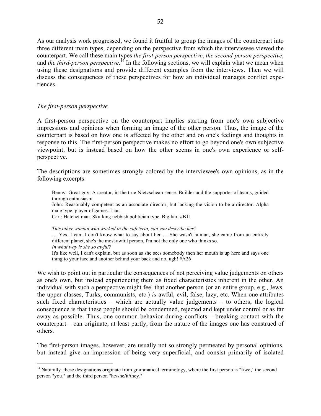As our analysis work progressed, we found it fruitful to group the images of the counterpart into three different main types, depending on the perspective from which the interviewee viewed the counterpart. We call these main types *the first-person perspective*, *the second-person perspective*, and *the third-person perspective*.<sup>14</sup> In the following sections, we will explain what we mean when using these designations and provide different examples from the interviews. Then we will discuss the consequences of these perspectives for how an individual manages conflict experiences.

### *The first-person perspective*

A first-person perspective on the counterpart implies starting from one's own subjective impressions and opinions when forming an image of the other person. Thus, the image of the counterpart is based on how one is affected by the other and on one's feelings and thoughts in response to this. The first-person perspective makes no effort to go beyond one's own subjective viewpoint, but is instead based on how the other seems in one's own experience or selfperspective.

The descriptions are sometimes strongly colored by the interviewee's own opinions, as in the following excerpts:

Benny: Great guy. A creator, in the true Nietzschean sense. Builder and the supporter of teams, guided through enthusiasm. John: Reasonably competent as an associate director, but lacking the vision to be a director. Alpha male type, player of games. Liar. Carl: Hatchet man. Skulking nebbish politician type. Big liar. #B11 *This other woman who worked in the cafeteria, can you describe her?*

… Yes, I can, I don't know what to say about her … She wasn't human, she came from an entirely different planet, she's the most awful person, I'm not the only one who thinks so. *In what way is she so awful?* It's like well, I can't explain, but as soon as she sees somebody then her mouth is up here and says one thing to your face and another behind your back and no, ugh! #A26

We wish to point out in particular the consequences of not perceiving value judgements on others as one's own, but instead experiencing them as fixed characteristics inherent in the other. An individual with such a perspective might feel that another person (or an entire group, e.g., Jews, the upper classes, Turks, communists, etc.) *is* awful, evil, false, lazy, etc. When one attributes such fixed characteristics – which are actually value judgements – to others, the logical consequence is that these people should be condemned, rejected and kept under control or as far away as possible. Thus, one common behavior during conflicts – breaking contact with the counterpart – can originate, at least partly, from the nature of the images one has construed of others.

The first-person images, however, are usually not so strongly permeated by personal opinions, but instead give an impression of being very superficial, and consist primarily of isolated

<sup>&</sup>lt;sup>14</sup> Naturally, these designations originate from grammatical terminology, where the first person is "I/we," the second person "you," and the third person "he/she/it/they."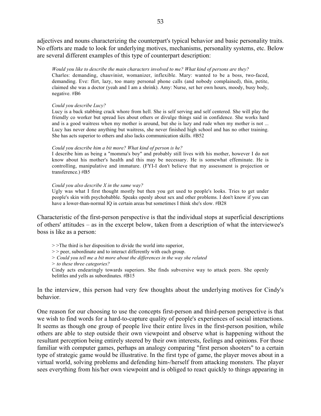adjectives and nouns characterizing the counterpart's typical behavior and basic personality traits. No efforts are made to look for underlying motives, mechanisms, personality systems, etc. Below are several different examples of this type of counterpart description:

*Would you like to describe the main characters involved to me? What kind of persons are they?* Charles: demanding, chauvinist, womanizer, inflexible. Mary: wanted to be a boss, two-faced, demanding. Eve: flirt, lazy, too many personal phone calls (and nobody complained), thin, petite, claimed she was a doctor (yeah and I am a shrink). Amy: Nurse, set her own hours, moody, busy body, negative. #B6

#### *Could you describe Lucy?*

Lucy is a back stabbing crack whore from hell. She is self serving and self centered. She will play the friendly co worker but spread lies about others or divulge things said in confidence. She works hard and is a good waitress when my mother is around, but she is lazy and rude when my mother is not ... Lucy has never done anything but waitress, she never finished high school and has no other training. She has acts superior to others and also lacks communication skills. #B52

#### *Could you describe him a bit more? What kind of person is he?*

I describe him as being a "momma's boy" and probably still lives with his mother, however I do not know about his mother's health and this may be necessary. He is somewhat effeminate. He is controlling, manipulative and immature. (FYI-I don't believe that my assessment is projection or transference.) #B5

#### *Could you also describe X in the same way?*

Ugly was what I first thought mostly but then you get used to people's looks. Tries to get under people's skin with psychobabble. Speaks openly about sex and other problems. I don't know if you can have a lower-than-normal IQ in certain areas but sometimes I think she's slow. #B28

Characteristic of the first-person perspective is that the individual stops at superficial descriptions of others' attitudes – as in the excerpt below, taken from a description of what the interviewee's boss is like as a person:

> >The third is her disposition to divide the world into superior,

> > peer, subordinate and to interact differently with each group.

*> Could you tell me a bit more about the differences in the way she related*

*> to these three categories?*

Cindy acts endearingly towards superiors. She finds subversive way to attack peers. She openly belittles and yells as subordinates. #B15

In the interview, this person had very few thoughts about the underlying motives for Cindy's behavior.

One reason for our choosing to use the concepts first-person and third-person perspective is that we wish to find words for a hard-to-capture quality of people's experiences of social interactions. It seems as though one group of people live their entire lives in the first-person position, while others are able to step outside their own viewpoint and observe what is happening without the resultant perception being entirely steered by their own interests, feelings and opinions. For those familiar with computer games, perhaps an analogy comparing "first person shooters" to a certain type of strategic game would be illustrative. In the first type of game, the player moves about in a virtual world, solving problems and defending him-/herself from attacking monsters. The player sees everything from his/her own viewpoint and is obliged to react quickly to things appearing in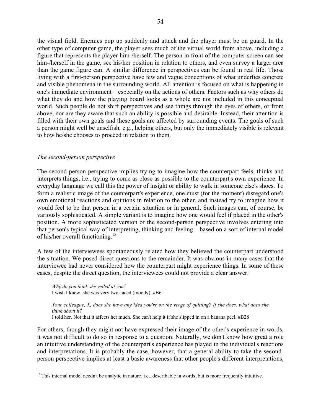the visual field. Enemies pop up suddenly and attack and the player must be on guard. In the other type of computer game, the player sees much of the virtual world from above, including a figure that represents the player him-/herself. The person in front of the computer screen can see him-/herself in the game, see his/her position in relation to others, and even survey a larger area than the game figure can. A similar difference in perspectives can be found in real life. Those living with a first-person perspective have few and vague conceptions of what underlies concrete and visible phenomena in the surrounding world. All attention is focused on what is happening in one's immediate environment – especially on the actions of others. Factors such as why others do what they do and how the playing board looks as a whole are not included in this conceptual world. Such people do not shift perspectives and see things through the eyes of others, or from above, nor are they aware that such an ability is possible and desirable. Instead, their attention is filled with their own goals and these goals are affected by surrounding events. The goals of such a person might well be unselfish, e.g., helping others, but only the immediately visible is relevant to how he/she chooses to proceed in relation to them.

#### *The second-person perspective*

The second-person perspective implies trying to imagine how the counterpart feels, thinks and interprets things, i.e., trying to come as close as possible to the counterpart's own experience. In everyday language we call this the power of insight or ability to walk in someone else's shoes. To form a realistic image of the counterpart's experience, one must (for the moment) disregard one's own emotional reactions and opinions in relation to the other, and instead try to imagine how it would feel to be that person in a certain situation or in general. Such images can, of course, be variously sophisticated. A simple variant is to imagine how one would feel if placed in the other's position. A more sophisticated version of the second-person perspective involves entering into that person's typical way of interpreting, thinking and feeling – based on a sort of internal model of his/her overall functioning.<sup>15</sup>

A few of the interviewees spontaneously related how they believed the counterpart understood the situation. We posed direct questions to the remainder. It was obvious in many cases that the interviewee had never considered how the counterpart might experience things. In some of these cases, despite the direct question, the interviewees could not provide a clear answer:

*Why do you think she yelled at you?* I wish I knew, she was very two-faced (moody). #B6

*Your colleague, X, does she have any idea you're on the verge of quitting? If she does, what does she think about it?*

I told her. Not that it affects her much. She can't help it if she slipped in on a banana peel. #B28

For others, though they might not have expressed their image of the other's experience in words, it was not difficult to do so in response to a question. Naturally, we don't know how great a role an intuitive understanding of the counterpart's experience has played in the individual's reactions and interpretations. It is probably the case, however, that a general ability to take the secondperson perspective implies at least a basic awareness that other people's different interpretations,

 $15$  This internal model needn't be analytic in nature, i.e., describable in words, but is more frequently intuitive.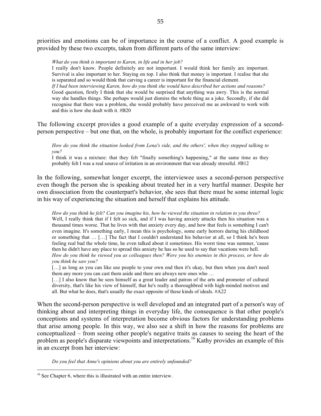priorities and emotions can be of importance in the course of a conflict. A good example is provided by these two excerpts, taken from different parts of the same interview:

#### *What do you think is important to Karen, in life and in her job?*

I really don't know. People definitely are not important. I would think her family are important. Survival is also important to her. Staying on top. I also think that money is important. I realise that she is separated and so would think that carving a career is important for the financial element. *If I had been interviewing Karen, how do you think she would have described her actions and reasons?* Good question, firstly I think that she would be surprised that anything was awry. This is the normal way she handles things. She perhaps would just dismiss the whole thing as a joke. Secondly, if she did recognise that there was a problem, she would probably have perceived me as awkward to work with and this is how she dealt with it. #B20

The following excerpt provides a good example of a quite everyday expression of a secondperson perspective – but one that, on the whole, is probably important for the conflict experience:

*How do you think the situation looked from Lena's side, and the others', when they stopped talking to you?*

I think it was a mixture: that they felt "finally something's happening," at the same time as they probably felt I was a real source of irritation in an environment that was already stressful. #B12

In the following, somewhat longer excerpt, the interviewee uses a second-person perspective even though the person she is speaking about treated her in a very hurtful manner. Despite her own dissociation from the counterpart's behavior, she sees that there must be some internal logic in his way of experiencing the situation and herself that explains his attitude.

*How do you think he felt? Can you imagine his, how he viewed the situation in relation to you three?* Well, I really think that if I felt so sick, and if I was having anxiety attacks then his situation was a thousand times worse. That he lives with that anxiety every day, and how that feels is something I can't even imagine. It's something early, I mean this is psychology, some early horrors during his childhood or something that … […] The fact that I couldn't understand his behavior at all, so I think he's been feeling real bad the whole time, he even talked about it sometimes. His worst time was summer, 'cause then he didn't have any place to spread this anxiety he has so he used to say that vacations were hell. *How do you think he viewed you as colleagues then? Were you his enemies in this process, or how do you think he saw you?*

[...] as long as you can like use people to your own end then it's okay, but then when you don't need them any more you can cast them aside and there are always new ones who …

[...] I also know that he sees himself as a great leader and patron of the arts and promoter of cultural diversity, that's like his view of himself, that he's really a thoroughbred with high-minded motives and all. But what he does, that's usually the exact opposite of these kinds of ideals. #A22

When the second-person perspective is well developed and an integrated part of a person's way of thinking about and interpreting things in everyday life, the consequence is that other people's conceptions and systems of interpretation become obvious factors for understanding problems that arise among people. In this way, we also see a shift in how the reasons for problems are conceptualized – from seeing other people's negative traits as causes to seeing the heart of the problem as people's disparate viewpoints and interpretations.<sup>16</sup> Kathy provides an example of this in an excerpt from her interview:

*Do you feel that Anne's opinions about you are entirely unfounded?*

<sup>&</sup>lt;sup>16</sup> See Chapter 6, where this is illustrated with an entire interview.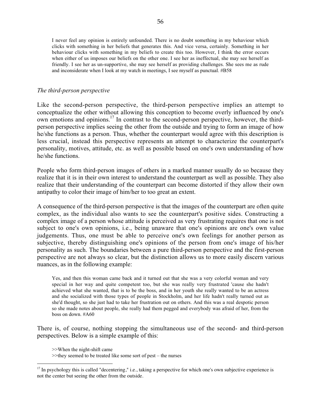I never feel any opinion is entirely unfounded. There is no doubt something in my behaviour which clicks with something in her beliefs that generates this. And vice versa, certainly. Something in her behaviour clicks with something in my beliefs to create this too. However, I think the error occurs when either of us imposes our beliefs on the other one. I see her as ineffectual, she may see herself as friendly. I see her as un-supportive, she may see herself as providing challenges. She sees me as rude and inconsiderate when I look at my watch in meetings, I see myself as punctual. #B58

#### *The third-person perspective*

Like the second-person perspective, the third-person perspective implies an attempt to conceptualize the other without allowing this conception to become overly influenced by one's own emotions and opinions.<sup>17</sup> In contrast to the second-person perspective, however, the thirdperson perspective implies seeing the other from the outside and trying to form an image of how he/she functions as a person. Thus, whether the counterpart would agree with this description is less crucial, instead this perspective represents an attempt to characterize the counterpart's personality, motives, attitude, etc. as well as possible based on one's own understanding of how he/she functions.

People who form third-person images of others in a marked manner usually do so because they realize that it is in their own interest to understand the counterpart as well as possible. They also realize that their understanding of the counterpart can become distorted if they allow their own antipathy to color their image of him/her to too great an extent.

A consequence of the third-person perspective is that the images of the counterpart are often quite complex, as the individual also wants to see the counterpart's positive sides. Constructing a complex image of a person whose attitude is perceived as very frustrating requires that one is not subject to one's own opinions, i.e., being unaware that one's opinions are one's own value judgements. Thus, one must be able to perceive one's own feelings for another person as subjective, thereby distinguishing one's opinions of the person from one's image of his/her personality as such. The boundaries between a pure third-person perspective and the first-person perspective are not always so clear, but the distinction allows us to more easily discern various nuances, as in the following example:

Yes, and then this woman came back and it turned out that she was a very colorful woman and very special in her way and quite competent too, but she was really very frustrated 'cause she hadn't achieved what she wanted, that is to be the boss, and in her youth she really wanted to be an actress and she socialized with those types of people in Stockholm, and her life hadn't really turned out as she'd thought, so she just had to take her frustration out on others. And this was a real despotic person so she made notes about people, she really had them pegged and everybody was afraid of her, from the boss on down. #A60

There is, of course, nothing stopping the simultaneous use of the second- and third-person perspectives. Below is a simple example of this:

>>When the night-shift came

<sup>&</sup>gt;>they seemed to be treated like some sort of pest – the nurses

 $17$  In psychology this is called "decentering," i.e., taking a perspective for which one's own subjective experience is not the center but seeing the other from the outside.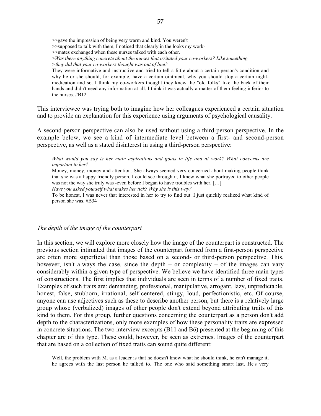>>gave the impression of being very warm and kind. You weren't

- >>supposed to talk with them, I noticed that clearly in the looks my work-
- >>mates exchanged when these nurses talked with each other.
- >*Was there anything concrete about the nurses that irritated your co-workers? Like something >they did that your co-workers thought was out of line?*

They were informative and instructive and tried to tell a little about a certain person's condition and why he or she should, for example, have a certain ointment, why you should stop a certain nightmedication and so. I think my co-workers thought they knew the "old folks" like the back of their hands and didn't need any information at all. I think it was actually a matter of them feeling inferior to the nurses. #B12

This interviewee was trying both to imagine how her colleagues experienced a certain situation and to provide an explanation for this experience using arguments of psychological causality.

A second-person perspective can also be used without using a third-person perspective. In the example below, we see a kind of intermediate level between a first- and second-person perspective, as well as a stated disinterest in using a third-person perspective:

*What would you say is her main aspirations and goals in life and at work? What concerns are important to her?*

Money, money, money and attention. She always seemed very concerned about making people think that she was a happy friendly person. I could see through it, I knew what she portrayed to other people was not the way she truly was -even before I began to have troubles with her. [...]

*Have you asked yourself what makes her tick? Why she is this way?*

To be honest, I was never that interested in her to try to find out. I just quickly realized what kind of person she was. #B34

#### *The depth of the image of the counterpart*

In this section, we will explore more closely how the image of the counterpart is constructed. The previous section intimated that images of the counterpart formed from a first-person perspective are often more superficial than those based on a second- or third-person perspective. This, however, isn't always the case, since the depth – or complexity – of the images can vary considerably within a given type of perspective. We believe we have identified three main types of constructions. The first implies that individuals are seen in terms of a number of fixed traits. Examples of such traits are: demanding, professional, manipulative, arrogant, lazy, unpredictable, honest, false, stubborn, irrational, self-centered, stingy, loud, perfectionistic, etc. Of course, anyone can use adjectives such as these to describe another person, but there is a relatively large group whose (verbalized) images of other people don't extend beyond attributing traits of this kind to them. For this group, further questions concerning the counterpart as a person don't add depth to the characterizations, only more examples of how these personality traits are expressed in concrete situations. The two interview excerpts (B11 and B6) presented at the beginning of this chapter are of this type. These could, however, be seen as extremes. Images of the counterpart that are based on a collection of fixed traits can sound quite different:

Well, the problem with M. as a leader is that he doesn't know what he should think, he can't manage it, he agrees with the last person he talked to. The one who said something smart last. He's very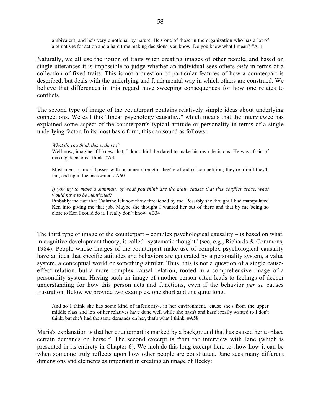ambivalent, and he's very emotional by nature. He's one of those in the organization who has a lot of alternatives for action and a hard time making decisions, you know. Do you know what I mean? #A11

Naturally, we all use the notion of traits when creating images of other people, and based on single utterances it is impossible to judge whether an individual sees others *only* in terms of a collection of fixed traits. This is not a question of particular features of how a counterpart is described, but deals with the underlying and fundamental way in which others are construed. We believe that differences in this regard have sweeping consequences for how one relates to conflicts.

The second type of image of the counterpart contains relatively simple ideas about underlying connections. We call this "linear psychology causality," which means that the interviewee has explained some aspect of the counterpart's typical attitude or personality in terms of a single underlying factor. In its most basic form, this can sound as follows:

#### *What do you think this is due to?*

Well now, imagine if I knew that, I don't think he dared to make his own decisions. He was afraid of making decisions I think. #A4

Most men, or most bosses with no inner strength, they're afraid of competition, they're afraid they'll fail, end up in the backwater. #A60

#### *If you try to make a summary of what you think are the main causes that this conflict arose, what would have to be mentioned?*

Probably the fact that Cathrine felt somehow threatened by me. Possibly she thought I had manipulated Ken into giving me that job. Maybe she thought I wanted her out of there and that by me being so close to Ken I could do it. I really don't know. #B34

The third type of image of the counterpart – complex psychological causality – is based on what, in cognitive development theory, is called "systematic thought" (see, e.g., Richards & Commons, 1984). People whose images of the counterpart make use of complex psychological causality have an idea that specific attitudes and behaviors are generated by a personality system, a value system, a conceptual world or something similar. Thus, this is not a question of a single causeeffect relation, but a more complex causal relation, rooted in a comprehensive image of a personality system. Having such an image of another person often leads to feelings of deeper understanding for how this person acts and functions, even if the behavior *per se* causes frustration. Below we provide two examples, one short and one quite long.

And so I think she has some kind of inferiority-, in her environment, 'cause she's from the upper middle class and lots of her relatives have done well while she hasn't and hasn't really wanted to I don't think, but she's had the same demands on her, that's what I think. #A58

Maria's explanation is that her counterpart is marked by a background that has caused her to place certain demands on herself. The second excerpt is from the interview with Jane (which is presented in its entirety in Chapter 6). We include this long excerpt here to show how it can be when someone truly reflects upon how other people are constituted. Jane sees many different dimensions and elements as important in creating an image of Becky: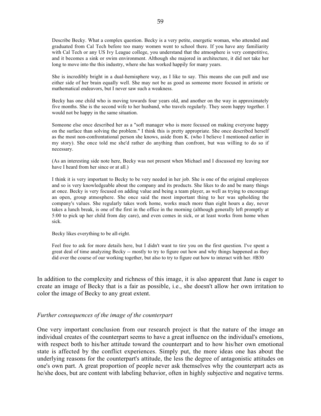Describe Becky. What a complex question. Becky is a very petite, energetic woman, who attended and graduated from Cal Tech before too many women went to school there. If you have any familiarity with Cal Tech or any US Ivy League college, you understand that the atmosphere is very competitive, and it becomes a sink or swim environment. Although she majored in architecture, it did not take her long to move into the this industry, where she has worked happily for many years.

She is incredibly bright in a dual-hemisphere way, as I like to say. This means she can pull and use either side of her brain equally well. She may not be as good as someone more focused in artistic or mathematical endeavors, but I never saw such a weakness.

Becky has one child who is moving towards four years old, and another on the way in approximately five months. She is the second wife to her husband, who travels regularly. They seem happy together. I would not be happy in the same situation.

Someone else once described her as a "soft manager who is more focused on making everyone happy on the surface than solving the problem." I think this is pretty appropriate. She once described herself as the most non-confrontational person she knows, aside from K. (who I believe I mentioned earlier in my story). She once told me she'd rather do anything than confront, but was willing to do so if necessary.

(As an interesting side note here, Becky was not present when Michael and I discussed my leaving nor have I heard from her since or at all.)

I think it is very important to Becky to be very needed in her job. She is one of the original employees and so is very knowledgeable about the company and its products. She likes to do and be many things at once. Becky is very focused on adding value and being a team player, as well as trying to encourage an open, group atmosphere. She once said the most important thing to her was upholding the company's values. She regularly takes work home, works much more than eight hours a day, never takes a lunch break, is one of the first in the office in the morning (although generally left promptly at 5:00 to pick up her child from day care), and even comes in sick, or at least works from home when sick.

Becky likes everything to be all-right.

Feel free to ask for more details here, but I didn't want to tire you on the first question. I've spent a great deal of time analyzing Becky -- mostly to try to figure out how and why things happened as they did over the course of our working together, but also to try to figure out how to interact with her. #B30

In addition to the complexity and richness of this image, it is also apparent that Jane is eager to create an image of Becky that is a fair as possible, i.e., she doesn't allow her own irritation to color the image of Becky to any great extent.

#### *Further consequences of the image of the counterpart*

One very important conclusion from our research project is that the nature of the image an individual creates of the counterpart seems to have a great influence on the individual's emotions, with respect both to his/her attitude toward the counterpart and to how his/her own emotional state is affected by the conflict experiences. Simply put, the more ideas one has about the underlying reasons for the counterpart's attitude, the less the degree of antagonistic attitudes on one's own part. A great proportion of people never ask themselves why the counterpart acts as he/she does, but are content with labeling behavior, often in highly subjective and negative terms.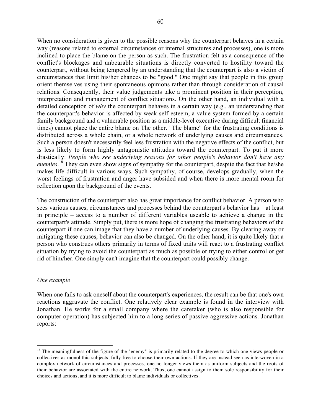When no consideration is given to the possible reasons why the counterpart behaves in a certain way (reasons related to external circumstances or internal structures and processes), one is more inclined to place the blame on the person as such. The frustration felt as a consequence of the conflict's blockages and unbearable situations is directly converted to hostility toward the counterpart, without being tempered by an understanding that the counterpart is also a victim of circumstances that limit his/her chances to be "good." One might say that people in this group orient themselves using their spontaneous opinions rather than through consideration of causal relations. Consequently, their value judgements take a prominent position in their perception, interpretation and management of conflict situations. On the other hand, an individual with a

detailed conception of *why* the counterpart behaves in a certain way (e.g., an understanding that the counterpart's behavior is affected by weak self-esteem, a value system formed by a certain family background and a vulnerable position as a middle-level executive during difficult financial times) cannot place the entire blame on The other. "The blame" for the frustrating conditions is distributed across a whole chain, or a whole network of underlying causes and circumstances. Such a person doesn't necessarily feel less frustration with the negative effects of the conflict, but is less likely to form highly antagonistic attitudes toward the counterpart. To put it more drastically: *People who see underlying reasons for other people's behavior don't have any enemies*. 18 They can even show signs of sympathy for the counterpart, despite the fact that he/she makes life difficult in various ways. Such sympathy, of course, develops gradually, when the worst feelings of frustration and anger have subsided and when there is more mental room for reflection upon the background of the events.

The construction of the counterpart also has great importance for conflict behavior. A person who sees various causes, circumstances and processes behind the counterpart's behavior has – at least in principle – access to a number of different variables useable to achieve a change in the counterpart's attitude. Simply put, there is more hope of changing the frustrating behaviors of the counterpart if one can image that they have a number of underlying causes. By clearing away or mitigating these causes, behavior can also be changed. On the other hand, it is quite likely that a person who construes others primarily in terms of fixed traits will react to a frustrating conflict situation by trying to avoid the counterpart as much as possible or trying to either control or get rid of him/her. One simply can't imagine that the counterpart could possibly change.

### *One example*

When one fails to ask oneself about the counterpart's experiences, the result can be that one's own reactions aggravate the conflict. One relatively clear example is found in the interview with Jonathan. He works for a small company where the caretaker (who is also responsible for computer operation) has subjected him to a long series of passive-aggressive actions. Jonathan reports:

<sup>&</sup>lt;sup>18</sup> The meaningfulness of the figure of the "enemy" is primarily related to the degree to which one views people or collectives as monolithic subjects, fully free to choose their own actions. If they are instead seen as interwoven in a complex network of circumstances and processes, one no longer views them as uniform subjects and the roots of their behavior are associated with the entire network. Thus, one cannot assign to them sole responsibility for their choices and actions, and it is more difficult to blame individuals or collectives.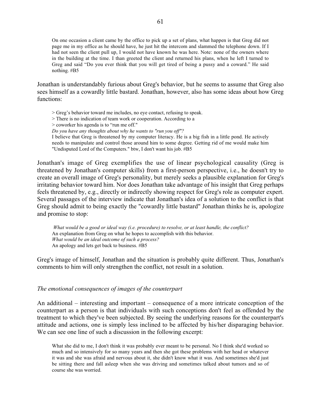On one occasion a client came by the office to pick up a set of plans, what happen is that Greg did not page me in my office as he should have, he just hit the intercom and slammed the telephone down. If I had not seen the client pull up, I would not have known he was here. Note: none of the owners where in the building at the time. I than greeted the client and returned his plans, when he left I turned to Greg and said "Do you ever think that you will get tired of being a pussy and a coward." He said nothing. #B5

Jonathan is understandably furious about Greg's behavior, but he seems to assume that Greg also sees himself as a cowardly little bastard. Jonathan, however, also has some ideas about how Greg functions:

> Greg's behavior toward me includes, no eye contact, refusing to speak.

> There is no indication of team work or cooperation. According to a

> coworker his agenda is to "run me off."

*Do you have any thoughts about why he wants to "run you off"?*

I believe that Greg is threatened by my computer literacy. He is a big fish in a little pond. He actively needs to manipulate and control those around him to some degree. Getting rid of me would make him "Undisputed Lord of the Computers." btw, I don't want his job. #B5

Jonathan's image of Greg exemplifies the use of linear psychological causality (Greg is threatened by Jonathan's computer skills) from a first-person perspective, i.e., he doesn't try to create an overall image of Greg's personality, but merely seeks a plausible explanation for Greg's irritating behavior toward him. Nor does Jonathan take advantage of his insight that Greg perhaps feels threatened by, e.g., directly or indirectly showing respect for Greg's role as computer expert. Several passages of the interview indicate that Jonathan's idea of a solution to the conflict is that Greg should admit to being exactly the "cowardly little bastard" Jonathan thinks he is, apologize and promise to stop:

 *What would be a good or ideal way (i.e. procedure) to resolve, or at least handle, the conflict?* An explanation from Greg on what he hopes to accomplish with this behavior. *What would be an ideal outcome of such a process?* An apology and lets get back to business. #B5

Greg's image of himself, Jonathan and the situation is probably quite different. Thus, Jonathan's comments to him will only strengthen the conflict, not result in a solution.

#### *The emotional consequences of images of the counterpart*

An additional – interesting and important – consequence of a more intricate conception of the counterpart as a person is that individuals with such conceptions don't feel as offended by the treatment to which they've been subjected. By seeing the underlying reasons for the counterpart's attitude and actions, one is simply less inclined to be affected by his/her disparaging behavior. We can see one line of such a discussion in the following excerpt:

What she did to me, I don't think it was probably ever meant to be personal. No I think she'd worked so much and so intensively for so many years and then she got these problems with her head or whatever it was and she was afraid and nervous about it, she didn't know what it was. And sometimes she'd just be sitting there and fall asleep when she was driving and sometimes talked about tumors and so of course she was worried.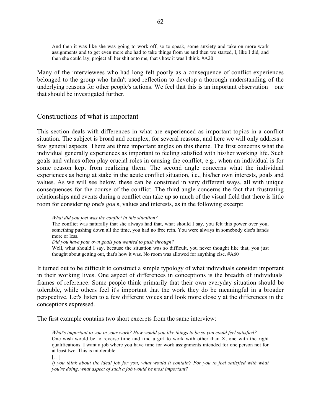And then it was like she was going to work off, so to speak, some anxiety and take on more work assignments and to get even more she had to take things from us and then we started, I, like I did, and then she could lay, project all her shit onto me, that's how it was I think. #A20

Many of the interviewees who had long felt poorly as a consequence of conflict experiences belonged to the group who hadn't used reflection to develop a thorough understanding of the underlying reasons for other people's actions. We feel that this is an important observation – one that should be investigated further.

### Constructions of what is important

This section deals with differences in what are experienced as important topics in a conflict situation. The subject is broad and complex, for several reasons, and here we will only address a few general aspects. There are three important angles on this theme. The first concerns what the individual generally experiences as important to feeling satisfied with his/her working life. Such goals and values often play crucial roles in causing the conflict, e.g., when an individual is for some reason kept from realizing them. The second angle concerns what the individual experiences as being at stake in the acute conflict situation, i.e., his/her own interests, goals and values. As we will see below, these can be construed in very different ways, all with unique consequences for the course of the conflict. The third angle concerns the fact that frustrating relationships and events during a conflict can take up so much of the visual field that there is little room for considering one's goals, values and interests, as in the following excerpt:

*What did you feel was the conflict in this situation?*

The conflict was naturally that she always had that, what should I say, you felt this power over you, something pushing down all the time, you had no free rein. You were always in somebody else's hands more or less.

*Did you have your own goals you wanted to push through?*

Well, what should I say, because the situation was so difficult, you never thought like that, you just thought about getting out, that's how it was. No room was allowed for anything else. #A60

It turned out to be difficult to construct a simple typology of what individuals consider important in their working lives. One aspect of differences in conceptions is the breadth of individuals' frames of reference. Some people think primarily that their own everyday situation should be tolerable, while others feel it's important that the work they do be meaningful in a broader perspective. Let's listen to a few different voices and look more closely at the differences in the conceptions expressed.

The first example contains two short excerpts from the same interview:

*What's important to you in your work? How would you like things to be so you could feel satisfied?* One wish would be to reverse time and find a girl to work with other than X, one with the right qualifications. I want a job where you have time for work assignments intended for one person not for at least two. This is intolerable.

 $\lceil$ ...]

*If you think about the ideal job for you, what would it contain? For you to feel satisfied with what you're doing, what aspect of such a job would be most important?*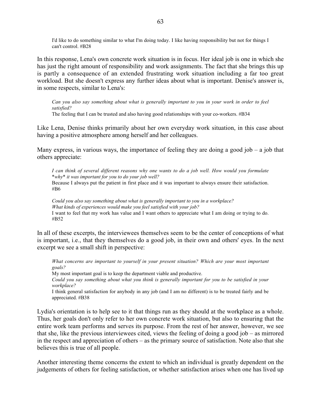I'd like to do something similar to what I'm doing today. I like having responsibility but not for things I can't control. #B28

In this response, Lena's own concrete work situation is in focus. Her ideal job is one in which she has just the right amount of responsibility and work assignments. The fact that she brings this up is partly a consequence of an extended frustrating work situation including a far too great workload. But she doesn't express any further ideas about what is important. Denise's answer is, in some respects, similar to Lena's:

*Can you also say something about what is generally important to you in your work in order to feel satisfied?*

The feeling that I can be trusted and also having good relationships with your co-workers. #B34

Like Lena, Denise thinks primarily about her own everyday work situation, in this case about having a positive atmosphere among herself and her colleagues.

Many express, in various ways, the importance of feeling they are doing a good job – a job that others appreciate:

*I can think of several different reasons why one wants to do a job well. How would you formulate \*why\* it was important for you to do your job well?* Because I always put the patient in first place and it was important to always ensure their satisfaction. #B6

*Could you also say something about what is generally important to you in a workplace? What kinds of experiences would make you feel satisfied with your job?* I want to feel that my work has value and I want others to appreciate what I am doing or trying to do. #B52

In all of these excerpts, the interviewees themselves seem to be the center of conceptions of what is important, i.e., that they themselves do a good job, in their own and others' eyes. In the next excerpt we see a small shift in perspective:

*What concerns are important to yourself in your present situation? Which are your most important goals?*

My most important goal is to keep the department viable and productive. *Could you say something about what you think is generally important for you to be satisfied in your*

*workplace?*

I think general satisfaction for anybody in any job (and I am no different) is to be treated fairly and be appreciated. #B38

Lydia's orientation is to help see to it that things run as they should at the workplace as a whole. Thus, her goals don't only refer to her own concrete work situation, but also to ensuring that the entire work team performs and serves its purpose. From the rest of her answer, however, we see that she, like the previous interviewees cited, views the feeling of doing a good job – as mirrored in the respect and appreciation of others – as the primary source of satisfaction. Note also that she believes this is true of all people.

Another interesting theme concerns the extent to which an individual is greatly dependent on the judgements of others for feeling satisfaction, or whether satisfaction arises when one has lived up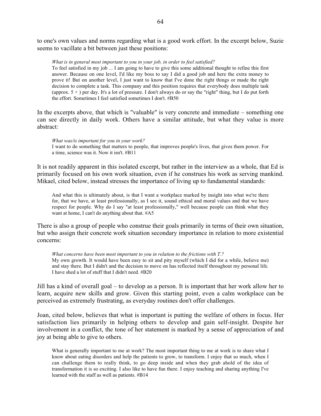to one's own values and norms regarding what is a good work effort. In the excerpt below, Suzie seems to vacillate a bit between just these positions:

*What is in general most important to you in your job, in order to feel satisfied?*

To feel satisfied in my job ... I am going to have to give this some additional thought to refine this first answer. Because on one level, I'd like my boss to say I did a good job and here the extra money to prove it! But on another level, I just want to know that I've done the right things or made the right decision to complete a task. This company and this position requires that everybody does multiple task (approx. 5 + ) per day. It's a lot of pressure. I don't always do or say the "right" thing, but I do put forth the effort. Sometimes I feel satisfied sometimes I don't. #B50

In the excerpts above, that which is "valuable" is very concrete and immediate – something one can see directly in daily work. Others have a similar attitude, but what they value is more abstract:

*What was/is important for you in your work?*

I want to do something that matters to people, that improves people's lives, that gives them power. For a time, science was it. Now it isn't. #B11

It is not readily apparent in this isolated excerpt, but rather in the interview as a whole, that Ed is primarily focused on his own work situation, even if he construes his work as serving mankind. Mikael, cited below, instead stresses the importance of living up to fundamental standards:

And what this is ultimately about, is that I want a workplace marked by insight into what we're there for, that we have, at least professionally, as I see it, sound ethical and moral values and that we have respect for people. Why do I say "at least professionally," well because people can think what they want at home, I can't do anything about that. #A5

There is also a group of people who construe their goals primarily in terms of their own situation, but who assign their concrete work situation secondary importance in relation to more existential concerns:

*What concerns have been most important to you in relation to the frictions with T.?* My own growth. It would have been easy to sit and pity myself (which I did for a while, believe me) and stay there. But I didn't and the decision to move on has reflected itself throughout my personal life. I have shed a lot of stuff that I didn't need. #B20

Jill has a kind of overall goal – to develop as a person. It is important that her work allow her to learn, acquire new skills and grow. Given this starting point, even a calm workplace can be perceived as extremely frustrating, as everyday routines don't offer challenges.

Joan, cited below, believes that what is important is putting the welfare of others in focus. Her satisfaction lies primarily in helping others to develop and gain self-insight. Despite her involvement in a conflict, the tone of her statement is marked by a sense of appreciation of and joy at being able to give to others.

What is generally important to me at work? The most important thing to me at work is to share what I know about eating disorders and help the patients to grow, to transform. I enjoy that so much, when I can challenge them to really think, to go deep inside and when they grab ahold of the idea of transformation it is so exciting. I also like to have fun there. I enjoy teaching and sharing anything I've learned with the staff as well as patients. #B14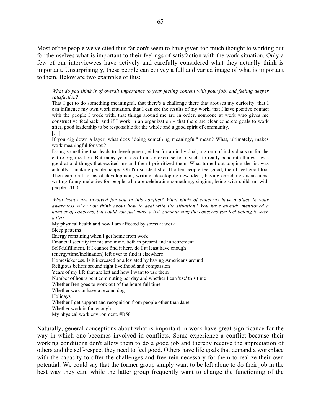Most of the people we've cited thus far don't seem to have given too much thought to working out for themselves what is important to their feelings of satisfaction with the work situation. Only a few of our interviewees have actively and carefully considered what they actually think is important. Unsurprisingly, these people can convey a full and varied image of what is important to them. Below are two examples of this:

*What do you think is of overall importance to your feeling content with your job, and feeling deeper satisfaction?*

That I get to do something meaningful, that there's a challenge there that arouses my curiosity, that I can influence my own work situation, that I can see the results of my work, that I have positive contact with the people I work with, that things around me are in order, someone at work who gives me constructive feedback, and if I work in an organization – that there are clear concrete goals to work after, good leadership to be responsible for the whole and a good spirit of community. […]

If you dig down a layer, what does "doing something meaningful" mean? What, ultimately, makes work meaningful for you?

Doing something that leads to development, either for an individual, a group of individuals or for the entire organization. But many years ago I did an exercise for myself, to really penetrate things I was good at and things that excited me and then I prioritized them. What turned out topping the list was actually – making people happy. Oh I'm so idealistic! If other people feel good, then I feel good too. Then came all forms of development, writing, developing new ideas, having enriching discussions, writing funny melodies for people who are celebrating something, singing, being with children, with people. #B56

*What issues are involved for you in this conflict? What kinds of concerns have a place in your awareness when you think about how to deal with the situation? You have already mentioned a number of concerns, but could you just make a list, summarizing the concerns you feel belong to such a list?*

My physical health and how I am affected by stress at work Sleep patterns Energy remaining when I get home from work Financial security for me and mine, both in present and in retirement Self-fulfillment. If I cannot find it here, do I at least have enough (energy/time/inclination) left over to find it elsewhere Homesickeness. Is it increased or alleviated by having Americans around Religious beliefs around right livelihood and compassion Years of my life that are left and how I want to use them Number of hours pent commuting per day and whether I can 'use' this time Whether Ben goes to work out of the house full time Whether we can have a second dog Holidays Whether I get support and recognition from people other than Jane Whether work is fun enough My physical work environment. #B58

Naturally, general conceptions about what is important in work have great significance for the way in which one becomes involved in conflicts. Some experience a conflict because their working conditions don't allow them to do a good job and thereby receive the appreciation of others and the self-respect they need to feel good. Others have life goals that demand a workplace with the capacity to offer the challenges and free rein necessary for them to realize their own potential. We could say that the former group simply want to be left alone to do their job in the best way they can, while the latter group frequently want to change the functioning of the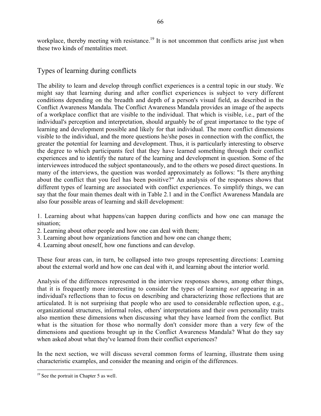workplace, thereby meeting with resistance.<sup>19</sup> It is not uncommon that conflicts arise just when these two kinds of mentalities meet.

# Types of learning during conflicts

The ability to learn and develop through conflict experiences is a central topic in our study. We might say that learning during and after conflict experiences is subject to very different conditions depending on the breadth and depth of a person's visual field, as described in the Conflict Awareness Mandala. The Conflict Awareness Mandala provides an image of the aspects of a workplace conflict that are visible to the individual. That which is visible, i.e., part of the individual's perception and interpretation, should arguably be of great importance to the type of learning and development possible and likely for that individual. The more conflict dimensions visible to the individual, and the more questions he/she poses in connection with the conflict, the greater the potential for learning and development. Thus, it is particularly interesting to observe the degree to which participants feel that they have learned something through their conflict experiences and to identify the nature of the learning and development in question. Some of the interviewees introduced the subject spontaneously, and to the others we posed direct questions. In many of the interviews, the question was worded approximately as follows: "Is there anything about the conflict that you feel has been positive?" An analysis of the responses shows that different types of learning are associated with conflict experiences. To simplify things, we can say that the four main themes dealt with in Table 2.1 and in the Conflict Awareness Mandala are also four possible areas of learning and skill development:

1. Learning about what happens/can happen during conflicts and how one can manage the situation;

- 2. Learning about other people and how one can deal with them;
- 3. Learning about how organizations function and how one can change them;
- 4. Learning about oneself, how one functions and can develop.

These four areas can, in turn, be collapsed into two groups representing directions: Learning about the external world and how one can deal with it, and learning about the interior world.

Analysis of the differences represented in the interview responses shows, among other things, that it is frequently more interesting to consider the types of learning *not* appearing in an individual's reflections than to focus on describing and characterizing those reflections that are articulated. It is not surprising that people who are used to considerable reflection upon, e.g., organizational structures, informal roles, others' interpretations and their own personality traits also mention these dimensions when discussing what they have learned from the conflict. But what is the situation for those who normally don't consider more than a very few of the dimensions and questions brought up in the Conflict Awareness Mandala? What do they say when asked about what they've learned from their conflict experiences?

In the next section, we will discuss several common forms of learning, illustrate them using characteristic examples, and consider the meaning and origin of the differences.

<sup>&</sup>lt;sup>19</sup> See the portrait in Chapter 5 as well.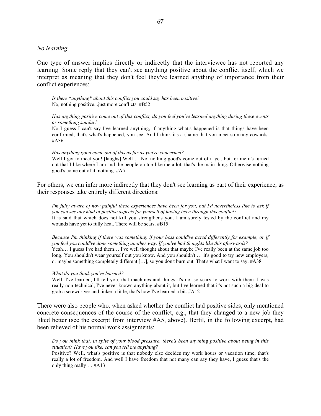#### *No learning*

One type of answer implies directly or indirectly that the interviewee has not reported any learning. Some reply that they can't see anything positive about the conflict itself, which we interpret as meaning that they don't feel they've learned anything of importance from their conflict experiences:

*Is there \*anything\* about this conflict you could say has been positive?* No, nothing positive...just more conflicts. #B52

*Has anything positive come out of this conflict, do you feel you've learned anything during these events or something similar?*

No I guess I can't say I've learned anything, if anything what's happened is that things have been confirmed, that's what's happened, you see. And I think it's a shame that you meet so many cowards. #A36

#### *Has anything good come out of this as far as you're concerned?*

Well I got to meet you! [laughs] Well.... No, nothing good's come out of it yet, but for me it's turned out that I like where I am and the people on top like me a lot, that's the main thing. Otherwise nothing good's come out of it, nothing. #A5

For others, we can infer more indirectly that they don't see learning as part of their experience, as their responses take entirely different directions:

*I'm fully aware of how painful these experiences have been for you, but I'd nevertheless like to ask if you can see any kind of positive aspects for yourself of having been through this conflict?* It is said that which does not kill you strengthens you. I am sorely tested by the conflict and my wounds have yet to fully heal. There will be scars. #B15

*Because I'm thinking if there was something, if your boss could've acted differently for example, or if you feel you could've done something another way. If you've had thoughts like this afterwards?* Yeah… I guess I've had them… I've well thought about that maybe I've really been at the same job too long. You shouldn't wear yourself out you know. And you shouldn't … it's good to try new employers, or maybe something completely different […], so you don't burn out. That's what I want to say. #A38

#### *What do you think you've learned?*

Well, I've learned, I'll tell you, that machines and things it's not so scary to work with them. I was really non-technical, I've never known anything about it, but I've learned that it's not such a big deal to grab a screwdriver and tinker a little, that's how I've learned a bit. #A12

There were also people who, when asked whether the conflict had positive sides, only mentioned concrete consequences of the course of the conflict, e.g., that they changed to a new job they liked better (see the excerpt from interview #A5, above). Bertil, in the following excerpt, had been relieved of his normal work assignments:

*Do you think that, in spite of your blood pressure, there's been anything positive about being in this situation? Have you like, can you tell me anything?*

Positive? Well, what's positive is that nobody else decides my work hours or vacation time, that's really a lot of freedom. And well I have freedom that not many can say they have, I guess that's the only thing really … #A13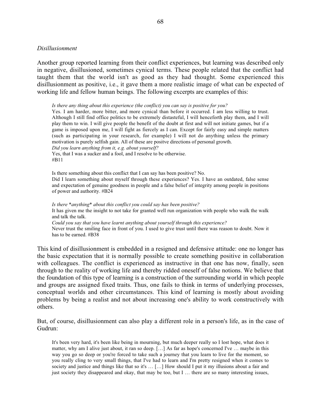### *Disillusionment*

Another group reported learning from their conflict experiences, but learning was described only in negative, disillusioned, sometimes cynical terms. These people related that the conflict had taught them that the world isn't as good as they had thought. Some experienced this disillusionment as positive, i.e., it gave them a more realistic image of what can be expected of working life and fellow human beings. The following excerpts are examples of this:

*Is there any thing about this experience (the conflict) you can say is positive for you?*

Yes. I am harder, more bitter, and more cynical than before it occurred. I am less willing to trust. Although I still find office politics to be extremely distasteful, I will henceforth play them, and I will play them to win. I will give people the benefit of the doubt at first and will not initiate games, but if a game is imposed upon me, I will fight as fiercely as I can. Except for fairly easy and simple matters (such as participating in your research, for example) I will not do anything unless the primary motivation is purely selfish gain. All of these are positve directions of personal growth. *Did you learn anything from it, e.g. about yourself?*

Yes, that I was a sucker and a fool, and I resolve to be otherwise. #B11

Is there something about this conflict that I can say has been positive? No. Did I learn something about myself through these experiences? Yes. I have an outdated, false sense and expectation of genuine goodness in people and a false belief of integrity among people in positions of power and authority. #B24

*Is there \*anything\* about this conflict you could say has been positive?* It has given me the insight to not take for granted well run organization with people who walk the walk and talk the talk. *Could you say that you have learnt anything about yourself through this experience?* Never trust the smiling face in front of you. I used to give trust until there was reason to doubt. Now it has to be earned. #B38

This kind of disillusionment is embedded in a resigned and defensive attitude: one no longer has the basic expectation that it is normally possible to create something positive in collaboration with colleagues. The conflict is experienced as instructive in that one has now, finally, seen through to the reality of working life and thereby ridded oneself of false notions. We believe that the foundation of this type of learning is a construction of the surrounding world in which people and groups are assigned fixed traits. Thus, one fails to think in terms of underlying processes, conceptual worlds and other circumstances. This kind of learning is mostly about avoiding problems by being a realist and not about increasing one's ability to work constructively with others.

But, of course, disillusionment can also play a different role in a person's life, as in the case of Gudrun:

It's been very hard, it's been like being in mourning, but much deeper really so I lost hope, what does it matter, why am I alive just about, it ran so deep. […] As far as hope's concerned I've … maybe in this way you go so deep or you're forced to take such a journey that you learn to live for the moment, so you really cling to very small things, that I've had to learn and I'm pretty resigned when it comes to society and justice and things like that so it's ... [...] How should I put it my illusions about a fair and just society they disappeared and okay, that may be too, but I … there are so many interesting issues,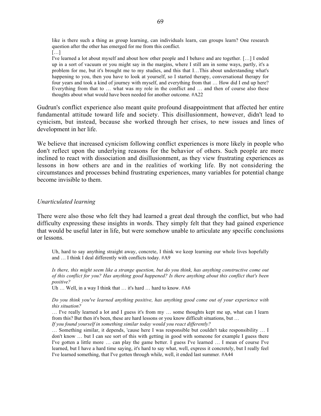like is there such a thing as group learning, can individuals learn, can groups learn? One research question after the other has emerged for me from this conflict.  $[\dots]$ 

I've learned a lot about myself and about how other people and I behave and are together. […] I ended up in a sort of vacuum or you might say in the margins, where I still am in some ways, partly, it's a problem for me, but it's brought me to my studies, and this that I…This about understanding what's happening to you, then you have to look at yourself, so I started therapy, conversational therapy for four years and took a kind of journey with myself, and everything from that … How did I end up here? Everything from that to ... what was my role in the conflict and ... and then of course also these thoughts about what would have been needed for another outcome. #A22

Gudrun's conflict experience also meant quite profound disappointment that affected her entire fundamental attitude toward life and society. This disillusionment, however, didn't lead to cynicism, but instead, because she worked through her crises, to new issues and lines of development in her life.

We believe that increased cynicism following conflict experiences is more likely in people who don't reflect upon the underlying reasons for the behavior of others. Such people are more inclined to react with dissociation and disillusionment, as they view frustrating experiences as lessons in how others are and in the realities of working life. By not considering the circumstances and processes behind frustrating experiences, many variables for potential change become invisible to them.

# *Unarticulated learning*

There were also those who felt they had learned a great deal through the conflict, but who had difficulty expressing these insights in words. They simply felt that they had gained experience that would be useful later in life, but were somehow unable to articulate any specific conclusions or lessons.

Uh, hard to say anything straight away, concrete, I think we keep learning our whole lives hopefully and … I think I deal differently with conflicts today. #A9

*Is there, this might seem like a strange question, but do you think, has anything constructive come out of this conflict for you? Has anything good happened? Is there anything about this conflict that's been positive?*

Uh ... Well, in a way I think that ... it's hard ... hard to know. #A6

*Do you think you've learned anything positive, has anything good come out of your experience with this situation?*

… I've really learned a lot and I guess it's from my … some thoughts kept me up, what can I learn from this? But then it's been, these are hard lessons or you know difficult situations, but …

*If you found yourself in something similar today would you react differently?*

… Something similar, it depends, 'cause here I was responsible but couldn't take responsibility … I don't know … but I can see sort of this with getting in good with someone for example I guess there I've gotten a little more … can play the game better. I guess I've learned … I mean of course I've learned, but I have a hard time saying, it's hard to say what, well, express it concretely, but I really feel I've learned something, that I've gotten through while, well, it ended last summer. #A44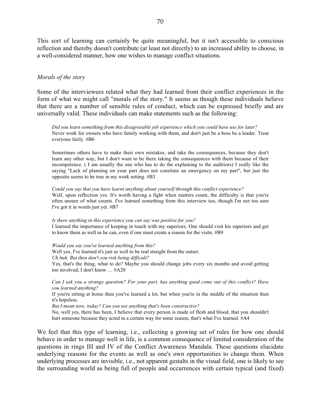This sort of learning can certainly be quite meaningful, but it isn't accessible to conscious reflection and thereby doesn't contribute (at least not directly) to an increased ability to choose, in a well-considered manner, how one wishes to manage conflict situations.

### *Morals of the story*

Some of the interviewees related what they had learned from their conflict experiences in the form of what we might call "morals of the story." It seems as though these individuals believe that there are a number of sensible rules of conduct, which can be expressed briefly and are universally valid. These individuals can make statements such as the following:

*Did you learn something from this disagreeable job experience which you could have use for later?* Never work for owners who have family working with them, and don't just be a boss be a leader. Treat everyone fairly. #B6

Sometimes others have to make their own mistakes, and take the consequences, because they don't learn any other way, but I don't want to be there taking the consequences with them because of their incompetence. ( I am usually the one who has to do the explaining to the auditiors) I really like the saying "Lack of planning on your part does not consitute an emergency on my part", but just the opposite seems to be true in my work setting. #B3

*Could you say that you have learnt anything about yourself through this conflict experience?* Well, upon reflection yes. It's worth having a fight when matters count, the difficulty is that you're often unsure of what counts. I've learned something from this interview too, though I'm not too sure I've got it in words just yet. #B7

*Is there anything in this experience you can say was positive for you?* I learned the importance of keeping in touch with my superiors. One should visit his superiors and get to know them as well as he can, even if one must create a reason for the visits. #B9

*Would you say you've learned anything from this?* Well yes, I've learned it's just as well to be real straight from the outset. *Uh huh. But then don't you risk being difficult?* Yes, that's the thing, what to do? Maybe you should change jobs every six months and avoid getting too involved, I don't know … #A20

*Can I ask you a strange question? For your part, has anything good come out of this conflict? Have you learned anything?*

If you're sitting at home then you've learned a lot, but when you're in the middle of the situation then it's hopeless.

*But I mean now, today? Can you see anything that's been constructive?*

No, well yes, there has been, I believe that every person is made of flesh and blood, that you shouldn't hurt someone because they acted in a certain way for some reason, that's what I've learned. #A4

We feel that this type of learning, i.e., collecting a growing set of rules for how one should behave in order to manage well in life, is a common consequence of limited consideration of the questions in rings III and IV of the Conflict Awareness Mandala. These questions elucidate underlying reasons for the events as well as one's own opportunities to change them. When underlying processes are invisible, i.e., not apparent gestalts in the visual field, one is likely to see the surrounding world as being full of people and occurrences with certain typical (and fixed)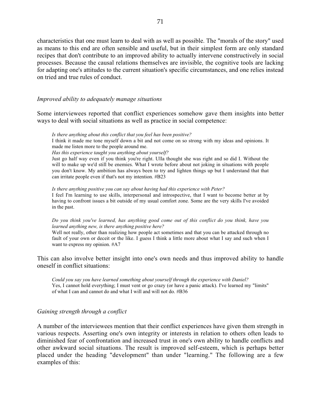characteristics that one must learn to deal with as well as possible. The "morals of the story" used as means to this end are often sensible and useful, but in their simplest form are only standard recipes that don't contribute to an improved ability to actually intervene constructively in social processes. Because the causal relations themselves are invisible, the cognitive tools are lacking for adapting one's attitudes to the current situation's specific circumstances, and one relies instead on tried and true rules of conduct.

# *Improved ability to adequately manage situations*

Some interviewees reported that conflict experiences somehow gave them insights into better ways to deal with social situations as well as practice in social competence:

*Is there anything about this conflict that you feel has been positive?* I think it made me tone myself down a bit and not come on so strong with my ideas and opinions. It made me listen more to the people around me.

*Has this experience taught you anything about yourself?*

Just go half way even if you think you're right. Ulla thought she was right and so did I. Without the will to make up we'd still be enemies. What I wrote before about not joking in situations with people you don't know. My ambition has always been to try and lighten things up but I understand that that can irritate people even if that's not my intention. #B23

*Is there anything positive you can say about having had this experience with Peter?* I feel I'm learning to use skills, interpersonal and introspective, that I want to become better at by having to confront issues a bit outside of my usual comfort zone. Some are the very skills I've avoided in the past.

*Do you think you've learned, has anything good come out of this conflict do you think, have you learned anything new, is there anything positive here?*

Well not really, other than realizing how people act sometimes and that you can be attacked through no fault of your own or deceit or the like. I guess I think a little more about what I say and such when I want to express my opinion. #A7

This can also involve better insight into one's own needs and thus improved ability to handle oneself in conflict situations:

*Could you say you have learned something about yourself through the experience with Daniel?* Yes, I cannot hold everything; I must vent or go crazy (or have a panic attack). I've learned my "limits" of what I can and cannot do and what I will and will not do. #B36

# *Gaining strength through a conflict*

A number of the interviewees mention that their conflict experiences have given them strength in various respects. Asserting one's own integrity or interests in relation to others often leads to diminished fear of confrontation and increased trust in one's own ability to handle conflicts and other awkward social situations. The result is improved self-esteem, which is perhaps better placed under the heading "development" than under "learning." The following are a few examples of this: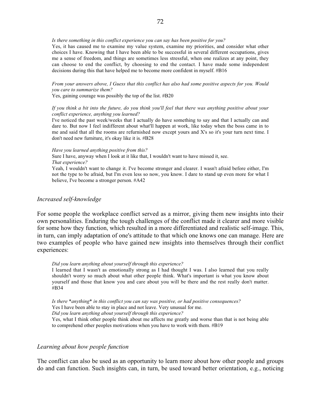### *Is there something in this conflict experience you can say has been positive for you?*

Yes, it has caused me to examine my value system, examine my priorities, and consider what other choices I have. Knowing that I have been able to be successful in several different occupations, gives me a sense of freedom, and things are sometimes less stressful, when one realizes at any point, they can choose to end the conflict, by choosing to end the contact. I have made some independent decisions during this that have helped me to become more confident in myself. #B16

*From your answers above, I Guess that this conflict has also had some positive aspects for you. Would you care to summarize them?*

Yes, gaining courage was possibly the top of the list. #B20

### *If you think a bit into the future, do you think you'll feel that there was anything positive about your conflict experience, anything you learned?*

I've noticed the past week/weeks that I actually do have something to say and that I actually can and dare to. But now I feel indifferent about what'll happen at work, like today when the boss came in to me and said that all the rooms are refurnished now except yours and X's so it's your turn next time. I don't need new furniture, it's okay like it is. #B28

#### *Have you learned anything positive from this?*

Sure I have, anyway when I look at it like that, I wouldn't want to have missed it, see. *That experience?*

Yeah, I wouldn't want to change it. I've become stronger and clearer. I wasn't afraid before either, I'm not the type to be afraid, but I'm even less so now, you know. I dare to stand up even more for what I believe, I've become a stronger person. #A42

### *Increased self-knowledge*

For some people the workplace conflict served as a mirror, giving them new insights into their own personalities. Enduring the tough challenges of the conflict made it clearer and more visible for some how they function, which resulted in a more differentiated and realistic self-image. This, in turn, can imply adaptation of one's attitude to that which one knows one can manage. Here are two examples of people who have gained new insights into themselves through their conflict experiences:

#### *Did you learn anything about yourself through this experience?*

I learned that I wasn't as emotionally strong as I had thought I was. I also learned that you really shouldn't worry so much about what other people think. What's important is what you know about yourself and those that know you and care about you will be there and the rest really don't matter. #B34

*Is there \*anything\* in this conflict you can say was positive, or had positive consequences?* Yes I have been able to stay in place and not leave. Very unusual for me. *Did you learn anything about yourself through this experience?* Yes, what I think other people think about me affects me greatly and worse than that is not being able to comprehend other peoples motivations when you have to work with them. #B19

### *Learning about how people function*

The conflict can also be used as an opportunity to learn more about how other people and groups do and can function. Such insights can, in turn, be used toward better orientation, e.g., noticing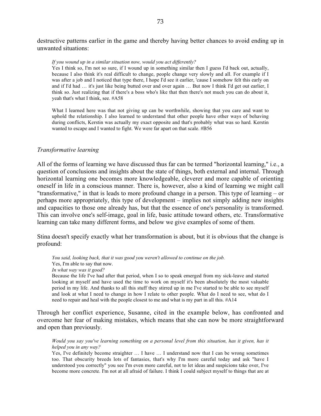destructive patterns earlier in the game and thereby having better chances to avoid ending up in unwanted situations:

#### *If you wound up in a similar situation now, would you act differently?*

Yes I think so, I'm not so sure, if I wound up in something similar then I guess I'd back out, actually, because I also think it's real difficult to change, people change very slowly and all. For example if I was after a job and I noticed that type there, I hope I'd see it earlier, 'cause I somehow felt this early on and if I'd had … it's just like being butted over and over again … But now I think I'd get out earlier, I think so. Just realizing that if there's a boss who's like that then there's not much you can do about it, yeah that's what I think, see. #A58

What I learned here was that not giving up can be worthwhile, showing that you care and want to uphold the relationship. I also learned to understand that other people have other ways of behaving during conflicts, Kerstin was actually my exact opposite and that's probably what was so hard. Kerstin wanted to escape and I wanted to fight. We were far apart on that scale. #B56

### *Transformative learning*

All of the forms of learning we have discussed thus far can be termed "horizontal learning," i.e., a question of conclusions and insights about the state of things, both external and internal. Through horizontal learning one becomes more knowledgeable, cleverer and more capable of orienting oneself in life in a conscious manner. There is, however, also a kind of learning we might call "transformative," in that is leads to more profound change in a person. This type of learning – or perhaps more appropriately, this type of development – implies not simply adding new insights and capacities to those one already has, but that the essence of one's personality is transformed. This can involve one's self-image, goal in life, basic attitude toward others, etc. Transformative learning can take many different forms, and below we give examples of some of them.

Stina doesn't specify exactly what her transformation is about, but it is obvious that the change is profound:

*You said, looking back, that it was good you weren't allowed to continue on the job.* Yes, I'm able to say that now.

*In what way was it good?*

Because the life I've had after that period, when I so to speak emerged from my sick-leave and started looking at myself and have used the time to work on myself it's been absolutely the most valuable period in my life. And thanks to all this stuff they stirred up in me I've started to be able to see myself and look at what I need to change in how I relate to other people. What do I need to see, what do I need to repair and heal with the people closest to me and what is my part in all this. #A14

Through her conflict experience, Susanne, cited in the example below, has confronted and overcome her fear of making mistakes, which means that she can now be more straightforward and open than previously.

*Would you say you've learning something on a personal level from this situation, has it given, has it helped you in any way?*

Yes, I've definitely become straighter … I have … I understand now that I can be wrong sometimes too. That obscurity breeds lots of fantasies, that's why I'm more careful today and ask "have I understood you correctly" you see I'm even more careful, not to let ideas and suspicions take over, I've become more concrete. I'm not at all afraid of failure. I think I could subject myself to things that are at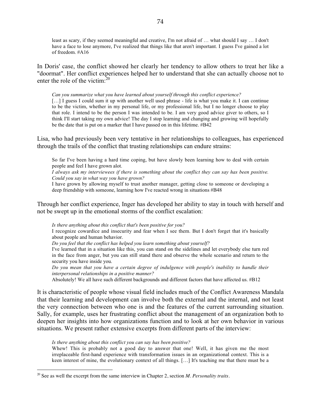least as scary, if they seemed meaningful and creative, I'm not afraid of … what should I say … I don't have a face to lose anymore, I've realized that things like that aren't important. I guess I've gained a lot of freedom. #A16

In Doris' case, the conflict showed her clearly her tendency to allow others to treat her like a "doormat". Her conflict experiences helped her to understand that she can actually choose not to enter the role of the victim: $^{20}$ 

*Can you summarize what you have learned about yourself through this conflict experience?* [...] I guess I could sum it up with another well used phrase - life is what you make it. I can continue to be the victim, whether in my personal life, or my professional life, but I no longer choose to play that role. I intend to be the person I was intended to be. I am very good advice giver to others, so I think I'll start taking my own advice! The day I stop learning and changing and growing will hopefully be the date that is put on a marker that I have passed on in this lifetime. #B42

Lisa, who had previously been very tentative in her relationships to colleagues, has experienced through the trails of the conflict that trusting relationships can endure strains:

So far I've been having a hard time coping, but have slowly been learning how to deal with certain people and feel I have grown alot.

*I always ask my interviewees if there is something about the conflict they can say has been positive. Could you say in what way you have grown?*

I have grown by allowing myself to trust another manager, getting close to someone or developing a deep friendship with someone, learning how I've reacted wrong in situations #B48

Through her conflict experience, Inger has developed her ability to stay in touch with herself and not be swept up in the emotional storms of the conflict escalation:

*Is there anything about this conflict that's been positive for you?* I recognize cowardice and insecurity and fear when I see them. But I don't forget that it's basically about people and human behavior. *Do you feel that the conflict has helped you learn something about yourself?* I've learned that in a situation like this, you can stand on the sidelines and let everybody else turn red

in the face from anger, but you can still stand there and observe the whole scenario and return to the security you have inside you.

*Do you mean that you have a certain degree of indulgence with people's inability to handle their interpersonal relationships in a positive manner?*

Absolutely! We all have such different backgrounds and different factors that have affected us. #B12

It is characteristic of people whose visual field includes much of the Conflict Awareness Mandala that their learning and development can involve both the external and the internal, and not least the very connection between who one is and the features of the current surrounding situation. Sally, for example, uses her frustrating conflict about the management of an organization both to deepen her insights into how organizations function and to look at her own behavior in various situations. We present rather extensive excerpts from different parts of the interview:

*Is there anything about this conflict you can say has been positive?*

Whew! This is probably not a good day to answer that one! Well, it has given me the most irreplaceable first-hand experience with transformation issues in an organizational context. This is a keen interest of mine, the evolutionary context of all things. […] It's teaching me that there must be a

 <sup>20</sup> See as well the excerpt from the same interview in Chapter 2, section *M. Personality traits*.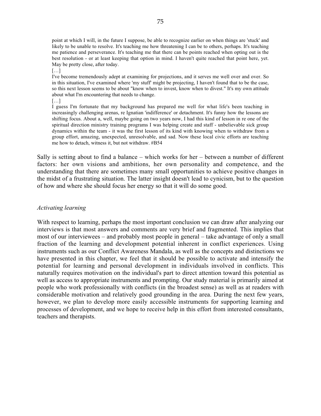point at which I will, in the future I suppose, be able to recognize earlier on when things are 'stuck' and likely to be unable to resolve. It's teaching me how threatening I can be to others, perhaps. It's teaching me patience and perseverance. It's teaching me that there can be points reached when opting out is the best resolution - or at least keeping that option in mind. I haven't quite reached that point here, yet. May be pretty close, after today.

 $[...]$ 

I've become tremendously adept at examining for projections, and it serves me well over and over. So in this situation, I've examined where 'my stuff' might be projecting, I haven't found that to be the case, so this next lesson seems to be about "know when to invest, know when to divest." It's my own attitude about what I'm encountering that needs to change.

 $[...]$ 

I guess I'm fortunate that my background has prepared me well for what life's been teaching in increasingly challenging arenas, re Ignatian 'indifference' or detachment. It's funny how the lessons are shifting focus. About a, well, maybe going on two years now, I had this kind of lesson in re one of the spiritual direction ministry training programs I was helping create and staff - unbelievable sick group dynamics within the team - it was the first lesson of its kind with knowing when to withdraw from a group effort, amazing, unexpected, unresolvable, and sad. Now these local civic efforts are teaching me how to detach, witness it, but not withdraw. #B54

Sally is setting about to find a balance – which works for her – between a number of different factors: her own visions and ambitions, her own personality and competence, and the understanding that there are sometimes many small opportunities to achieve positive changes in the midst of a frustrating situation. The latter insight doesn't lead to cynicism, but to the question of how and where she should focus her energy so that it will do some good.

### *Activating learning*

With respect to learning, perhaps the most important conclusion we can draw after analyzing our interviews is that most answers and comments are very brief and fragmented. This implies that most of our interviewees – and probably most people in general – take advantage of only a small fraction of the learning and development potential inherent in conflict experiences. Using instruments such as our Conflict Awareness Mandala, as well as the concepts and distinctions we have presented in this chapter, we feel that it should be possible to activate and intensify the potential for learning and personal development in individuals involved in conflicts. This naturally requires motivation on the individual's part to direct attention toward this potential as well as access to appropriate instruments and prompting. Our study material is primarily aimed at people who work professionally with conflicts (in the broadest sense) as well as at readers with considerable motivation and relatively good grounding in the area. During the next few years, however, we plan to develop more easily accessible instruments for supporting learning and processes of development, and we hope to receive help in this effort from interested consultants, teachers and therapists.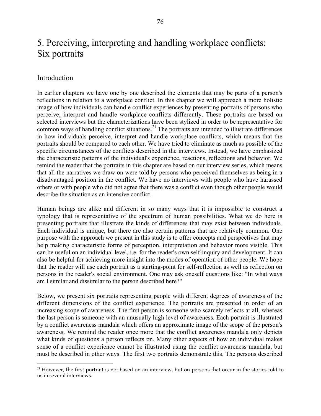# 5. Perceiving, interpreting and handling workplace conflicts: Six portraits

# Introduction

In earlier chapters we have one by one described the elements that may be parts of a person's reflections in relation to a workplace conflict. In this chapter we will approach a more holistic image of how individuals can handle conflict experiences by presenting portraits of persons who perceive, interpret and handle workplace conflicts differently. These portraits are based on selected interviews but the characterizations have been stylized in order to be representative for common ways of handling conflict situations.<sup>21</sup> The portraits are intended to illustrate differences in how individuals perceive, interpret and handle workplace conflicts, which means that the portraits should be compared to each other. We have tried to eliminate as much as possible of the specific circumstances of the conflicts described in the interviews. Instead, we have emphasized the characteristic patterns of the individual's experience, reactions, reflections and behavior. We remind the reader that the portraits in this chapter are based on our interview series, which means that all the narratives we draw on were told by persons who perceived themselves as being in a disadvantaged position in the conflict. We have no interviews with people who have harassed others or with people who did not agree that there was a conflict even though other people would describe the situation as an intensive conflict.

Human beings are alike and different in so many ways that it is impossible to construct a typology that is representative of the spectrum of human possibilities. What we do here is presenting portraits that illustrate the kinds of differences that may exist between individuals. Each individual is unique, but there are also certain patterns that are relatively common. One purpose with the approach we present in this study is to offer concepts and perspectives that may help making characteristic forms of perception, interpretation and behavior more visible. This can be useful on an individual level, i.e. for the reader's own self-inquiry and development. It can also be helpful for achieving more insight into the modes of operation of other people. We hope that the reader will use each portrait as a starting-point for self-reflection as well as reflection on persons in the reader's social environment. One may ask oneself questions like: "In what ways am I similar and dissimilar to the person described here?"

Below, we present six portraits representing people with different degrees of awareness of the different dimensions of the conflict experience. The portraits are presented in order of an increasing scope of awareness. The first person is someone who scarcely reflects at all, whereas the last person is someone with an unusually high level of awareness. Each portrait is illustrated by a conflict awareness mandala which offers an approximate image of the scope of the person's awareness. We remind the reader once more that the conflict awareness mandala only depicts what kinds of questions a person reflects on. Many other aspects of how an individual makes sense of a conflict experience cannot be illustrated using the conflict awareness mandala, but must be described in other ways. The first two portraits demonstrate this. The persons described

<sup>&</sup>lt;sup>21</sup> However, the first portrait is not based on an interview, but on persons that occur in the stories told to us in several interviews.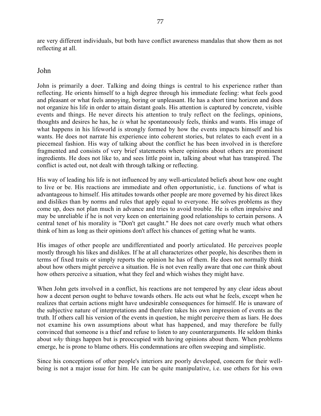are very different individuals, but both have conflict awareness mandalas that show them as not reflecting at all.

# John

John is primarily a doer. Talking and doing things is central to his experience rather than reflecting. He orients himself to a high degree through his immediate feeling: what feels good and pleasant or what feels annoying, boring or unpleasant. He has a short time horizon and does not organize his life in order to attain distant goals. His attention is captured by concrete, visible events and things. He never directs his attention to truly reflect on the feelings, opinions, thoughts and desires he has, he *is* what he spontaneously feels, thinks and wants. His image of what happens in his lifeworld is strongly formed by how the events impacts himself and his wants. He does not narrate his experience into coherent stories, but relates to each event in a piecemeal fashion. His way of talking about the conflict he has been involved in is therefore fragmented and consists of very brief statements where opinions about others are prominent ingredients. He does not like to, and sees little point in, talking about what has transpired. The conflict is acted out, not dealt with through talking or reflecting.

His way of leading his life is not influenced by any well-articulated beliefs about how one ought to live or be. His reactions are immediate and often opportunistic, i.e. functions of what is advantageous to himself. His attitudes towards other people are more governed by his direct likes and dislikes than by norms and rules that apply equal to everyone. He solves problems as they come up, does not plan much in advance and tries to avoid trouble. He is often impulsive and may be unreliable if he is not very keen on entertaining good relationships to certain persons. A central tenet of his morality is "Don't get caught." He does not care overly much what others think of him as long as their opinions don't affect his chances of getting what he wants.

His images of other people are undifferentiated and poorly articulated. He perceives people mostly through his likes and dislikes. If he at all characterizes other people, his describes them in terms of fixed traits or simply reports the opinion he has of them. He does not normally think about how others might perceive a situation. He is not even really aware that one *can* think about how others perceive a situation, what they feel and which wishes they might have.

When John gets involved in a conflict, his reactions are not tempered by any clear ideas about how a decent person ought to behave towards others. He acts out what he feels, except when he realizes that certain actions might have undesirable consequences for himself. He is unaware of the subjective nature of interpretations and therefore takes his own impression of events as the truth. If others call his version of the events in question, he might perceive them as liars. He does not examine his own assumptions about what has happened, and may therefore be fully convinced that someone is a thief and refuse to listen to any counterarguments. He seldom thinks about *why* things happen but is preoccupied with having opinions about them. When problems emerge, he is prone to blame others. His condemnations are often sweeping and simplistic.

Since his conceptions of other people's interiors are poorly developed, concern for their wellbeing is not a major issue for him. He can be quite manipulative, i.e. use others for his own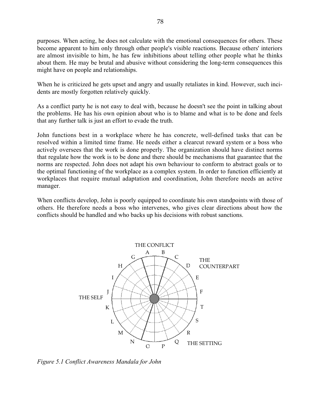purposes. When acting, he does not calculate with the emotional consequences for others. These become apparent to him only through other people's visible reactions. Because others' interiors are almost invisible to him, he has few inhibitions about telling other people what he thinks about them. He may be brutal and abusive without considering the long-term consequences this might have on people and relationships.

When he is criticized he gets upset and angry and usually retaliates in kind. However, such incidents are mostly forgotten relatively quickly.

As a conflict party he is not easy to deal with, because he doesn't see the point in talking about the problems. He has his own opinion about who is to blame and what is to be done and feels that any further talk is just an effort to evade the truth.

John functions best in a workplace where he has concrete, well-defined tasks that can be resolved within a limited time frame. He needs either a clearcut reward system or a boss who actively oversees that the work is done properly. The organization should have distinct norms that regulate how the work is to be done and there should be mechanisms that guarantee that the norms are respected. John does not adapt his own behaviour to conform to abstract goals or to the optimal functioning of the workplace as a complex system. In order to function efficiently at workplaces that require mutual adaptation and coordination, John therefore needs an active manager.

When conflicts develop, John is poorly equipped to coordinate his own standpoints with those of others. He therefore needs a boss who intervenes, who gives clear directions about how the conflicts should be handled and who backs up his decisions with robust sanctions.



*Figure 5.1 Conflict Awareness Mandala for John*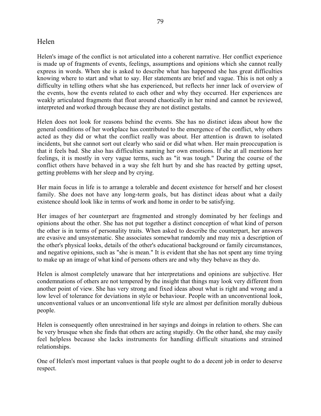# Helen

Helen's image of the conflict is not articulated into a coherent narrative. Her conflict experience is made up of fragments of events, feelings, assumptions and opinions which she cannot really express in words. When she is asked to describe what has happened she has great difficulties knowing where to start and what to say. Her statements are brief and vague. This is not only a difficulty in telling others what she has experienced, but reflects her inner lack of overview of the events, how the events related to each other and why they occurred. Her experiences are weakly articulated fragments that float around chaotically in her mind and cannot be reviewed, interpreted and worked through because they are not distinct gestalts.

Helen does not look for reasons behind the events. She has no distinct ideas about how the general conditions of her workplace has contributed to the emergence of the conflict, why others acted as they did or what the conflict really was about. Her attention is drawn to isolated incidents, but she cannot sort out clearly who said or did what when. Her main preoccupation is that it feels bad. She also has difficulties naming her own emotions. If she at all mentions her feelings, it is mostly in very vague terms, such as "it was tough." During the course of the conflict others have behaved in a way she felt hurt by and she has reacted by getting upset, getting problems with her sleep and by crying.

Her main focus in life is to arrange a tolerable and decent existence for herself and her closest family. She does not have any long-term goals, but has distinct ideas about what a daily existence should look like in terms of work and home in order to be satisfying.

Her images of her counterpart are fragmented and strongly dominated by her feelings and opinions about the other. She has not put together a distinct conception of what kind of person the other is in terms of personality traits. When asked to describe the counterpart, her answers are evasive and unsystematic. She associates somewhat randomly and may mix a description of the other's physical looks, details of the other's educational background or family circumstances, and negative opinions, such as "she is mean." It is evident that she has not spent any time trying to make up an image of what kind of persons others are and why they behave as they do.

Helen is almost completely unaware that her interpretations and opinions are subjective. Her condemnations of others are not tempered by the insight that things may look very different from another point of view. She has very strong and fixed ideas about what is right and wrong and a low level of tolerance for deviations in style or behaviour. People with an unconventional look, unconventional values or an unconventional life style are almost per definition morally dubious people.

Helen is consequently often unrestrained in her sayings and doings in relation to others. She can be very brusque when she finds that others are acting stupidly. On the other hand, she may easily feel helpless because she lacks instruments for handling difficult situations and strained relationships.

One of Helen's most important values is that people ought to do a decent job in order to deserve respect.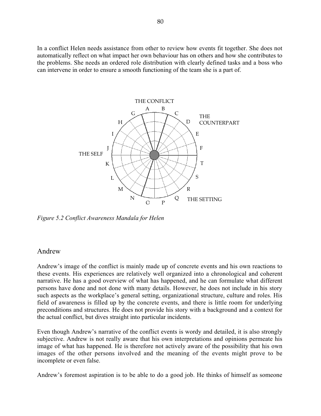In a conflict Helen needs assistance from other to review how events fit together. She does not automatically reflect on what impact her own behaviour has on others and how she contributes to the problems. She needs an ordered role distribution with clearly defined tasks and a boss who can intervene in order to ensure a smooth functioning of the team she is a part of.



*Figure 5.2 Conflict Awareness Mandala for Helen*

# Andrew

Andrew's image of the conflict is mainly made up of concrete events and his own reactions to these events. His experiences are relatively well organized into a chronological and coherent narrative. He has a good overview of what has happened, and he can formulate what different persons have done and not done with many details. However, he does not include in his story such aspects as the workplace's general setting, organizational structure, culture and roles. His field of awareness is filled up by the concrete events, and there is little room for underlying preconditions and structures. He does not provide his story with a background and a context for the actual conflict, but dives straight into particular incidents.

Even though Andrew's narrative of the conflict events is wordy and detailed, it is also strongly subjective. Andrew is not really aware that his own interpretations and opinions permeate his image of what has happened. He is therefore not actively aware of the possibility that his own images of the other persons involved and the meaning of the events might prove to be incomplete or even false.

Andrew's foremost aspiration is to be able to do a good job. He thinks of himself as someone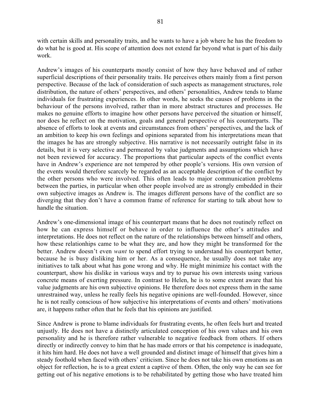with certain skills and personality traits, and he wants to have a job where he has the freedom to do what he is good at. His scope of attention does not extend far beyond what is part of his daily work.

Andrew's images of his counterparts mostly consist of how they have behaved and of rather superficial descriptions of their personality traits. He perceives others mainly from a first person perspective. Because of the lack of consideration of such aspects as management structures, role distribution, the nature of others' perspectives, and others' personalities, Andrew tends to blame individuals for frustrating experiences. In other words, he seeks the causes of problems in the behaviour of the persons involved, rather than in more abstract structures and processes. He makes no genuine efforts to imagine how other persons have perceived the situation or himself, nor does he reflect on the motivation, goals and general perspective of his counterparts. The absence of efforts to look at events and circumstances from others' perspectives, and the lack of an ambition to keep his own feelings and opinions separated from his interpretations mean that the images he has are strongly subjective. His narrative is not necessarily outright false in its details, but it is very selective and permeated by value judgments and assumptions which have not been reviewed for accuracy. The proportions that particular aspects of the conflict events have in Andrew's experience are not tempered by other people's versions. His own version of the events would therefore scarcely be regarded as an acceptable description of the conflict by the other persons who were involved. This often leads to major communication problems between the parties, in particular when other people involved are as strongly embedded in their own subjective images as Andrew is. The images different persons have of the conflict are so diverging that they don't have a common frame of reference for starting to talk about how to handle the situation.

Andrew's one-dimensional image of his counterpart means that he does not routinely reflect on how he can express himself or behave in order to influence the other's attitudes and interpretations. He does not reflect on the nature of the relationships between himself and others, how these relationhips came to be what they are, and how they might be transformed for the better. Andrew doesn't even *want* to spend effort trying to understand his counterpart better, because he is busy disliking him or her. As a consequence, he usually does not take any initiatives to talk about what has gone wrong and why. He might minimize his contact with the counterpart, show his dislike in various ways and try to pursue his own interests using various concrete means of exerting pressure. In contrast to Helen, he is to some extent aware that his value judgments are his own subjective opinions. He therefore does not express them in the same unrestrained way, unless he really feels his negative opinions are well-founded. However, since he is not really conscious of how subjective his interpretations of events and others' motivations are, it happens rather often that he feels that his opinions are justified.

Since Andrew is prone to blame individuals for frustrating events, he often feels hurt and treated unjustly. He does not have a distinctly articulated conception of his own values and his own personality and he is therefore rather vulnerable to negative feedback from others. If others directly or indirectly convey to him that he has made errors or that his competence is inadequate, it hits him hard. He does not have a well grounded and distinct image of himself that gives him a steady foothold when faced with others' criticism. Since he does not take his own emotions as an object for reflection, he is to a great extent a captive of them. Often, the only way he can see for getting out of his negative emotions is to be rehabilitated by getting those who have treated him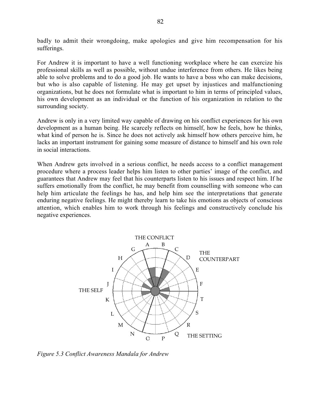badly to admit their wrongdoing, make apologies and give him recompensation for his sufferings.

For Andrew it is important to have a well functioning workplace where he can exercize his professional skills as well as possible, without undue interference from others. He likes being able to solve problems and to do a good job. He wants to have a boss who can make decisions, but who is also capable of listening. He may get upset by injustices and malfunctioning organizations, but he does not formulate what is important to him in terms of principled values, his own development as an individual or the function of his organization in relation to the surrounding society.

Andrew is only in a very limited way capable of drawing on his conflict experiences for his own development as a human being. He scarcely reflects on himself, how he feels, how he thinks, what kind of person he is. Since he does not actively ask himself how others perceive him, he lacks an important instrument for gaining some measure of distance to himself and his own role in social interactions.

When Andrew gets involved in a serious conflict, he needs access to a conflict management procedure where a process leader helps him listen to other parties' image of the conflict, and guarantees that Andrew may feel that his counterparts listen to his issues and respect him. If he suffers emotionally from the conflict, he may benefit from counselling with someone who can help him articulate the feelings he has, and help him see the interpretations that generate enduring negative feelings. He might thereby learn to take his emotions as objects of conscious attention, which enables him to work through his feelings and constructively conclude his negative experiences.



*Figure 5.3 Conflict Awareness Mandala for Andrew*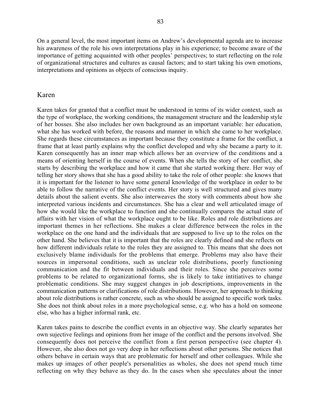On a general level, the most important items on Andrew's developmental agenda are to increase his awareness of the role his own interpretations play in his experience; to become aware of the importance of getting acquainted with other peoples' perspectives; to start reflecting on the role of organizational structures and cultures as causal factors; and to start taking his own emotions, interpretations and opinions as objects of conscious inquiry.

# Karen

Karen takes for granted that a conflict must be understood in terms of its wider context, such as the type of workplace, the working conditions, the management structure and the leadership style of her bosses. She also includes her own background as an important variable: her education, what she has worked with before, the reasons and manner in which she came to her workplace. She regards these circumstances as important because they constitute a frame for the conflict, a frame that at least partly explains why the conflict developed and why she became a party to it. Karen consequently has an inner map which allows her an overview of the conditions and a means of orienting herself in the course of events. When she tells the story of her conflict, she starts by describing the workplace and how it came that she started working there. Her way of telling her story shows that she has a good ability to take the role of other people: she knows that it is important for the listener to have some general knowledge of the workplace in order to be able to follow the narrative of the conflict events. Her story is well structured and gives many details about the salient events. She also interweaves the story with comments about how she interpreted various incidents and circumstances. She has a clear and well articulated image of how she would like the workplace to function and she continually compares the actual state of affairs with her vision of what the workplace ought to be like. Roles and role distributions are important themes in her reflections. She makes a clear difference between the roles in the workplace on the one hand and the individuals that are supposed to live up to the roles on the other hand. She believes that it is important that the roles are clearly defined and she reflects on how different individuals relate to the roles they are assigned to. This means that she does not exclusively blame individuals for the problems that emerge. Problems may also have their sources in impersonal conditions, such as unclear role distributions, poorly functioning communication and the fit between individuals and their roles. Since she perceives some problems to be related to organizational forms, she is likely to take intitiatives to change problematic conditions. She may suggest changes in job descriptions, improvements in the communication patterns or clarifications of role distributions. However, her approach to thinking about role distributions is rather concrete, such as who should be assigned to specific work tasks. She does not think about roles in a more psychological sense, e.g. who has a hold on someone else, who has a higher informal rank, etc.

Karen takes pains to describe the conflict events in an objective way. She clearly separates her own sujective feelings and opinions from her image of the conflict and the persons involved. She consequently does not perceive the conflict from a first person perspective (see chapter 4). However, she also does not go very deep in her reflections about other persons. She notices that others behave in certain ways that are problematic for herself and other colleagues. While she makes up images of other people's personalities as wholes, she does not spend much time reflecting on why they behave as they do. In the cases when she speculates about the inner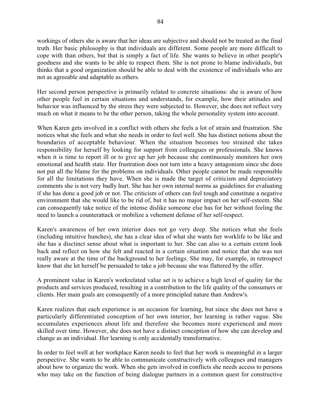workings of others she is aware that her ideas are subjective and should not be treated as the final truth. Her basic philosophy is that individuals are different. Some people are more difficult to cope with than others, but that is simply a fact of life. She wants to believe in other people's goodness and she wants to be able to respect them. She is not prone to blame individuals, but thinks that a good organization should be able to deal with the existence of individuals who are not as agreeable and adaptable as others.

Her second person perspective is primarily related to concrete situations: she is aware of how other people feel in certain situations and understands, for example, how their attitudes and behavior was influenced by the stress they were subjected to. However, she does not reflect very much on what it means to be the other person, taking the whole personality system into account.

When Karen gets involved in a conflict with others she feels a lot of strain and frustration. She notices what she feels and what she needs in order to feel well. She has distinct notions about the boundaries of acceptable behaviour. When the situation becomes too strained she takes responsibility for herself by looking for support from colleagues or professionals. She knows when it is time to report ill or to give up her job because she continuously monitors her own emotional and health state. Her frustration does not turn into a heavy antagonism since she does not put all the blame for the problems on individuals. Other people cannot be made responsible for all the limitations they have. When she is made the target of criticism and depreciatory comments she is not very badly hurt. She has her own internal norms as guidelines for evaluating if she has done a good job or not. The criticism of others can feel tough and constitute a negative environment that she would like to be rid of, but it has no major impact on her self-esteem. She can consequently take notice of the intense dislike someone else has for her without feeling the need to launch a counterattack or mobilize a vehement defense of her self-respect.

Karen's awareness of her own interior does not go very deep. She notices what she feels (including intuitive hunches), she has a clear idea of what she wants her worklife to be like and she has a disctinct sense about what is important to her. She can also to a certain extent look back and reflect on how she felt and reacted in a certain situation and notice that she was not really aware at the time of the background to her feelings. She may, for example, in retrospect know that she let herself be persuaded to take a job because she was flattered by the offer.

A prominent value in Karen's workrelated value set is to achieve a high level of quality for the products and services produced, resulting in a contribution to the life quality of the consumers or clients. Her main goals are consequently of a more principled nature than Andrew's.

Karen realizes that each experience is an occasion for learning, but since she does not have a particularly differentiated conception of her own interior, her learning is rather vague. She accumulates experiences about life and therefore she becomes more experienced and more skilled over time. However, she does not have a distinct conception of how she can develop and change as an individual. Her learning is only accidentally transformative.

In order to feel well at her workplace Karen needs to feel that her work is meaningful in a larger perspective. She wants to be able to communicate constructively with colleagues and managers about how to organize the work. When she gets involved in conflicts she needs access to persons who may take on the function of being dialogue partners in a common quest for constructive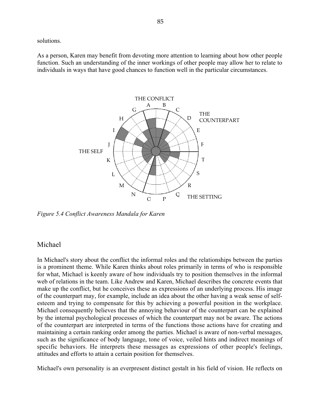solutions.

As a person, Karen may benefit from devoting more attention to learning about how other people function. Such an understanding of the inner workings of other people may allow her to relate to individuals in ways that have good chances to function well in the particular circumstances.



*Figure 5.4 Conflict Awareness Mandala for Karen*

# Michael

In Michael's story about the conflict the informal roles and the relationships between the parties is a prominent theme. While Karen thinks about roles primarily in terms of who is responsible for what, Michael is keenly aware of how individuals try to position themselves in the informal web of relations in the team. Like Andrew and Karen, Michael describes the concrete events that make up the conflict, but he conceives these as expressions of an underlying process. His image of the counterpart may, for example, include an idea about the other having a weak sense of selfesteem and trying to compensate for this by achieving a powerful position in the workplace. Michael consequently believes that the annoying behaviour of the counterpart can be explained by the internal psychological processes of which the counterpart may not be aware. The actions of the counterpart are interpreted in terms of the functions those actions have for creating and maintaining a certain ranking order among the parties. Michael is aware of non-verbal messages, such as the significance of body language, tone of voice, veiled hints and indirect meanings of specific behaviors. He interprets these messages as expressions of other people's feelings, attitudes and efforts to attain a certain position for themselves.

Michael's own personality is an everpresent distinct gestalt in his field of vision. He reflects on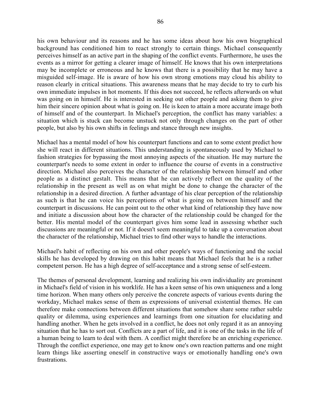his own behaviour and its reasons and he has some ideas about how his own biographical background has conditioned him to react strongly to certain things. Michael consequently perceives himself as an active part in the shaping of the conflict events. Furthermore, he uses the events as a mirror for getting a clearer image of himself. He knows that his own interpretations may be incomplete or erroneous and he knows that there is a possibility that he may have a misguided self-image. He is aware of how his own strong emotions may cloud his ability to reason clearly in critical situations. This awareness means that he may decide to try to curb his own immediate impulses in hot moments. If this does not succeed, he reflects afterwards on what was going on in himself. He is interested in seeking out other people and asking them to give

him their sincere opinion about what is going on. He is keen to attain a more accurate image both of himself and of the counterpart. In Michael's perception, the conflict has many variables: a situation which is stuck can become unstuck not only through changes on the part of other people, but also by his own shifts in feelings and stance through new insights.

Michael has a mental model of how his counterpart functions and can to some extent predict how she will react in different situations. This understanding is spontaneously used by Michael to fashion strategies for bypassing the most annoying aspects of the situation. He may nurture the counterpart's needs to some extent in order to influence the course of events in a constructive direction. Michael also perceives the character of the relationship between himself and other people as a distinct gestalt. This means that he can actively reflect on the quality of the relationship in the present as well as on what might be done to change the character of the relationship in a desired direction. A further advantage of his clear perception of the relationship as such is that he can voice his perceptions of what is going on between himself and the counterpart in discussions. He can point out to the other what kind of relationship they have now and initiate a discussion about how the character of the relationship could be changed for the better. His mental model of the counterpart gives him some lead in assessing whether such discussions are meaningful or not. If it doesn't seem meaningful to take up a conversation about the character of the relationship, Michael tries to find other ways to handle the interactions.

Michael's habit of reflecting on his own and other people's ways of functioning and the social skills he has developed by drawing on this habit means that Michael feels that he is a rather competent person. He has a high degree of self-acceptance and a strong sense of self-esteem.

The themes of personal development, learning and realizing his own individuality are prominent in Michael's field of vision in his worklife. He has a keen sense of his own uniqueness and a long time horizon. When many others only perceive the concrete aspects of various events during the workday, Michael makes sense of them as expressions of universal existential themes. He can therefore make connections between different situations that somehow share some rather subtle quality or dilemma, using experiences and learnings from one situation for elucidating and handling another. When he gets involved in a conflict, he does not only regard it as an annoying situation that he has to sort out. Conflicts are a part of life, and it is one of the tasks in the life of a human being to learn to deal with them. A conflict might therefore be an enriching experience. Through the conflict experience, one may get to know one's own reaction patterns and one might learn things like asserting oneself in constructive ways or emotionally handling one's own frustrations.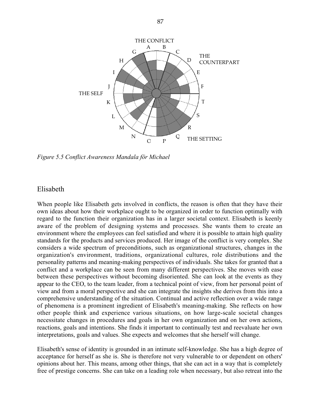

*Figure 5.5 Conflict Awareness Mandala för Michael*

# Elisabeth

When people like Elisabeth gets involved in conflicts, the reason is often that they have their own ideas about how their workplace ought to be organized in order to function optimally with regard to the function their organization has in a larger societal context. Elisabeth is keenly aware of the problem of designing systems and processes. She wants them to create an environment where the employees can feel satisfied and where it is possible to attain high quality standards for the products and services produced. Her image of the conflict is very complex. She considers a wide spectrum of preconditions, such as organizational structures, changes in the organization's environment, traditions, organizational cultures, role distributions and the personality patterns and meaning-making perspectives of individuals. She takes for granted that a conflict and a workplace can be seen from many different perspectives. She moves with ease between these perspectives without becoming disoriented. She can look at the events as they appear to the CEO, to the team leader, from a technical point of view, from her personal point of view and from a moral perspective and she can integrate the insights she derives from this into a comprehensive understanding of the situation. Continual and active reflection over a wide range of phenomena is a prominent ingredient of Elisabeth's meaning-making. She reflects on how other people think and experience various situations, on how large-scale societal changes necessitate changes in procedures and goals in her own organization and on her own actions, reactions, goals and intentions. She finds it important to continually test and reevaluate her own interpretations, goals and values. She expects and welcomes that she herself will change.

Elisabeth's sense of identity is grounded in an intimate self-knowledge. She has a high degree of acceptance for herself as she is. She is therefore not very vulnerable to or dependent on others' opinions about her. This means, among other things, that she can act in a way that is completely free of prestige concerns. She can take on a leading role when necessary, but also retreat into the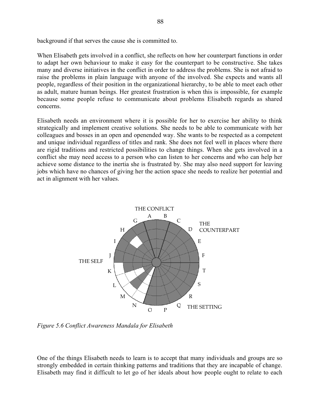background if that serves the cause she is committed to.

When Elisabeth gets involved in a conflict, she reflects on how her counterpart functions in order to adapt her own behaviour to make it easy for the counterpart to be constructive. She takes many and diverse initiatives in the conflict in order to address the problems. She is not afraid to raise the problems in plain language with anyone of the involved. She expects and wants all people, regardless of their position in the organizational hierarchy, to be able to meet each other as adult, mature human beings. Her greatest frustration is when this is impossible, for example because some people refuse to communicate about problems Elisabeth regards as shared concerns.

Elisabeth needs an environment where it is possible for her to exercise her ability to think strategically and implement creative solutions. She needs to be able to communicate with her colleagues and bosses in an open and openended way. She wants to be respected as a competent and unique individual regardless of titles and rank. She does not feel well in places where there are rigid traditions and restricted possibilities to change things. When she gets involved in a conflict she may need access to a person who can listen to her concerns and who can help her achieve some distance to the inertia she is frustrated by. She may also need support for leaving jobs which have no chances of giving her the action space she needs to realize her potential and act in alignment with her values.



*Figure 5.6 Conflict Awareness Mandala for Elisabeth*

One of the things Elisabeth needs to learn is to accept that many individuals and groups are so strongly embedded in certain thinking patterns and traditions that they are incapable of change. Elisabeth may find it difficult to let go of her ideals about how people ought to relate to each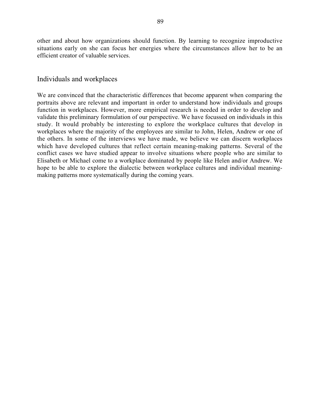other and about how organizations should function. By learning to recognize improductive situations early on she can focus her energies where the circumstances allow her to be an efficient creator of valuable services.

# Individuals and workplaces

We are convinced that the characteristic differences that become apparent when comparing the portraits above are relevant and important in order to understand how individuals and groups function in workplaces. However, more empirical research is needed in order to develop and validate this preliminary formulation of our perspective. We have focussed on individuals in this study. It would probably be interesting to explore the workplace cultures that develop in workplaces where the majority of the employees are similar to John, Helen, Andrew or one of the others. In some of the interviews we have made, we believe we can discern workplaces which have developed cultures that reflect certain meaning-making patterns. Several of the conflict cases we have studied appear to involve situations where people who are similar to Elisabeth or Michael come to a workplace dominated by people like Helen and/or Andrew. We hope to be able to explore the dialectic between workplace cultures and individual meaningmaking patterns more systematically during the coming years.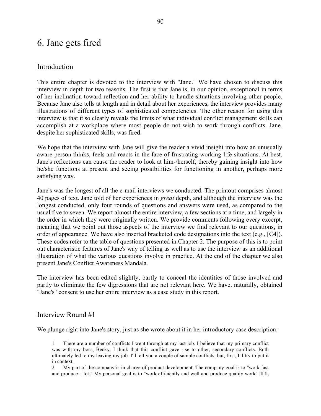# 6. Jane gets fired

# Introduction

This entire chapter is devoted to the interview with "Jane." We have chosen to discuss this interview in depth for two reasons. The first is that Jane is, in our opinion, exceptional in terms of her inclination toward reflection and her ability to handle situations involving other people. Because Jane also tells at length and in detail about her experiences, the interview provides many illustrations of different types of sophisticated competencies. The other reason for using this interview is that it so clearly reveals the limits of what individual conflict management skills can accomplish at a workplace where most people do not wish to work through conflicts. Jane, despite her sophisticated skills, was fired.

We hope that the interview with Jane will give the reader a vivid insight into how an unusually aware person thinks, feels and reacts in the face of frustrating working-life situations. At best, Jane's reflections can cause the reader to look at him-/herself, thereby gaining insight into how he/she functions at present and seeing possibilities for functioning in another, perhaps more satisfying way.

Jane's was the longest of all the e-mail interviews we conducted. The printout comprises almost 40 pages of text. Jane told of her experiences in *great* depth, and although the interview was the longest conducted, only four rounds of questions and answers were used, as compared to the usual five to seven. We report almost the entire interview, a few sections at a time, and largely in the order in which they were originally written. We provide comments following every excerpt, meaning that we point out those aspects of the interview we find relevant to our questions, in order of appearance. We have also inserted bracketed code designations into the text (e.g., [C4]). These codes refer to the table of questions presented in Chapter 2. The purpose of this is to point out characteristic features of Jane's way of telling as well as to use the interview as an additional illustration of what the various questions involve in practice. At the end of the chapter we also present Jane's Conflict Awareness Mandala.

The interview has been edited slightly, partly to conceal the identities of those involved and partly to eliminate the few digressions that are not relevant here. We have, naturally, obtained "Jane's" consent to use her entire interview as a case study in this report.

# Interview Round #1

We plunge right into Jane's story, just as she wrote about it in her introductory case description:

1 There are a number of conflicts I went through at my last job. I believe that my primary conflict was with my boss, Becky. I think that this conflict gave rise to other, secondary conflicts. Both ultimately led to my leaving my job. I'll tell you a couple of sample conflicts, but, first, I'll try to put it in context.

2 My part of the company is in charge of product development. The company goal is to "work fast and produce a lot." My personal goal is to "work efficiently and well and produce quality work" [**L1,**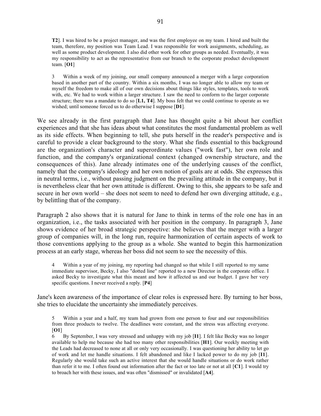**T2**]. I was hired to be a project manager, and was the first employee on my team. I hired and built the team, therefore, my position was Team Lead. I was responsible for work assignments, scheduling, as well as some product development. I also did other work for other groups as needed. Eventually, it was my responsibility to act as the representative from our branch to the corporate product development team. [**O1**]

3 Within a week of my joining, our small company announced a merger with a large corporation based in another part of the country. Within a six months, I was no longer able to allow my team or myself the freedom to make all of our own decisions about things like styles, templates, tools to work with, etc. We had to work within a larger structure. I saw the need to conform to the larger corporate structure; there was a mandate to do so [**L1, T4**]. My boss felt that we could continue to operate as we wished; until someone forced us to do otherwise I suppose [**D1**].

We see already in the first paragraph that Jane has thought quite a bit about her conflict experiences and that she has ideas about what constitutes the most fundamental problem as well as its side effects. When beginning to tell, she puts herself in the reader's perspective and is careful to provide a clear background to the story. What she finds essential to this background are the organization's character and superordinate values ("work fast"), her own role and function, and the company's organizational context (changed ownership structure, and the consequences of this). Jane already intimates one of the underlying causes of the conflict, namely that the company's ideology and her own notion of goals are at odds. She expresses this in neutral terms, i.e., without passing judgment on the prevailing attitude in the company, but it is nevertheless clear that her own attitude is different. Owing to this, she appears to be safe and secure in her own world – she does not seem to need to defend her own diverging attitude, e.g., by belittling that of the company.

Paragraph 2 also shows that it is natural for Jane to think in terms of the role one has in an organization, i.e., the tasks associated with her position in the company. In paragraph 3, Jane shows evidence of her broad strategic perspective: she believes that the merger with a larger group of companies will, in the long run, require harmonization of certain aspects of work to those conventions applying to the group as a whole. She wanted to begin this harmonization process at an early stage, whereas her boss did not seem to see the necessity of this.

4 Within a year of my joining, my reporting had changed so that while I still reported to my same immediate supervisor, Becky, I also "dotted line" reported to a new Director in the corporate office. I asked Becky to investigate what this meant and how it affected us and our budget. I gave her very specific questions. I never received a reply. [**P4**]

Jane's keen awareness of the importance of clear roles is expressed here. By turning to her boss, she tries to elucidate the uncertainty she immediately perceives.

5 Within a year and a half, my team had grown from one person to four and our responsibilities from three products to twelve. The deadlines were constant, and the stress was affecting everyone. [**O1**]

6 By September, I was very stressed and unhappy with my job [**I1**]. I felt like Becky was no longer available to help me because she had too many other responsibilities [**H1**]. Our weekly meeting with the Leads had decreased to none at all or only very occasionally. I was questioning her ability to let go of work and let me handle situations. I felt abandoned and like I lacked power to do my job [**I1**]. Regularly she would take such an active interest that she would handle situations or do work rather than refer it to me. I often found out information after the fact or too late or not at all [**C1**]. I would try to broach her with these issues, and was often "dismissed" or invalidated [**A4**].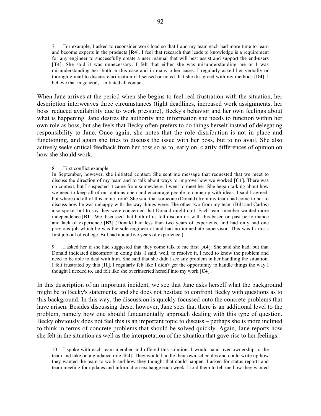7 For example, I asked to reconsider work load so that I and my team each had more time to learn and become experts in the products [**R4**]. I feel that research that leads to knowledge is a requirement for any engineer to successfully create a user manual that will best assist and support the end-users [**T4**]. She said it was unnecessary. I felt that either she was misunderstanding me or I was misunderstanding her, both in this case and in many other cases. I regularly asked her verbally or through e-mail to discuss clarification if I sensed or noted that she disagreed with my methods [**D4**]. I believe that in general, I initiated all contact.

When Jane arrives at the period when she begins to feel real frustration with the situation, her description interweaves three circumstances (tight deadlines, increased work assignments, her boss' reduced availability due to work pressure), Becky's behavior and her own feelings about what is happening. Jane desires the authority and information she needs to function within her own role as boss, but she feels that Becky often prefers to do things herself instead of delegating responsibility to Jane. Once again, she notes that the role distribution is not in place and functioning, and again she tries to discuss the issue with her boss, but to no avail. She also actively seeks critical feedback from her boss so as to, early on, clarify differences of opinion on how she should work.

8 First conflict example:

In September, however, she initiated contact. She sent me message that requested that we meet to discuss the direction of my team and to talk about ways to improve how we worked [**C1**]. There was no context, but I suspected it came from somewhere. I went to meet her. She began talking about how we need to keep all of our options open and encourage people to come up with ideas. I said I agreed, but where did all of this come from? She said that someone (Donald) from my team had come to her to discuss how he was unhappy with the way things were. The other two from my team (Bill and Carlos) also spoke, but to say they were concerned that Donald might quit. Each team member wanted more independence [**B1**]. We discussed that both of us felt discomfort with this based on past performance and lack of experience [**B2**] (Donald had less than two years of experience and had only had one previous job which he was the sole engineer at and had no immediate supervisor. This was Carlos's first job out of college. Bill had about five years of experience.)

9 I asked her if she had suggested that they come talk to me first [**A4**]. She said she had, but that Donald indicated discomfort in doing this. I said, well, to resolve it, I need to know the problem and need to be able to deal with him. She said that she didn't see any problem in her handling the situation. I felt frustrated by this [**I1**]. I regularly felt like I didn't get the opportunity to handle things the way I thought I needed to, and felt like she overinserted herself into my work [**C4**].

In this description of an important incident, we see that Jane asks herself what the background might be to Becky's statements, and she does not hesitate to confront Becky with questions as to this background. In this way, the discussion is quickly focussed onto the concrete problems that have arisen. Besides discussing these, however, Jane sees that there is an additional level to the problem, namely how one should fundamentally approach dealing with this type of question. Becky obviously does not feel this is an important topic to discuss – perhaps she is more inclined to think in terms of concrete problems that should be solved quickly. Again, Jane reports how she felt in the situation as well as the interpretation of the situation that gave rise to her feelings.

10 I spoke with each team member and offered this solution: I would hand over ownership to the team and take on a guidance role [**E4**]. They would handle their own schedules and could write up how they wanted the team to work and how they thought that could happen. I asked for status reports and team meeting for updates and information exchange each week. I told them to tell me how they wanted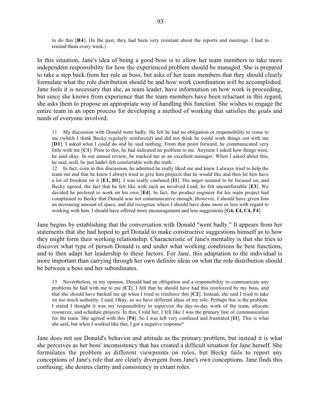to do this [**R4**]. (In the past, they had been very resistant about the reports and meetings. I had to remind them every week.)

In this situation, Jane's idea of being a good boss is to allow her team members to take more independent responsibility for how the experienced problem should be managed. She is prepared to take a step back from her role as boss, but asks of her team members that they should clearly formulate what the role distribution should be and how work coordination will be accomplished. Jane feels it is necessary that she, as team leader, have information on how work is proceeding, but since she knows from experience that the team members have been reluctant in this regard, she asks them to propose an appropriate way of handling this function. She wishes to engage the entire team in an open process for developing a method of working that satisfies the goals and needs of everyone involved.

11 My discussion with Donald went badly. He felt he had no obligation or responsibility to come to me (which I think Becky regularly reinforced) and did not think he could work things out with me [**D1**]. I asked what I could do and he said nothing. From that point forward, he communicated very little with me [**C1**]. Prior to this, he had indicated no problem to me. Anytime I asked how things were, he said okay. In our annual review, he marked me as an excellent manager. When I asked about this, he said, well, he just hadn't felt comfortable with the truth.

12 In fact, even in this discussion, he admitted he really liked me and knew I always tried to help the team out and that he knew I always tried to give him projects that he would like and then let him have a lot of freedom on it [**E1, D1**]. I was really confused [**I1**]. His anger seemed to be focused on, and Becky agreed, the fact that he felt like with such an involved Lead, he felt uncomfortable [**E3**]. We decided he prefered to work on his own [**E4**]. In fact, the product engineer for his main project had complained to Becky that Donald was not communicative enough. However, I should have given him an increasing amount of space, and did recognize where I should have done more or less with regard to working with him. I should have offered more encouragement and less suggestions [**G4, E4, C4, F4**].

Jane begins by establishing that the conversation with Donald "went badly." It appears from her statements that she had hoped to get Donald to make constructive suggestions himself as to how they might form their working relationship. Characteristic of Jane's mentality is that she tries to discover what type of person Donald is and under what working conditions he best functions, and to then adapt her leadership to these factors. For Jane, this adaptation to the individual is more important than carrying through her own definite ideas on what the role distribution should be between a boss and her subordinates.

13 Nevertheless, in my opinion, Donald had an obligation and a responsibility to communicate any problems he had with me to me [**C2**]. I felt that he should have had this reinforced by my boss, and that she should have backed me up when I tried to reinforce this [**C2**]. Instead, she said I tried to take on too much authority. I said, Okay, so we have different ideas of my role. Perhaps this is the problem. I stated I thought it was my responsibility to supervise the day-to-day work of the team, allocate resources, and schedule projects. In this, I told her, I felt like I was the primary line of communication for the team. She agreed with this [**P4**]. So I was left very confused and frustrated [**I1**]. This is what she said, but when I worked like this, I got a negative response?

Jane does not see Donald's behavior and attitude as the primary problem, but instead it is what she perceives as her boss' inconsistency that has created a difficult situation for Jane herself. She formulates the problem as different viewpoints on roles, but Becky fails to report any conceptions of Jane's role that are clearly divergent from Jane's own conceptions. Jane finds this confusing; she desires clarity and consistency in extant roles.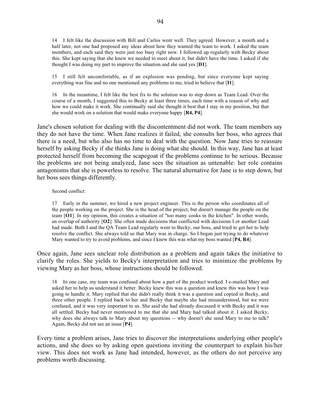14 I felt like the discussion with Bill and Carlos went well. They agreed. However, a month and a half later, not one had proposed any ideas about how they wanted the team to work. I asked the team members, and each said they were just too busy right now. I followed up regularly with Becky about this. She kept saying that she knew we needed to meet about it, but didn't have the time. I asked if she thought I was doing my part to improve the situation and she said yes [**D1**].

15 I still felt uncomfortable, as if an explosion was pending, but since everyone kept saying everything was fine and no one mentioned any problems to me, tried to believe that [**I1**].

16 In the meantime, I felt like the best fix to the solution was to step down as Team Lead. Over the course of a month, I suggested this to Becky at least three times, each time with a reason of why and how we could make it work. She continually said she thought it best that I stay in my position, but that she would work on a solution that would make everyone happy [**R4, P4**].

Jane's chosen solution for dealing with the discontentment did not work. The team members say they do not have the time. When Jane realizes it failed, she consults her boss, who agrees that there is a need, but who also has no time to deal with the question. Now Jane tries to reassure herself by asking Becky if she thinks Jane is doing what she should. In this way, Jane has at least protected herself from becoming the scapegoat if the problems continue to be serious. Because the problems are not being analyzed, Jane sees the situation as untenable: her role contains antagonisms that she is powerless to resolve. The natural alternative for Jane is to step down, but her boss sees things differently.

#### Second conflict:

17 Early in the summer, we hired a new project engineer. This is the person who coordinates all of the people working on the project. She is the head of the project, but doesn't manage the people on the team [**O1**]. In my opinion, this creates a situation of "too many cooks in the kitchen". In other words, an overlap of authority [**O2**]. She often made decisions that conflicted with decisions I or another Lead had made. Both I and the QA Team Lead regularly went to Becky, our boss, and tried to get her to help resolve the conflict. She always told us that Mary was in charge. So I began just trying to do whatever Mary wanted to try to avoid problems, and since I knew this was what my boss wanted [**P4, R4**].

Once again, Jane sees unclear role distribution as a problem and again takes the initiative to clarify the roles. She yields to Becky's interpretation and tries to minimize the problems by viewing Mary as her boss, whose instructions should be followed.

18 In one case, my team was confused about how a part of the product worked. I e-mailed Mary and asked her to help us understand it better. Becky knew this was a question and knew this was how I was going to handle it. Mary replied that she didn't really think it was a question and copied in Becky, and three other people. I replied back to her and Becky that maybe she had misunderstood, but we were confused, and it was very important to us. She said she had already discussed it with Becky and it was all settled. Becky had never mentioned to me that she and Mary had talked about it. I asked Becky, why does she always talk to Mary about my questions -- why doesn't she send Mary to me to talk? Again, Becky did not see an issue [**P4**].

Every time a problem arises, Jane tries to discover the interpretations underlying other people's actions, and she does so by asking open questions inviting the counterpart to explain his/her view. This does not work as Jane had intended, however, as the others do not perceive any problems worth discussing.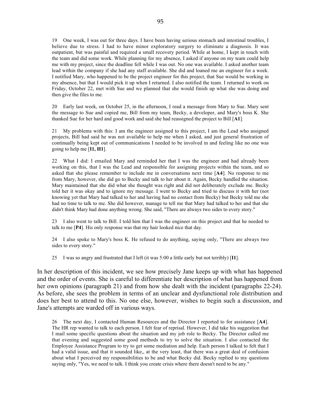19 One week, I was out for three days. I have been having serious stomach and intestinal troubles, I believe due to stress. I had to have minor exploratory surgery to eliminate a diagnosis. It was outpatient, but was painful and required a small recovery period. While at home, I kept in touch with the team and did some work. While planning for my absence, I asked if anyone on my team could help me with my project, since the deadline fell while I was out. No one was available. I asked another team lead within the company if she had any staff available. She did and loaned me an engineer for a week. I notified Mary, who happened to be the project engineer for this project, that Sue would be working in my absence, but that I would pick it up when I returned. I also notified the team. I returned to work on Friday, October 22, met with Sue and we planned that she would finish up what she was doing and then give the files to me.

20 Early last week, on October 25, in the afternoon, I read a message from Mary to Sue. Mary sent the message to Sue and copied me, Bill from my team, Becky, a developer, and Mary's boss K. She thanked Sue for her hard and good work and said she had reassigned the project to Bill [**A1**].

21 My problems with this: I am the engineer assigned to this project, I am the Lead who assigned projects, Bill had said he was not available to help me when I asked, and just general frustration of continually being kept out of communications I needed to be involved in and feeling like no one was going to help me [**I1, H1**].

22 What I did: I emailed Mary and reminded her that I was the engineer and had already been working on this, that I was the Lead and responsible for assigning projects within the team, and so asked that she please remember to include me in conversations next time [**A4**]. No response to me from Mary, however, she did go to Becky and talk to her about it. Again, Becky handled the situation. Mary maintained that she did what she thought was right and did not deliberately exclude me. Becky told her it was okay and to ignore my message. I went to Becky and tried to discuss it with her (not knowing yet that Mary had talked to her and having had no contact from Becky) but Becky told me she had no time to talk to me. She did however, manage to tell me that Mary had talked to her and that she didn't think Mary had done anything wrong. She said, "There are always two sides to every story."

23 I also went to talk to Bill. I told him that I was the engineer on this project and that he needed to talk to me [**P4**]. His only response was that my hair looked nice that day.

24 I also spoke to Mary's boss K. He refused to do anything, saying only, "There are always two sides to every story."

25 I was so angry and frustrated that I left (it was 5:00 a little early but not terribly) [**I1**].

In her description of this incident, we see how precisely Jane keeps up with what has happened and the order of events. She is careful to differentiate her description of what has happened from her own opinions (paragraph 21) and from how she dealt with the incident (paragraphs 22-24). As before, she sees the problem in terms of an unclear and dysfunctional role distribution and does her best to attend to this. No one else, however, wishes to begin such a discussion, and Jane's attempts are warded off in various ways.

26 The next day, I contacted Human Resources and the Director I reported to for assistance [**A4**]. The HR rep wanted to talk to each person. I felt fear of reprisal. However, I did take his suggestion that I mail some specific questions about the situation and my job role to Becky. The Director called me that evening and suggested some good methods to try to solve the situation. I also contacted the Employee Assistance Program to try to get some mediation and help. Each person I talked to felt that I had a valid issue, and that it sounded like,, at the very least, that there was a great deal of confusion about what I perceived my responsibilities to be and what Becky did. Becky replied to my questions saying only, "Yes, we need to talk. I think you create crisis where there doesn't need to be any."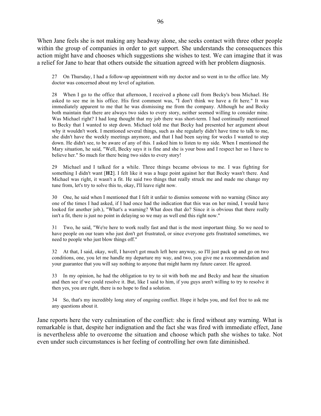When Jane feels she is not making any headway alone, she seeks contact with three other people within the group of companies in order to get support. She understands the consequences this action might have and chooses which suggestions she wishes to test. We can imagine that it was a relief for Jane to hear that others outside the situation agreed with her problem diagnosis.

27 On Thursday, I had a follow-up appointment with my doctor and so went in to the office late. My doctor was concerned about my level of agitation.

28 When I go to the office that afternoon, I received a phone call from Becky's boss Michael. He asked to see me in his office. His first comment was, "I don't think we have a fit here." It was immediately apparent to me that he was dismissing me from the company. Although he and Becky both maintain that there are always two sides to every story, neither seemed willing to consider mine. Was Michael right? I had long thought that my job there was short-term. I had continually mentioned to Becky that I wanted to step down. Michael told me that Becky had presented her argument about why it wouldn't work. I mentioned several things, such as she regularly didn't have time to talk to me, she didn't have the weekly meetings anymore, and that I had been saying for weeks I wanted to step down. He didn't see, to be aware of any of this. I asked him to listen to my side. When I mentioned the Mary situation, he said, "Well, Becky says it is fine and she is your boss and I respect her so I have to believe her." So much for there being two sides to every story!

29 Michael and I talked for a while. Three things became obvious to me. I was fighting for something I didn't want [**H2**]. I felt like it was a huge point against her that Becky wasn't there. And Michael was right, it wasn't a fit. He said two things that really struck me and made me change my tune from, let's try to solve this to, okay, I'll leave right now.

30 One, he said when I mentioned that I felt it unfair to dismiss someone with no warning (Since any one of the times I had asked, if I had once had the indication that this was on her mind, I would have looked for another job.), "What's a warning? What does that do? Since it is obvious that there really isn't a fit, there is just no point in delaying so we may as well end this right now."

31 Two, he said, "We're here to work really fast and that is the most important thing. So we need to have people on our team who just don't get frustrated, or since everyone gets frustrated sometimes, we need to people who just blow things off."

32 At that, I said, okay, well, I haven't got much left here anyway, so I'll just pack up and go on two conditions, one, you let me handle my departure my way, and two, you give me a recommendation and your guarantee that you will say nothing to anyone that might harm my future career. He agreed.

33 In my opinion, he had the obligation to try to sit with both me and Becky and hear the situation and then see if we could resolve it. But, like I said to him, if you guys aren't willing to try to resolve it then yes, you are right, there is no hope to find a solution.

34 So, that's my incredibly long story of ongoing conflict. Hope it helps you, and feel free to ask me any questions about it.

Jane reports here the very culmination of the conflict: she is fired without any warning. What is remarkable is that, despite her indignation and the fact she was fired with immediate effect, Jane is nevertheless able to overcome the situation and choose which path she wishes to take. Not even under such circumstances is her feeling of controlling her own fate diminished.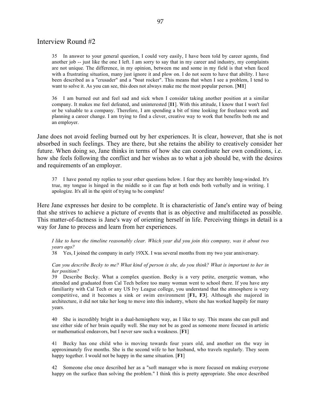# Interview Round #2

35 In answer to your general question, I could very easily, I have been told by career agents, find another job -- just like the one I left. I am sorry to say that in my career and industry, my complaints are not unique. The difference, in my opinion, between me and some in my field is that when faced with a frustrating situation, many just ignore it and plow on. I do not seem to have that ability. I have been described as a "crusader" and a "boat rocker". This means that when I see a problem, I tend to want to solve it. As you can see, this does not always make me the most popular person. [**M1**]

36 I am burned out and feel sad and sick when I consider taking another position at a similar company. It makes me feel defeated, and uninterested [**I1**]. With this attitude, I know that I won't feel or be valuable to a company. Therefore, I am spending a bit of time looking for freelance work and planning a career change. I am trying to find a clever, creative way to work that benefits both me and an employer.

Jane does not avoid feeling burned out by her experiences. It is clear, however, that she is not absorbed in such feelings. They are there, but she retains the ability to creatively consider her future. When doing so, Jane thinks in terms of how she can coordinate her own conditions, i.e. how she feels following the conflict and her wishes as to what a job should be, with the desires and requirements of an employer.

37 I have posted my replies to your other questions below. I fear they are horribly long-winded. It's true, my tongue is hinged in the middle so it can flap at both ends both verbally and in writing. I apologize. It's all in the spirit of trying to be complete!

Here Jane expresses her desire to be complete. It is characteristic of Jane's entire way of being that she strives to achieve a picture of events that is as objective and multifaceted as possible. This matter-of-factness is Jane's way of orienting herself in life. Perceiving things in detail is a way for Jane to process and learn from her experiences.

*I like to have the timeline reasonably clear. Which year did you join this company, was it about two years ago?*

38 Yes, I joined the company in early 19XX. I was several months from my two year anniversary.

*Can you describe Becky to me? What kind of person is she, do you think? What is important to her in her position?*

39 Describe Becky. What a complex question. Becky is a very petite, energetic woman, who attended and graduated from Cal Tech before too many woman went to school there. If you have any familiarity with Cal Tech or any US Ivy League college, you understand that the atmosphere is very competitive, and it becomes a sink or swim environment [**F1, F3**]. Although she majored in architecture, it did not take her long to move into this industry, where she has worked happily for many years.

40 She is incredibly bright in a dual-hemisphere way, as I like to say. This means she can pull and use either side of her brain equally well. She may not be as good as someone more focused in artistic or mathematical endeavors, but I never saw such a weakness. [**F1**]

41 Becky has one child who is moving towards four years old, and another on the way in approximately five months. She is the second wife to her husband, who travels regularly. They seem happy together. I would not be happy in the same situation. [**F1**]

42 Someone else once described her as a "soft manager who is more focused on making everyone happy on the surface than solving the problem." I think this is pretty appropriate. She once described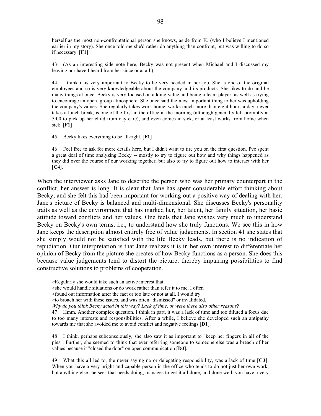herself as the most non-confrontational person she knows, aside from K. (who I believe I mentioned earlier in my story). She once told me she'd rather do anything than confront, but was willing to do so if necessary. [**F1**]

43 (As an interesting side note here, Becky was not present when Michael and I discussed my leaving nor have I heard from her since or at all.)

44 I think it is very important to Becky to be very needed in her job. She is one of the original employees and so is very knowledgeable about the company and its products. She likes to do and be many things at once. Becky is very focused on adding value and being a team player, as well as trying to encourage an open, group atmosphere. She once said the most important thing to her was upholding the company's values. She regularly takes work home, works much more than eight hours a day, never takes a lunch break, is one of the first in the office in the morning (although generally left promptly at 5:00 to pick up her child from day care), and even comes in sick, or at least works from home when sick. [**F1**]

45 Becky likes everything to be all-right. [**F1**]

46 Feel free to ask for more details here, but I didn't want to tire you on the first question. I've spent a great deal of time analyzing Becky -- mostly to try to figure out how and why things happened as they did over the course of our working together, but also to try to figure out how to interact with her [**C4**].

When the interviewer asks Jane to describe the person who was her primary counterpart in the conflict, her answer is long. It is clear that Jane has spent considerable effort thinking about Becky, and she felt this had been important for working out a positive way of dealing with her. Jane's picture of Becky is balanced and multi-dimensional. She discusses Becky's personality traits as well as the environment that has marked her, her talent, her family situation, her basic attitude toward conflicts and her values. One feels that Jane wishes very much to understand Becky on Becky's own terms, i.e., to understand how she truly functions. We see this in how Jane keeps the description almost entirely free of value judgements. In section 41 she states that she simply would not be satisfied with the life Becky leads, but there is no indication of repudiation. Our interpretation is that Jane realizes it is in her own interest to differentiate her opinion of Becky from the picture she creates of how Becky functions as a person. She does this because value judgements tend to distort the picture, thereby impairing possibilities to find constructive solutions to problems of cooperation.

>Regularly she would take such an active interest that

>she would handle situations or do work rather than refer it to me. I often

>found out information after the fact or too late or not at all. I would try

>to broach her with these issues, and was often "dismissed" or invalidated.

*Why do you think Becky acted in this way? Lack of time, or were there also other reasons?*

47 Hmm. Another complex question. I think in part, it was a lack of time and too diluted a focus due to too many interests and responsibilities. After a while, I believe she developed such an antipathy towards me that she avoided me to avoid conflict and negative feelings [**D1**].

48 I think, perhaps subconsciously, she also saw it as important to "keep her fingers in all of the pies". Further, she seemed to think that ever referring someone to someone else was a breach of her values because it "closed the door" on open communication [**D3**].

49 What this all led to, the never saying no or delegating responsibility, was a lack of time [**C3**]. When you have a very bright and capable person in the office who tends to do not just her own work, but anything else she sees that needs doing, manages to get it all done, and done well, you have a very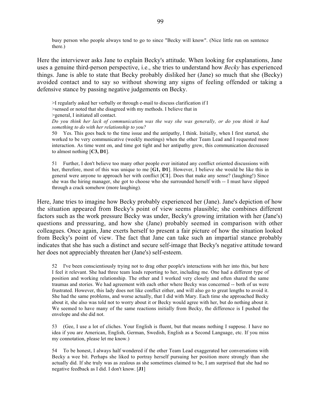busy person who people always tend to go to since "Becky will know". (Nice little run on sentence there.)

Here the interviewer asks Jane to explain Becky's attitude. When looking for explanations, Jane uses a genuine third-person perspective, i.e., she tries to understand how *Becky* has experienced things. Jane is able to state that Becky probably disliked her (Jane) so much that she (Becky) avoided contact and to say so without showing any signs of feeling offended or taking a defensive stance by passing negative judgements on Becky.

>I regularly asked her verbally or through e-mail to discuss clarification if I

>sensed or noted that she disagreed with my methods. I believe that in

>general, I initiated all contact.

*Do you think her lack of communication was the way she was generally, or do you think it had something to do with her relationship to you?*

50 Yes. This goes back to the time issue and the antipathy, I think. Initially, when I first started, she worked to be very communicative (weekly meetings) when the other Team Lead and I requested more interaction. As time went on, and time got tight and her antipathy grew, this communication decreased to almost nothing [**C3, D1**].

51 Further, I don't believe too many other people ever initiated any conflict oriented discussions with her, therefore, most of this was unique to me [**G1, D1**]. However, I believe she would be like this in general were anyone to approach her with conflict [**C1**]. Does that make any sense? (laughing!) Since she was the hiring manager, she got to choose who she surrounded herself with -- I must have slipped through a crack somehow (more laughing).

Here, Jane tries to imagine how Becky probably experienced her (Jane). Jane's depiction of how the situation appeared from Becky's point of view seems plausible; she combines different factors such as the work pressure Becky was under, Becky's growing irritation with her (Jane's) questions and pressuring, and how she (Jane) probably seemed in comparison with other colleagues. Once again, Jane exerts herself to present a fair picture of how the situation looked from Becky's point of view. The fact that Jane can take such an impartial stance probably indicates that she has such a distinct and secure self-image that Becky's negative attitude toward her does not appreciably threaten her (Jane's) self-esteem.

52 I've been conscientiously trying not to drag other people's interactions with her into this, but here I feel it relevant. She had three team leads reporting to her, including me. One had a different type of position and working relationship. The other and I worked very closely and often shared the same traumas and stories. We had agreement with each other where Becky was concerned -- both of us were frustrated. However, this lady does not like conflict either, and will also go to great lengths to avoid it. She had the same problems, and worse actually, that I did with Mary. Each time she approached Becky about it, she also was told not to worry about it or Becky would agree with her, but do nothing about it. We seemed to have many of the same reactions initially from Becky, the difference is I pushed the envelope and she did not.

53 (Gee, I use a lot of cliches. Your English is fluent, but that means nothing I suppose. I have no idea if you are American, English, German, Swedish, English as a Second Language, etc. If you miss my connotation, please let me know.)

54 To be honest, I always half wondered if the other Team Lead exaggerated her conversations with Becky a wee bit. Perhaps she liked to portray herself pursuing her position more strongly than she actually did. If she truly was as zealous as she sometimes claimed to be, I am surprised that she had no negative feedback as I did. I don't know. [**J1**]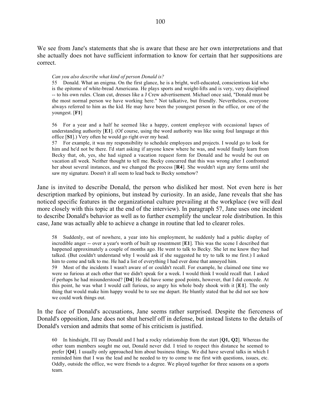We see from Jane's statements that she is aware that these are her own interpretations and that she actually does not have sufficient information to know for certain that her suppositions are correct.

#### *Can you also describe what kind of person Donald is?*

55 Donald. What an enigma. On the first glance, he is a bright, well-educated, conscientious kid who is the epitome of white-bread Americana. He plays sports and weight-lifts and is very, very disciplined -- to his own rules. Clean cut, dresses like a J Crew advertisement. Michael once said, "Donald must be the most normal person we have working here." Not talkative, but friendly. Nevertheless, everyone always referred to him as the kid. He may have been the youngest person in the office, or one of the youngest. [**F1**]

56 For a year and a half he seemed like a happy, content employee with occasional lapses of understanding authority [**E1**]. (Of course, using the word authority was like using foul language at this office [**S1**].) Very often he would go right over my head.

57 For example, it was my responsibility to schedule employees and projects. I would go to look for him and he'd not be there. I'd start asking if anyone knew where he was, and would finally learn from Becky that, oh, yes, she had signed a vacation request form for Donald and he would be out on vacation all week. Neither thought to tell me. Becky concurred that this was wrong after I confronted her about several instances, and we changed the process [**R4**]. She wouldn't sign any forms until she saw my signature. Doesn't it all seem to lead back to Becky somehow?

Jane is invited to describe Donald, the person who disliked her most. Not even here is her description marked by opinions, but instead by curiosity. In an aside, Jane reveals that she has noticed specific features in the organizational culture prevailing at the workplace (we will deal more closely with this topic at the end of the interview). In paragraph 57, Jane uses one incident to describe Donald's behavior as well as to further exemplify the unclear role distribution. In this case, Jane was actually able to achieve a change in routine that led to clearer roles.

58 Suddenly, out of nowhere, a year into his employment, he suddenly had a public display of incredible anger -- over a year's worth of built up resentment [**E1**]. This was the scene I described that happened approximately a couple of months ago. He went to talk to Becky. She let me know they had talked. (But couldn't understand why I would ask if she suggested he try to talk to me first.) I asked him to come and talk to me. He had a list of everything I had ever done that annoyed him.

59 Most of the incidents I wasn't aware of or couldn't recall. For example, he claimed one time we were so furious at each other that we didn't speak for a week. I would think I would recall that. I asked if perhaps he had misunderstood? [**D4**] He did have some good points, however, that I did concede. At this point, he was what I would call furious, so angry his whole body shook with it [**E1**]. The only thing that would make him happy would be to see me depart. He bluntly stated that he did not see how we could work things out.

In the face of Donald's accusations, Jane seems rather surprised. Despite the fierceness of Donald's opposition, Jane does not shut herself off in defense, but instead listens to the details of Donald's version and admits that some of his criticism is justified.

60 In hindsight, I'll say Donald and I had a rocky relationship from the start [**Q1, Q2**]. Whereas the other team members sought me out, Donald never did. I tried to respect this distance he seemed to prefer [**Q4**]. I usually only approached him about business things. We did have several talks in which I reminded him that I was the lead and he needed to try to come to me first with questions, issues, etc. Oddly, outside the office, we were friends to a degree. We played together for three seasons on a sports team.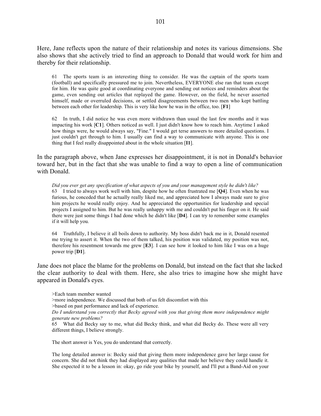Here, Jane reflects upon the nature of their relationship and notes its various dimensions. She also shows that she actively tried to find an approach to Donald that would work for him and thereby for their relationship.

61 The sports team is an interesting thing to consider. He was the captain of the sports team (football) and specifically pressured me to join. Nevertheless, EVERYONE else ran that team except for him. He was quite good at coordinating everyone and sending out notices and reminders about the game, even sending out articles that replayed the game. However, on the field, he never asserted himself, made or overruled decisions, or settled disagreements between two men who kept battling between each other for leadership. This is very like how he was in the office, too. [**F1**]

62 In truth, I did notice he was even more withdrawn than usual the last few months and it was impacting his work [**C1**]. Others noticed as well. I just didn't know how to reach him. Anytime I asked how things were, he would always say, "Fine." I would get terse answers to more detailed questions. I just couldn't get through to him. I usually can find a way to communicate with anyone. This is one thing that I feel really disappointed about in the whole situation [**I1**].

In the paragraph above, when Jane expresses her disappointment, it is not in Donald's behavior toward her, but in the fact that she was unable to find a way to open a line of communication with Donald.

*Did you ever get any specification of what aspects of you and your management style he didn't like?* 63 I tried to always work well with him, despite how he often frustrated me [**Q4**]. Even when he was furious, he conceded that he actually really liked me, and appreciated how I always made sure to give him projects he would really enjoy. And he appreciated the opportunities for leadership and special projects I assigned to him. But he was really unhappy with me and couldn't put his finger on it. He said there were just some things I had done which he didn't like [**D4**]. I can try to remember some examples if it will help you.

64 Truthfully, I believe it all boils down to authority. My boss didn't back me in it, Donald resented me trying to assert it. When the two of them talked, his position was validated, my position was not, therefore his resentment towards me grew [**E3**]. I can see how it looked to him like I was on a huge power trip [**D1**].

Jane does not place the blame for the problems on Donald, but instead on the fact that she lacked the clear authority to deal with them. Here, she also tries to imagine how she might have appeared in Donald's eyes.

>Each team member wanted

>more independence. We discussed that both of us felt discomfort with this

>based on past performance and lack of experience.

*Do I understand you correctly that Becky agreed with you that giving them more independence might generate new problems?*

65 What did Becky say to me, what did Becky think, and what did Becky do. These were all very different things, I believe strongly.

The short answer is Yes, you do understand that correctly.

The long detailed answer is: Becky said that giving them more independence gave her large cause for concern. She did not think they had displayed any qualities that made her believe they could handle it. She expected it to be a lesson in: okay, go ride your bike by yourself, and I'll put a Band-Aid on your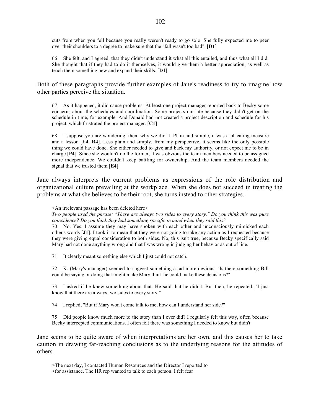cuts from when you fell because you really weren't ready to go solo. She fully expected me to peer over their shoulders to a degree to make sure that the "fall wasn't too bad". [**D1**]

66 She felt, and I agreed, that they didn't understand it what all this entailed, and thus what all I did. She thought that if they had to do it themselves, it would give them a better appreciation, as well as teach them something new and expand their skills. [**D1**]

Both of these paragraphs provide further examples of Jane's readiness to try to imagine how other parties perceive the situation.

67 As it happened, it did cause problems. At least one project manager reported back to Becky some concerns about the schedules and coordination. Some projects ran late because they didn't get on the schedule in time, for example. And Donald had not created a project description and schedule for his project, which frustrated the project manager. [**C1**]

68 I suppose you are wondering, then, why we did it. Plain and simple, it was a placating measure and a lesson [**E4, R4**]. Less plain and simply, from my perspective, it seems like the only possible thing we could have done. She either needed to give and back my authority, or not expect me to be in charge [**P4**]. Since she wouldn't do the former, it was obvious the team members needed to be assigned more independence. We couldn't keep battling for ownership. And the team members needed the signal that we trusted them [**E4**].

Jane always interprets the current problems as expressions of the role distribution and organizational culture prevailing at the workplace. When she does not succeed in treating the problems at what she believes to be their root, she turns instead to other strategies.

<An irrelevant passage has been deleted here>

*Two people used the phrase: "There are always two sides to every story." Do you think this was pure coincidence? Do you think they had something specific in mind when they said this?*

70 No. Yes. I assume they may have spoken with each other and unconsciously mimicked each other's words [**J1**]. I took it to mean that they were not going to take any action as I requested because they were giving equal consideration to both sides. No, this isn't true, because Becky specifically said Mary had not done anything wrong and that I was wrong in judging her behavior as out of line.

71 It clearly meant something else which I just could not catch.

72 K. (Mary's manager) seemed to suggest something a tad more devious, "Is there something Bill could be saying or doing that might make Mary think he could make these decisions?"

73 I asked if he knew something about that. He said that he didn't. But then, he repeated, "I just know that there are always two sides to every story."

74 I replied, "But if Mary won't come talk to me, how can I understand her side?"

75 Did people know much more to the story than I ever did? I regularly felt this way, often because Becky intercepted communications. I often felt there was something I needed to know but didn't.

Jane seems to be quite aware of when interpretations are her own, and this causes her to take caution in drawing far-reaching conclusions as to the underlying reasons for the attitudes of others.

>The next day, I contacted Human Resources and the Director I reported to

>for assistance. The HR rep wanted to talk to each person. I felt fear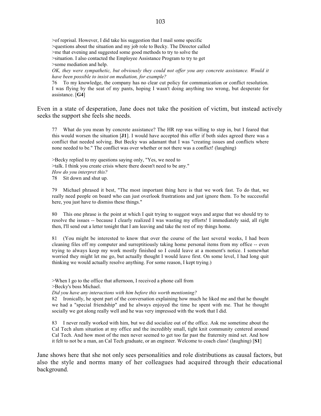>of reprisal. However, I did take his suggestion that I mail some specific >questions about the situation and my job role to Becky. The Director called >me that evening and suggested some good methods to try to solve the >situation. I also contacted the Employee Assistance Program to try to get >some mediation and help. *OK, they were sympathetic, but obviously they could not offer you any concrete assistance. Would it*

*have been possible to insist on mediation, for example?*

76 To my knowledge, the company has no clear cut policy for communication or conflict resolution. I was flying by the seat of my pants, hoping I wasn't doing anything too wrong, but desperate for assistance. [**G4**]

Even in a state of desperation, Jane does not take the position of victim, but instead actively seeks the support she feels she needs.

77 What do you mean by concrete assistance? The HR rep was willing to step in, but I feared that this would worsen the situation [**J1**]. I would have accepted this offer if both sides agreed there was a conflict that needed solving. But Becky was adamant that I was "creating issues and conflicts where none needed to be." The conflict was over whether or not there was a conflict! (laughing)

>Becky replied to my questions saying only, "Yes, we need to >talk. I think you create crisis where there doesn't need to be any." *How do you interpret this?* 78 Sit down and shut up.

79 Michael phrased it best, "The most important thing here is that we work fast. To do that, we really need people on board who can just overlook frustrations and just ignore them. To be successful here, you just have to dismiss these things."

80 This one phrase is the point at which I quit trying to suggest ways and argue that we should try to resolve the issues -- because I clearly realized I was wasting my efforts! I immediately said, all right then, I'll send out a letter tonight that I am leaving and take the rest of my things home.

81 (You might be interested to know that over the course of the last several weeks, I had been cleaning files off my computer and surreptitiously taking home personal items from my office -- even trying to always keep my work mostly finished so I could leave at a moment's notice. I somewhat worried they might let me go, but actually thought I would leave first. On some level, I had long quit thinking we would actually resolve anything. For some reason, I kept trying.)

>When I go to the office that afternoon, I received a phone call from >Becky's boss Michael.

*Did you have any interactions with him before this worth mentioning?*

82 Ironically, he spent part of the conversation explaining how much he liked me and that he thought we had a "special friendship" and he always enjoyed the time he spent with me. That he thought socially we got along really well and he was very impressed with the work that I did.

83 I never really worked with him, but we did socialize out of the office. Ask me sometime about the Cal Tech alum situation at my office and the incredibly small, tight knit community centered around Cal Tech. And how most of the men never seemed to get too far past the fraternity mind set. And how it felt to not be a man, an Cal Tech graduate, or an engineer. Welcome to coach class! (laughing) [**S1**]

Jane shows here that she not only sees personalities and role distributions as causal factors, but also the style and norms many of her colleagues had acquired through their educational background.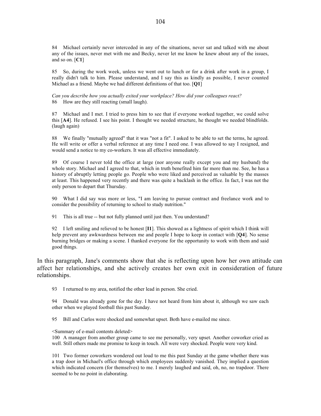84 Michael certainly never interceded in any of the situations, never sat and talked with me about any of the issues, never met with me and Becky, never let me know he knew about any of the issues, and so on. [**C1**]

85 So, during the work week, unless we went out to lunch or for a drink after work in a group, I really didn't talk to him. Please understand, and I say this as kindly as possible, I never counted Michael as a friend. Maybe we had different definitions of that too. [**Q1**]

*Can you describe how you actually exited your workplace? How did your colleagues react?* 86 How are they still reacting (small laugh).

87 Michael and I met. I tried to press him to see that if everyone worked together, we could solve this [**A4**]. He refused. I see his point. I thought we needed structure, he thought we needed blindfolds. (laugh again)

88 We finally "mutually agreed" that it was "not a fit". I asked to be able to set the terms, he agreed. He will write or offer a verbal reference at any time I need one. I was allowed to say I resigned, and would send a notice to my co-workers. It was all effective immediately.

89 Of course I never told the office at large (nor anyone really except you and my husband) the whole story. Michael and I agreed to that, which in truth benefited him far more than me. See, he has a history of abruptly letting people go. People who were liked and perceived as valuable by the masses at least. This happened very recently and there was quite a backlash in the office. In fact, I was not the only person to depart that Thursday.

What I did say was more or less, "I am leaving to pursue contract and freelance work and to consider the possibility of returning to school to study nutrition."

91 This is all true -- but not fully planned until just then. You understand?

92 I left smiling and relieved to be honest [**I1**]. This showed as a lightness of spirit which I think will help prevent any awkwardness between me and people I hope to keep in contact with [**Q4**]. No sense burning bridges or making a scene. I thanked everyone for the opportunity to work with them and said good things.

In this paragraph, Jane's comments show that she is reflecting upon how her own attitude can affect her relationships, and she actively creates her own exit in consideration of future relationships.

93 I returned to my area, notified the other lead in person. She cried.

94 Donald was already gone for the day. I have not heard from him about it, although we saw each other when we played football this past Sunday.

95 Bill and Carlos were shocked and somewhat upset. Both have e-mailed me since.

#### <Summary of e-mail contents deleted>

100 A manager from another group came to see me personally, very upset. Another coworker cried as well. Still others made me promise to keep in touch. All were very shocked. People were very kind.

101 Two former coworkers wondered out loud to me this past Sunday at the game whether there was a trap door in Michael's office through which employees suddenly vanished. They implied a question which indicated concern (for themselves) to me. I merely laughed and said, oh, no, no trapdoor. There seemed to be no point in elaborating.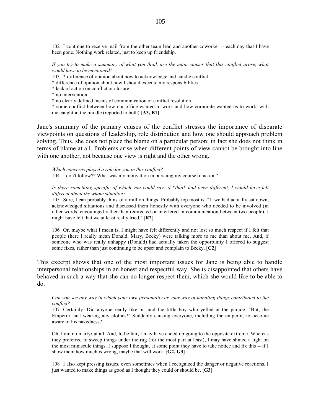102 I continue to receive mail from the other team lead and another coworker -- each day that I have been gone. Nothing work related, just to keep up friendship.

*If you try to make a summary of what you think are the main causes that this conflict arose, what would have to be mentioned?*

103 \* difference of opinion about how to acknowledge and handle conflict

\* difference of opinion about how I should execute my responsibilities

\* lack of action on conflict or closure

\* no intervention

\* no clearly defined means of communication or conflict resolution

\* some conflict between how our office wanted to work and how corporate wanted us to work, with me caught in the middle (reported to both) [**A3, B1**]

Jane's summary of the primary causes of the conflict stresses the importance of disparate viewpoints on questions of leadership, role distribution and how one should approach problem solving. Thus, she does not place the blame on a particular person; in fact she does not think in terms of blame at all. Problems arise when different points of view cannot be brought into line with one another, not because one view is right and the other wrong.

*Which concerns played a role for you in this conflict?* 104 I don't follow?? What was my motivation in pursuing my course of action?

#### *Is there something specific of which you could say: if \*that\* had been different, I would have felt different about the whole situation?*

105 Sure, I can probably think of a million things. Probably top most is: "If we had actually sat down, acknowledged situations and discussed them honestly with everyone who needed to be involved (in other words, encouraged rather than redirected or interfered in communication between two people), I might have felt that we at least really tried." [**R2**]

106 Or, maybe what I mean is, I might have felt differently and not lost so much respect if I felt that people (here I really mean Donald, Mary, Becky) were talking more to me than about me. And, if someone who was really unhappy (Donald) had actually taken the opportunity I offered to suggest some fixes, rather than just continuing to be upset and complain to Becky. [**C2**]

This excerpt shows that one of the most important issues for Jane is being able to handle interpersonal relationships in an honest and respectful way. She is disappointed that others have behaved in such a way that she can no longer respect them, which she would like to be able to do.

*Can you see any way in which your own personality or your way of handling things contributed to the conflict?*

107 Certainly. Did anyone really like or laud the little boy who yelled at the parade, "But, the Emperor isn't wearing any clothes!" Suddenly causing everyone, including the emperor, to become aware of his nakedness?

Oh, I am no martyr at all. And, to be fair, I may have ended up going to the opposite extreme. Whereas they preferred to sweep things under the rug (for the most part at least), I may have shined a light on the most miniscule things. I suppose I thought, at some point they have to take notice and fix this -- if I show them how much is wrong, maybe that will work. [**G2, G3**]

108 I also kept pressing issues, even sometimes when I recognized the danger or negative reactions. I just wanted to make things as good as I thought they could or should be. [**G3**]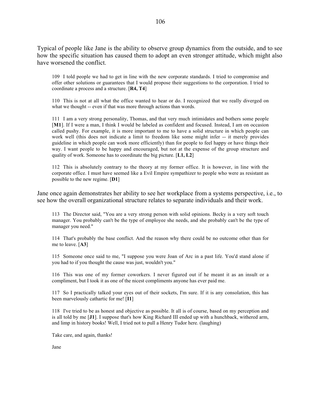Typical of people like Jane is the ability to observe group dynamics from the outside, and to see how the specific situation has caused them to adopt an even stronger attitude, which might also have worsened the conflict.

109 I told people we had to get in line with the new corporate standards. I tried to compromise and offer other solutions or guarantees that I would propose their suggestions to the corporation. I tried to coordinate a process and a structure. [**R4, T4**]

110 This is not at all what the office wanted to hear or do. I recognized that we really diverged on what we thought -- even if that was more through actions than words.

111 I am a very strong personality, Thomas, and that very much intimidates and bothers some people [**M1**]. If I were a man, I think I would be labeled as confident and focused. Instead, I am on occasion called pushy. For example, it is more important to me to have a solid structure in which people can work well (this does not indicate a limit to freedom like some might infer -- it merely provides guideline in which people can work more efficiently) than for people to feel happy or have things their way. I want people to be happy and encouraged, but not at the expense of the group structure and quality of work. Someone has to coordinate the big picture. [**L1, L2**]

112 This is absolutely contrary to the theory at my former office. It is however, in line with the corporate office. I must have seemed like a Evil Empire sympathizer to people who were as resistant as possible to the new regime. [**D1**]

Jane once again demonstrates her ability to see her workplace from a systems perspective, i.e., to see how the overall organizational structure relates to separate individuals and their work.

113 The Director said, "You are a very strong person with solid opinions. Becky is a very soft touch manager. You probably can't be the type of employee she needs, and she probably can't be the type of manager you need."

114 That's probably the base conflict. And the reason why there could be no outcome other than for me to leave. [**A3**]

115 Someone once said to me, "I suppose you were Joan of Arc in a past life. You'd stand alone if you had to if you thought the cause was just, wouldn't you."

116 This was one of my former coworkers. I never figured out if he meant it as an insult or a compliment, but I took it as one of the nicest compliments anyone has ever paid me.

117 So I practically talked your eyes out of their sockets, I'm sure. If it is any consolation, this has been marvelously cathartic for me! [**I1**]

118 I've tried to be as honest and objective as possible. It all is of course, based on my perception and is all told by me [**J1**]. I suppose that's how King Richard III ended up with a hunchback, withered arm, and limp in history books! Well, I tried not to pull a Henry Tudor here. (laughing)

Take care, and again, thanks!

Jane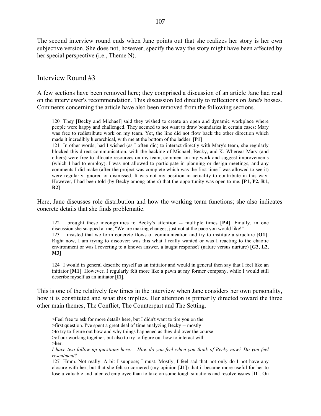The second interview round ends when Jane points out that she realizes her story is her own subjective version. She does not, however, specify the way the story might have been affected by her special perspective (i.e., Theme N).

### Interview Round #3

A few sections have been removed here; they comprised a discussion of an article Jane had read on the interviewer's recommendation. This discussion led directly to reflections on Jane's bosses. Comments concerning the article have also been removed from the following sections.

120 They [Becky and Michael] said they wished to create an open and dynamic workplace where people were happy and challenged. They seemed to not want to draw boundaries in certain cases: Mary was free to redistribute work on my team. Yet, the line did not flow back the other direction which made it incredibly hierarchical, with me at the bottom of the ladder. [**P1**]

121 In other words, had I wished (as I often did) to interact directly with Mary's team, she regularly blocked this direct communication, with the backing of Michael, Becky, and K. Whereas Mary (and others) were free to allocate resources on my team, comment on my work and suggest improvements (which I had to employ). I was not allowed to participate in planning or design meetings, and any comments I did make (after the project was complete which was the first time I was allowed to see it) were regularly ignored or dismissed. It was not my position in actuality to contribute in this way. However, I had been told (by Becky among others) that the opportunity was open to me. [**P1, P2, R1, R2**]

Here, Jane discusses role distribution and how the working team functions; she also indicates concrete details that she finds problematic.

122 I brought these incongruities to Becky's attention -- multiple times [**P 4**]. Finally, in one discussion she snapped at me, "We are making changes, just not at the pace you would like!" 123 I insisted that we form concrete flows of communication and try to institute a structure [**O1**]. Right now, I am trying to discover: was this what I really wanted or was I reacting to the chaotic environment or was I reverting to a known answer, a taught response? (nature versus nurture) [**G3, L2, M3**]

124 I would in general describe myself as an initiator and would in general then say that I feel like an initiator [**M1**]. However, I regularly felt more like a pawn at my former company, while I would still describe myself as an initiator [**I1**].

This is one of the relatively few times in the interview when Jane considers her own personality, how it is constituted and what this implies. Her attention is primarily directed toward the three other main themes, The Conflict, The Counterpart and The Setting.

>Feel free to ask for more details here, but I didn't want to tire you on the

>first question. I've spent a great deal of time analyzing Becky -- mostly

>to try to figure out how and why things happened as they did over the course

>of our working together, but also to try to figure out how to interact with

>her.

*I have two follow-up questions here: - How do you feel when you think of Becky now? Do you feel resentment?*

127 Hmm. Not really. A bit I suppose; I must. Mostly, I feel sad that not only do I not have any closure with her, but that she felt so cornered (my opinion [**J1**]) that it became more useful for her to lose a valuable and talented employee than to take on some tough situations and resolve issues [**I1**]. On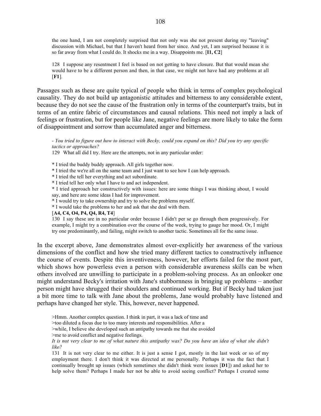the one hand, I am not completely surprised that not only was she not present during my "leaving" discussion with Michael, but that I haven't heard from her since. And yet, I am surprised because it is so far away from what I could do. It shocks me in a way. Disappoints me. [**I1, C2**]

128 I suppose any resentment I feel is based on not getting to have closure. But that would mean she would have to be a different person and then, in that case, we might not have had any problems at all [**F1**].

Passages such as these are quite typical of people who think in terms of complex psychological causality. They do not build up antagonistic attitudes and bitterness to any considerable extent, because they do not see the cause of the frustration only in terms of the counterpart's traits, but in terms of an entire fabric of circumstances and causal relations. This need not imply a lack of feelings or frustration, but for people like Jane, negative feelings are more likely to take the form of disappointment and sorrow than accumulated anger and bitterness.

*- You tried to figure out how to interact with Becky, could you expand on this? Did you try any specific tactics or approaches?*

129 What all did I try. Here are the attempts, not in any particular order:

\* I tried the buddy buddy approach. All girls together now.

- \* I tried the we're all on the same team and I just want to see how I can help approach.
- \* I tried the tell her everything and act subordinate.

\* I tried tell her only what I have to and act independent.

\* I tried approach her constructively with issues: here are some things I was thinking about, I would say, and here are some ideas I had for improvement.

\* I would try to take ownership and try to solve the problems myself.

\* I would take the problems to her and ask that she deal with them.

[**A4, C4, O4, P4, Q4, R4, T4**]

130 I say these are in no particular order because I didn't per se go through them progressively. For example, I might try a combination over the course of the week, trying to gauge her mood. Or, I might try one predominantly, and failing, might switch to another tactic. Sometimes all for the same issue.

In the excerpt above, Jane demonstrates almost over-explicitly her awareness of the various dimensions of the conflict and how she tried many different tactics to constructively influence the course of events. Despite this inventiveness, however, her efforts failed for the most part, which shows how powerless even a person with considerable awareness skills can be when others involved are unwilling to participate in a problem-solving process. As an onlooker one might understand Becky's irritation with Jane's stubbornness in bringing up problems – another person might have shrugged their shoulders and continued working. But if Becky had taken just a bit more time to talk with Jane about the problems, Jane would probably have listened and perhaps have changed her style. This, however, never happened.

>Hmm. Another complex question. I think in part, it was a lack of time and

>too diluted a focus due to too many interests and responsibilities. After a

>while, I believe she developed such an antipathy towards me that she avoided

>me to avoid conflict and negative feelings.

*It is not very clear to me of what nature this antipathy was? Do you have an idea of what she didn't like?*

131 It is not very clear to me either. It is just a sense I got, mostly in the last week or so of my employment there. I don't think it was directed at me personally. Perhaps it was the fact that I continually brought up issues (which sometimes she didn't think were issues [**D1**]) and asked her to help solve them? Perhaps I made her not be able to avoid seeing conflict? Perhaps I created some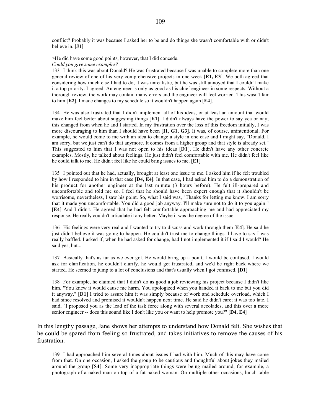conflict? Probably it was because I asked her to be and do things she wasn't comfortable with or didn't believe in. [**J1**]

>He did have some good points, however, that I did concede. *Could you give some examples?*

133 I think this was about Donald? He was frustrated because I was unable to complete more than one general review of one of his very comprehensive projects in one week [**E1, E3**]. We both agreed that considering how much else I had to do, it was unrealistic, but he was still annoyed that I couldn't make it a top priority. I agreed. An engineer is only as good as his chief engineer in some respects. Without a thorough review, the work may contain many errors and the engineer will feel worried. This wasn't fair to him [**E2**]. I made changes to my schedule so it wouldn't happen again [**E4**].

134 He was also frustrated that I didn't implement all of his ideas, or at least an amount that would make him feel better about suggesting things [**E1**]. I didn't always have the power to say yea or nay; this changed from when he and I started. In my frustration over the loss of this freedom initially, I was more discouraging to him than I should have been [**I1, G1, G3**]. It was, of course, unintentional. For example, he would come to me with an idea to change a style in one case and I might say, "Donald, I am sorry, but we just can't do that anymore. It comes from a higher group and that style is already set." This suggested to him that I was not open to his ideas [**D1**]. He didn't have any other concrete examples. Mostly, he talked about feelings. He just didn't feel comfortable with me. He didn't feel like he could talk to me. He didn't feel like he could bring issues to me. [**E1**]

135 I pointed out that he had, actually, brought at least one issue to me. I asked him if he felt troubled by how I responded to him in that case [**D4, E4**]. In that case, I had asked him to do a demonstration of his product for another engineer at the last minute (3 hours before). He felt ill-prepared and uncomfortable and told me so. I feel that he should have been expert enough that it shouldn't be worrisome, nevertheless, I saw his point. So, what I said was, "Thanks for letting me know. I am sorry that it made you uncomfortable. You did a good job anyway. I'll make sure not to do it to you again." [**E4**] And I didn't. He agreed that he had felt comfortable approaching me and had appreciated my response. He really couldn't articulate it any better. Maybe it was the degree of the issue.

136 His feelings were very real and I wanted to try to discuss and work through them [**E4**]. He said he just didn't believe it was going to happen. He couldn't trust me to change things. I have to say I was really baffled. I asked if, when he had asked for change, had I not implemented it if I said I would? He said yes, but...

137 Basically that's as far as we ever got. He would bring up a point, I would be confused, I would ask for clarification, he couldn't clarify, he would get frustrated, and we'd be right back where we started. He seemed to jump to a lot of conclusions and that's usually when I got confused. [**D1**]

138 For example, he claimed that I didn't do as good a job reviewing his project because I didn't like him. "You knew it would cause me harm. You apologized when you handed it back to me but you did it anyway." [**D1**] I tried to assure him it was simply because of work and schedule overload, which I had since resolved and promised it wouldn't happen next time. He said he didn't care; it was too late. I said, "I proposed you as the lead of the task force along with several accolades, and this over a more senior engineer -- does this sound like I don't like you or want to help promote you?" [**D4, E4**]

In this lengthy passage, Jane shows her attempts to understand how Donald felt. She wishes that he could be spared from feeling so frustrated, and takes initiatives to remove the causes of his frustration.

139 I had approached him several times about issues I had with him. Much of this may have come from that. On one occasion, I asked the group to be cautious and thoughtful about jokes they mailed around the group [**S4**]. Some very inappropriate things were being mailed around, for example, a photograph of a naked man on top of a fat naked woman. On multiple other occasions, lunch table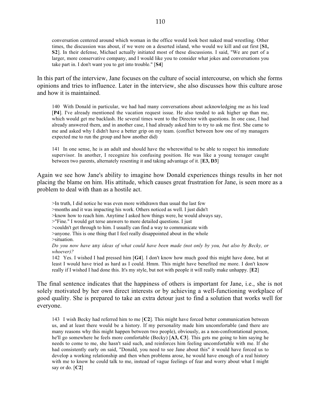In this part of the interview, Jane focuses on the culture of social intercourse, on which she forms opinions and tries to influence. Later in the interview, she also discusses how this culture arose and how it is maintained.

140 With Donald in particular, we had had many conversations about acknowledging me as his lead [**P4**]. I've already mentioned the vacation request issue. He also tended to ask higher up than me, which would get me backlash. He several times went to the Director with questions. In one case, I had already answered them, and in another case, I had already asked him to try to ask me first. She came to me and asked why I didn't have a better grip on my team. (conflict between how one of my managers expected me to run the group and how another did)

141 In one sense, he is an adult and should have the wherewithal to be able to respect his immediate supervisor. In another, I recognize his confusing position. He was like a young teenager caught between two parents, alternately resenting it and taking advantage of it. [**E3, D3**]

Again we see how Jane's ability to imagine how Donald experiences things results in her not placing the blame on him. His attitude, which causes great frustration for Jane, is seen more as a problem to deal with than as a hostile act.

>In truth, I did notice he was even more withdrawn than usual the last few

>months and it was impacting his work. Others noticed as well. I just didn't

>know how to reach him. Anytime I asked how things were, he would always say,

>"Fine." I would get terse answers to more detailed questions. I just

>couldn't get through to him. I usually can find a way to communicate with

>anyone. This is one thing that I feel really disappointed about in the whole

>situation.

*Do you now have* any *ideas of what could have been made (not only by you, but also by Becky, or whoever)?*

142 Yes. I wished I had pressed him [**G4**]. I don't know how much good this might have done, but at least I would have tried as hard as I could. Hmm. This might have benefited me more. I don't know really if I wished I had done this. It's my style, but not with people it will really make unhappy. [**E2**]

The final sentence indicates that the happiness of others is important for Jane, i.e., she is not solely motivated by her own direct interests or by achieving a well-functioning workplace of good quality. She is prepared to take an extra detour just to find a solution that works well for everyone.

143 I wish Becky had referred him to me [**C2**]. This might have forced better communication between us, and at least there would be a history. If my personality made him uncomfortable (and there are many reasons why this might happen between two people), obviously, as a non-confrontational person, he'll go somewhere he feels more comfortable (Becky) [**A3, C3**]. This gets me going to him saying he needs to come to me, she hasn't said such, and reinforces him feeling uncomfortable with me. If she had consistently early on said, "Donald, you need to see Jane about this" it would have forced us to develop a working relationship and then when problems arose, he would have enough of a real history with me to know he could talk to me, instead of vague feelings of fear and worry about what I might say or do. [**C2**]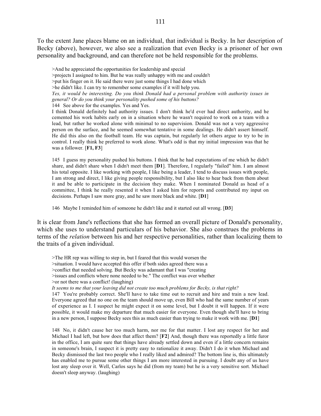To the extent Jane places blame on an individual, that individual is Becky. In her description of Becky (above), however, we also see a realization that even Becky is a prisoner of her own personality and background, and can therefore not be held responsible for the problems.

>And he appreciated the opportunities for leadership and special >projects I assigned to him. But he was really unhappy with me and couldn't >put his finger on it. He said there were just some things I had done which >he didn't like. I can try to remember some examples if it will help you. *Yes, it would be interesting. Do you think Donald had a personal problem with authority issues in general? Or do you think your personality pushed some of his buttons?*

144 See above for the examples. Yes and Yes.

I think Donald definitely had authority issues. I don't think he'd ever had direct authority, and he cemented his work habits early on in a situation where he wasn't required to work on a team with a lead, but rather he worked alone with minimal to no supervision. Donald was not a very aggressive person on the surface, and he seemed somewhat tentative in some dealings. He didn't assert himself. He did this also on the football team. He was captain, but regularly let others argue to try to be in control. I really think he preferred to work alone. What's odd is that my initial impression was that he was a follower. [**F1, F3**]

145 I guess my personality pushed his buttons. I think that he had expectations of me which he didn't share, and didn't share when I didn't meet them [**D1**]. Therefore, I regularly "failed" him. I am almost his total opposite. I like working with people, I like being a leader, I tend to discuss issues with people, I am strong and direct, I like giving people responsibility, but I also like to hear back from them about it and be able to participate in the decision they make. When I nominated Donald as head of a committee, I think he really resented it when I asked him for reports and contributed my input on decisions. Perhaps I saw more gray, and he saw more black and white. [**D1**]

146 Maybe I reminded him of someone he didn't like and it started out all wrong. [**D3**]

It is clear from Jane's reflections that she has formed an overall picture of Donald's personality, which she uses to understand particulars of his behavior. She also construes the problems in terms of the *relation* between his and her respective personalities, rather than localizing them to the traits of a given individual.

>The HR rep was willing to step in, but I feared that this would worsen the >situation. I would have accepted this offer if both sides agreed there was a >conflict that needed solving. But Becky was adamant that I was "creating

>issues and conflicts where none needed to be." The conflict was over whether

>or not there was a conflict! (laughing)

*It seems to me that your leaving did not create too much problems for Becky, is that right?*

147 You're probably correct. She'll have to take time out to recruit and hire and train a new lead. Everyone agreed that no one on the team should move up, even Bill who had the same number of years of experience as I. I suspect he might expect it on some level, but I doubt it will happen. If it were possible, it would make my departure that much easier for everyone. Even though she'll have to bring in a new person, I suppose Becky sees this as much easier than trying to make it work with me. [**D1**]

148 No, it didn't cause her too much harm, nor me for that matter. I lost any respect for her and Michael I had left, but how does that affect them? [**F2**] And, though there was reportedly a little furor in the office, I am quite sure that things have already settled down and even if a little concern remains in someone's brain, I suspect it is pretty easy to rationalize it away. Didn't I do it when Michael and Becky dismissed the last two people who I really liked and admired? The bottom line is, this ultimately has enabled me to pursue some other things I am more interested in pursuing. I doubt any of us have lost any sleep over it. Well, Carlos says he did (from my team) but he is a very sensitive sort. Michael doesn't sleep anyway. (laughing)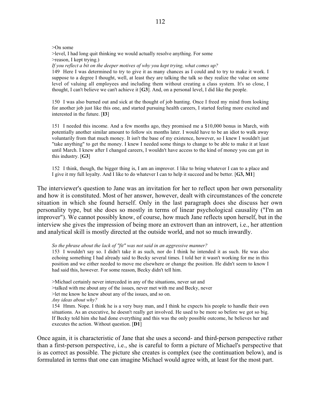>On some

>level, I had long quit thinking we would actually resolve anything. For some >reason, I kept trying.) *If you reflect a bit on the deeper motives of why you kept trying, what comes up?*

149 Here I was determined to try to give it as many chances as I could and to try to make it work. I suppose to a degree I thought, well, at least they are talking the talk so they realize the value on some level of valuing all employees and including them without creating a class system. It's so close, I thought, I can't believe we can't achieve it [**G3**]. And, on a personal level, I did like the people.

150 I was also burned out and sick at the thought of job hunting. Once I freed my mind from looking for another job just like this one, and started pursuing health careers, I started feeling more excited and interested in the future. [**I3**]

151 I needed this income. And a few months ago, they promised me a \$10,000 bonus in March, with potentially another similar amount to follow six months later. I would have to be an idiot to walk away voluntarily from that much money. It isn't the base of my existence, however, so I knew I wouldn't just "take anything" to get the money. I knew I needed some things to change to be able to make it at least until March. I knew after I changed careers, I wouldn't have access to the kind of money you can get in this industry. [**G3**]

152 I think, though, the bigger thing is, I am an improver. I like to bring whatever I can to a place and I give it my full loyalty. And I like to do whatever I can to help it succeed and be better. [**G3, M1**]

The interviewer's question to Jane was an invitation for her to reflect upon her own personality and how it is constituted. Most of her answer, however, dealt with circumstances of the concrete situation in which she found herself. Only in the last paragraph does she discuss her own personality type, but she does so mostly in terms of linear psychological causality ("I'm an improver"). We cannot possibly know, of course, how much Jane reflects upon herself, but in the interview she gives the impression of being more an extrovert than an introvert, i.e., her attention and analytical skill is mostly directed at the outside world, and not so much inwardly.

*So the phrase about the lack of "fit" was not said in an aggressive manner?*

153 I wouldn't say so. I didn't take it as such, nor do I think he intended it as such. He was also echoing something I had already said to Becky several times. I told her it wasn't working for me in this position and we either needed to move me elsewhere or change the position. He didn't seem to know I had said this, however. For some reason, Becky didn't tell him.

>Michael certainly never interceded in any of the situations, never sat and >talked with me about any of the issues, never met with me and Becky, never >let me know he knew about any of the issues, and so on. *Any ideas about why?* 154 Hmm. Nope. I think he is a very busy man, and I think he expects his people to handle their own situations. As an executive, he doesn't really get involved. He used to be more so before we got so big. If Becky told him she had done everything and this was the only possible outcome, he believes her and executes the action. Without question. [**D1**]

Once again, it is characteristic of Jane that she uses a second- and third-person perspective rather than a first-person perspective, i.e., she is careful to form a picture of Michael's perspective that is as correct as possible. The picture she creates is complex (see the continuation below), and is formulated in terms that one can imagine Michael would agree with, at least for the most part.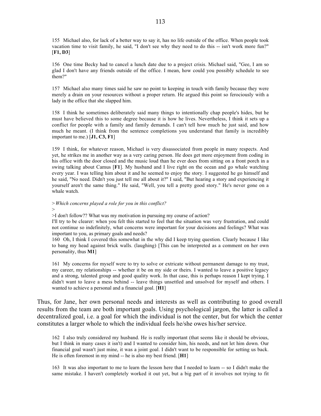155 Michael also, for lack of a better way to say it, has no life outside of the office. When people took vacation time to visit family, he said, "I don't see why they need to do this -- isn't work more fun?" [**F1, D3**]

156 One time Becky had to cancel a lunch date due to a project crisis. Michael said, "Gee, I am so glad I don't have any friends outside of the office. I mean, how could you possibly schedule to see them?"

157 Michael also many times said he saw no point to keeping in touch with family because they were merely a drain on your resources without a proper return. He argued this point so ferociously with a lady in the office that she slapped him.

158 I think he sometimes deliberately said many things to intentionally chap people's hides, but he must have believed this to some degree because it is how he lives. Nevertheless, I think it sets up a conflict for people with a family and family demands. I can't tell how much he just said, and how much he meant. (I think from the sentence completions you understand that family is incredibly important to me.) [**J1, C3, F1**]

159 I think, for whatever reason, Michael is very disassociated from people in many respects. And yet, he strikes me in another way as a very caring person. He does get more enjoyment from coding in his office with the door closed and the music loud than he ever does from sitting on a front porch in a swing talking about Camus [**F1**]. My husband and I live right on the ocean and go whale watching every year. I was telling him about it and he seemed to enjoy the story. I suggested he go himself and he said, "No need. Didn't you just tell me all about it?" I said, "But hearing a story and experiencing it yourself aren't the same thing." He said, "Well, you tell a pretty good story." He's never gone on a whale watch.

*>Which concerns played a role for you in this conflict?* >

>I don't follow?? What was my motivation in pursuing my course of action?

I'll try to be clearer: when you felt this started to feel that the situation was very frustration, and could not continue so indefinitely, what concerns were important for your decisions and feelings? What was important to you, as primary goals and needs?

160 Oh, I think I covered this somewhat in the why did I keep trying question. Clearly because I like to bang my head against brick walls. (laughing) [This can be interpreted as a comment on her own personality, thus **M1**]

161 My concerns for myself were to try to solve or extricate without permanent damage to my trust, my career, my relationships -- whether it be on my side or theirs. I wanted to leave a positive legacy and a strong, talented group and good quality work. In that case, this is perhaps reason I kept trying. I didn't want to leave a mess behind -- leave things unsettled and unsolved for myself and others. I wanted to achieve a personal and a financial goal. [**H1**]

Thus, for Jane, her own personal needs and interests as well as contributing to good overall results from the team are both important goals. Using psychological jargon, the latter is called a decentralized goal, i.e. a goal for which the individual is not the center, but for which the center constitutes a larger whole to which the individual feels he/she owes his/her service.

162 I also truly considered my husband. He is really important (that seems like it should be obvious, but I think in many cases it isn't) and I wanted to consider him, his needs, and not let him down. Our financial goal wasn't just mine, it was a joint goal. I didn't want to be responsible for setting us back. He is often foremost in my mind -- he is also my best friend. [**H1**]

163 It was also important to me to learn the lesson here that I needed to learn -- so I didn't make the same mistake. I haven't completely worked it out yet, but a big part of it involves not trying to fit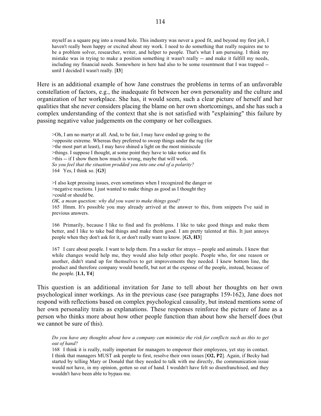myself as a square peg into a round hole. This industry was never a good fit, and beyond my first job, I haven't really been happy or excited about my work. I need to do something that really requires me to be a problem solver, researcher, writer, and helper to people. That's what I am pursuing. I think my mistake was in trying to make a position something it wasn't really -- and make it fulfill my needs, including my financial needs. Somewhere in here had also to be some resentment that I was trapped - until I decided I wasn't really. [**I3**]

Here is an additional example of how Jane construes the problems in terms of an unfavorable constellation of factors, e.g., the inadequate fit between her own personality and the culture and organization of her workplace. She has, it would seem, such a clear picture of herself and her qualities that she never considers placing the blame on her own shortcomings, and she has such a complex understanding of the context that she is not satisfied with "explaining" this failure by passing negative value judgements on the company or her colleagues.

>Oh, I am no martyr at all. And, to be fair, I may have ended up going to the >opposite extreme. Whereas they preferred to sweep things under the rug (for >the most part at least), I may have shined a light on the most miniscule >things. I suppose I thought, at some point they have to take notice and fix >this -- if I show them how much is wrong, maybe that will work. *So you feel that the situation prodded you into one end of a polarity?* 164 Yes, I think so. [**G3**]

>I also kept pressing issues, even sometimes when I recognized the danger or >negative reactions. I just wanted to make things as good as I thought they >could or should be.

*OK, a mean question: why did you want to make things good?* 165 Hmm. It's possible you may already arrived at the answer to this, from snippets I've said in previous answers.

166 Primarily, because I like to find and fix problems. I like to take good things and make them better, and I like to take bad things and make them good. I am pretty talented at this. It just annoys people when they don't ask for it, or don't really want to know. [**G3, H3**]

167 I care about people. I want to help them. I'm a sucker for strays -- people and animals. I knew that while changes would help me, they would also help other people. People who, for one reason or another, didn't stand up for themselves to get improvements they needed. I knew bottom line, the product and therefore company would benefit, but not at the expense of the people, instead, because of the people. [**L1, T4**]

This question is an additional invitation for Jane to tell about her thoughts on her own psychological inner workings. As in the previous case (see paragraphs 159-162), Jane does not respond with reflections based on complex psychological causality, but instead mentions some of her own personality traits as explanations. These responses reinforce the picture of Jane as a person who thinks more about how other people function than about how she herself does (but we cannot be sure of this).

*Do you have any thoughts about how a company can minimize the risk for conflicts such as this to get out of hand?*

168 I think it is really, really important for managers to empower their employees, yet stay in contact. I think that managers MUST ask people to first, resolve their own issues [**O2, P2**]. Again, if Becky had started by telling Mary or Donald that they needed to talk with me directly, the communication issue would not have, in my opinion, gotten so out of hand. I wouldn't have felt so disenfranchised, and they wouldn't have been able to bypass me.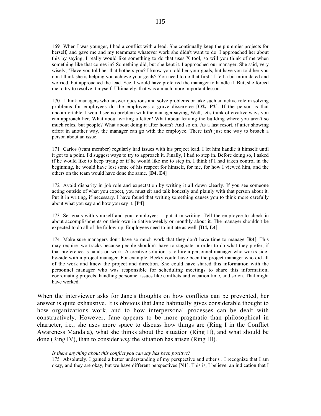169 When I was younger, I had a conflict with a lead. She continually keep the plummier projects for herself, and gave me and my teammate whatever work she didn't want to do. I approached her about this by saying, I really would like something to do that uses X tool, so will you think of me when something like that comes in? Something did, but she kept it. I approached our manager. She said, very wisely, "Have you told her that bothers you? I know you told her your goals, but have you told her you don't think she is helping you achieve your goals? You need to do that first." I felt a bit intimidated and worried, but approached the lead. See, I would have preferred the manager to handle it. But, she forced me to try to resolve it myself. Ultimately, that was a much more important lesson.

170 I think managers who answer questions and solve problems or take such an active role in solving problems for employees do the employees a grave disservice [**O2, P2**]. If the person is that uncomfortable, I would see no problem with the manager saying, Well, let's think of creative ways you can approach her. What about writing a letter? What about leaving the building where you aren't so much roles, but people? What about doing it after hours? And so on. As a last resort, if after showing effort in another way, the manager can go with the employee. There isn't just one way to broach a person about an issue.

171 Carlos (team member) regularly had issues with his project lead. I let him handle it himself until it got to a point. I'd suggest ways to try to approach it. Finally, I had to step in. Before doing so, I asked if he would like to keep trying or if he would like me to step in. I think if I had taken control in the beginning, he would have lost some of his respect for himself, for me, for how I viewed him, and the others on the team would have done the same. [**D4, E4**]

172 Avoid disparity in job role and expectation by writing it all down clearly. If you see someone acting outside of what you expect, you must sit and talk honestly and plainly with that person about it. Put it in writing, if necessary. I have found that writing something causes you to think more carefully about what you say and how you say it. [**P4**]

173 Set goals with yourself and your employees -- put it in writing. Tell the employee to check in about accomplishments on their own initiative weekly or monthly about it. The manager shouldn't be expected to do all of the follow-up. Employees need to initiate as well. [**D4, L4**]

174 Make sure managers don't have so much work that they don't have time to manage [**R4**]. This may require two tracks because people shouldn't have to stagnate in order to do what they prefer, if that preference is hands-on work. A creative solution is to hire a personnel manager who works sideby-side with a project manager. For example, Becky could have been the project manager who did all of the work and knew the project and direction. She could have shared this information with the personnel manager who was responsible for scheduling meetings to share this information, coordinating projects, handling personnel issues like conflicts and vacation time, and so on. That might have worked.

When the interviewer asks for Jane's thoughts on how conflicts can be prevented, her answer is quite exhaustive. It is obvious that Jane habitually gives considerable thought to how organizations work, and to how interpersonal processes can be dealt with constructively. However, Jane appears to be more pragmatic than philosophical in character, i.e., she uses more space to discuss how things are (Ring I in the Conflict Awareness Mandala), what she thinks about the situation (Ring II), and what should be done (Ring IV), than to consider *why* the situation has arisen (Ring III).

#### *Is there anything about this conflict you can say has been positive?*

175 Absolutely. I gained a better understanding of my perspective and other's . I recognize that I am okay, and they are okay, but we have different perspectives [**N1**]. This is, I believe, an indication that I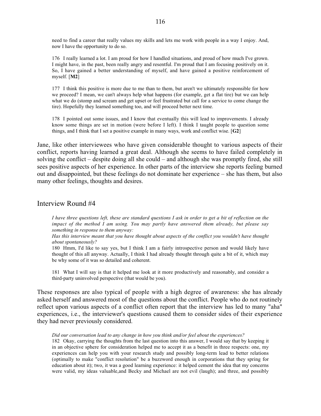need to find a career that really values my skills and lets me work with people in a way I enjoy. And, now I have the opportunity to do so.

176 I really learned a lot. I am proud for how I handled situations, and proud of how much I've grown. I might have, in the past, been really angry and resentful. I'm proud that I am focusing positively on it. So, I have gained a better understanding of myself, and have gained a positive reinforcement of myself. [**M2**]

177 I think this positive is more due to me than to them, but aren't we ultimately responsible for how we proceed? I mean, we can't always help what happens (for example, get a flat tire) but we can help what we do (stomp and scream and get upset or feel frustrated but call for a service to come change the tire). Hopefully they learned something too, and will proceed better next time.

178 I pointed out some issues, and I know that eventually this will lead to improvements. I already know some things are set in motion (were before I left). I think I taught people to question some things, and I think that I set a positive example in many ways, work and conflict wise. [**G2**]

Jane, like other interviewees who have given considerable thought to various aspects of their conflict, reports having learned a great deal. Although she seems to have failed completely in solving the conflict – despite doing all she could – and although she was promptly fired, she still sees positive aspects of her experience. In other parts of the interview she reports feeling burned out and disappointed, but these feelings do not dominate her experience – she has them, but also many other feelings, thoughts and desires.

### Interview Round #4

*I have three questions left, these are standard questions I ask in order to get a bit of reflection on the impact of the method I am using. You may partly have answered them already, but please say something in response to them anyway:*

*Has this interview meant that you have thought about aspects of the conflict you wouldn't have thought about spontaneously?*

180 Hmm, I'd like to say yes, but I think I am a fairly introspective person and would likely have thought of this all anyway. Actually, I think I had already thought through quite a bit of it, which may be why some of it was so detailed and coherent.

181 What I will say is that it helped me look at it more productively and reasonably, and consider a third-party uninvolved perspective (that would be you).

These responses are also typical of people with a high degree of awareness: she has already asked herself and answered most of the questions about the conflict. People who do not routinely reflect upon various aspects of a conflict often report that the interview has led to many "aha" experiences, i.e., the interviewer's questions caused them to consider sides of their experience they had never previously considered.

#### *Did our conversation lead to any change in how you think and/or feel about the experiences?*

182 Okay, carrying the thoughts from the last question into this answer, I would say that by keeping it in an objective sphere for consideration helped me to accept it as a benefit in three respects: one, my experiences can help you with your research study and possibly long-term lead to better relations (optimally to make "conflict resolution" be a buzzword enough in corporations that they spring for education about it); two, it was a good learning experience: it helped cement the idea that my concerns were valid, my ideas valuable,and Becky and Michael are not evil (laugh); and three, and possibly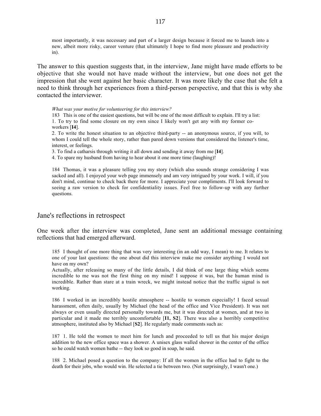most importantly, it was necessary and part of a larger design because it forced me to launch into a new, albeit more risky, career venture (that ultimately I hope to find more pleasure and productivity in).

The answer to this question suggests that, in the interview, Jane might have made efforts to be objective that she would not have made without the interview, but one does not get the impression that she went against her basic character. It was more likely the case that she felt a need to think through her experiences from a third-person perspective, and that this is why she contacted the interviewer.

*What was your motive for volunteering for this interview?*

183 This is one of the easiest questions, but will be one of the most difficult to explain. I'll try a list: 1. To try to find some closure on my own since I likely won't get any with my former coworkers [**I4**].

2. To write the honest situation to an objective third-party -- an anonymous source, if you will, to whom I could tell the whole story, rather than pared down versions that considered the listener's time, interest, or feelings.

3. To find a catharsis through writing it all down and sending it away from me [**I4**].

4. To spare my husband from having to hear about it one more time (laughing)!

184 Thomas, it was a pleasure telling you my story (which also sounds strange considering I was sacked and all). I enjoyed your web page immensely and am very intrigued by your work. I will, if you don't mind, continue to check back there for more. I appreciate your compliments. I'll look forward to seeing a raw version to check for confidentiality issues. Feel free to follow-up with any further questions.

### Jane's reflections in retrospect

One week after the interview was completed, Jane sent an additional message containing reflections that had emerged afterward.

185 I thought of one more thing that was very interesting (in an odd way, I mean) to me. It relates to one of your last questions: the one about did this interview make me consider anything I would not have on my own?

Actually, after releasing so many of the little details, I did think of one large thing which seems incredible to me was not the first thing on my mind! I suppose it was, but the human mind is incredible. Rather than stare at a train wreck, we might instead notice that the traffic signal is not working.

186 I worked in an incredibly hostile atmosphere -- hostile to women especially! I faced sexual harassment, often daily, usually by Michael (the head of the office and Vice President). It was not always or even usually directed personally towards me, but it was directed at women, and at two in particular and it made me terribly uncomfortable [**I1, S2**]. There was also a horribly competitive atmosphere, instituted also by Michael [**S2**]. He regularly made comments such as:

187 1. He told the women to meet him for lunch and proceeded to tell us that his major design addition to the new office space was a shower. A unisex glass walled shower in the center of the office so he could watch women bathe -- they look so good in soap, he said.

188 2. Michael posed a question to the company: If all the women in the office had to fight to the death for their jobs, who would win. He selected a tie between two. (Not surprisingly, I wasn't one.)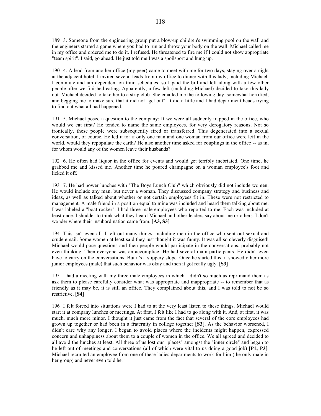189 3. Someone from the engineering group put a blow-up children's swimming pool on the wall and the engineers started a game where you had to run and throw your body on the wall. Michael called me in my office and ordered me to do it. I refused. He threatened to fire me if I could not show appropriate "team spirit". I said, go ahead. He just told me I was a spoilsport and hung up.

190 4. A lead from another office (my peer) came to meet with me for two days, staying over a night at the adjacent hotel. I invited several leads from my office to dinner with this lady, including Michael. I commute and am dependent on train schedules, so I paid the bill and left along with a few other people after we finished eating. Apparently, a few left (including Michael) decided to take this lady out. Michael decided to take her to a strip club. She emailed me the following day, somewhat horrified, and begging me to make sure that it did not "get out". It did a little and I had department heads trying to find out what all had happened.

191 5. Michael posed a question to the company: If we were all suddenly trapped in the office, who would we eat first? He tended to name the same employees, for very derogatory reasons. Not so ironically, these people were subsequently fired or transferred. This degenerated into a sexual conversation, of course. He led it to: if only one man and one woman from our office were left in the world, would they repopulate the earth? He also another time asked for couplings in the office -- as in, for whom would any of the women leave their husbands?

192 6. He often had liquor in the office for events and would get terribly inebriated. One time, he grabbed me and kissed me. Another time he poured champagne on a woman employee's foot and licked it off.

193 7. He had power lunches with "The Boys Lunch Club" which obviously did not include women. He would include any man, but never a woman. They discussed company strategy and business and ideas, as well as talked about whether or not certain employees fit in. These were not restricted to management. A male friend in a position equal to mine was included and heard them talking about me. I was labeled a "boat rocker". I had three male employees who reported to me. Each was included at least once. I shudder to think what they heard Michael and other leaders say about me or others. I don't wonder where their insubordination came from. [**A3, S3**]

194 This isn't even all. I left out many things, including men in the office who sent out sexual and crude email. Some women at least said they just thought it was funny. It was all so cleverly disguised! Michael would pose questions and then people would participate in the conversations, probably not even thinking. Then everyone was an accomplice! He had several main participants. He didn't even have to carry on the conversations. But it's a slippery slope. Once he started this, it showed other more junior employees (male) that such behavior was okay and then it got really ugly. [**S3**]

195 I had a meeting with my three male employees in which I didn't so much as reprimand them as ask them to please carefully consider what was appropriate and inappropriate -- to remember that as friendly as it may be, it is still an office. They complained about this, and I was told to not be so restrictive. [**S4**]

196 I felt forced into situations were I had to at the very least listen to these things. Michael would start it at company lunches or meetings. At first, I felt like I had to go along with it. And, at first, it was much, much more minor. I thought it just came from the fact that several of the core employees had grown up together or had been in a fraternity in college together [**S3**]. As the behavior worsened, I didn't care why any longer. I began to avoid places where the incidents might happen, expressed concern and unhappiness about them to a couple of women in the office. We all agreed and decided to all avoid the lunches at least. All three of us lost our "places" amongst the "inner circle" and began to be left out of meetings and conversations (all of which were vital to us doing a good job) [**P1, P3**]. Michael recruited an employee from one of these ladies departments to work for him (the only male in her group) and never even told her!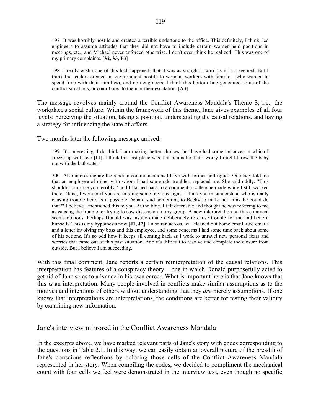197 It was horribly hostile and created a terrible undertone to the office. This definitely, I think, led engineers to assume attitudes that they did not have to include certain women-held positions in meetings, etc., and Michael never enforced otherwise. I don't even think he realized! This was one of my primary complaints. [**S2, S3, P3**]

198 I really wish none of this had happened; that it was as straightforward as it first seemed. But I think the leaders created an environment hostile to women, workers with families (who wanted to spend time with their families), and non-engineers. I think this bottom line generated some of the conflict situations, or contributed to them or their escalation. [**A3**]

The message revolves mainly around the Conflict Awareness Mandala's Theme S, i.e., the workplace's social culture. Within the framework of this theme, Jane gives examples of all four levels: perceiving the situation, taking a position, understanding the causal relations, and having a strategy for influencing the state of affairs.

Two months later the following message arrived:

199 It's interesting. I do think I am making better choices, but have had some instances in which I freeze up with fear [**I1**]. I think this last place was that traumatic that I worry I might throw the baby out with the bathwater.

200 Also interesting are the random communications I have with former colleagues. One lady told me that an employee of mine, with whom I had some odd troubles, replaced me. She said oddly, "This shouldn't surprise you terribly." and I flashed back to a comment a colleague made while I still worked there, "Jane, I wonder if you are missing some obvious signs. I think you misunderstand who is really causing trouble here. Is it possible Donald said something to Becky to make her think he could do that?" I believe I mentioned this to you. At the time, I felt defensive and thought he was referring to me as causing the trouble, or trying to sow dissension in my group. A new interpretation on this comment seems obvious. Perhaps Donald was insubordinate deliberately to cause trouble for me and benefit himself? This is my hypothesis now [**J1, J2**]. I also ran across, as I cleaned out home email, two emails and a letter involving my boss and this employee, and some concerns I had some time back about some of his actions. It's so odd how it keeps all coming back as I work to unravel new personal fears and worries that came out of this past situation. And it's difficult to resolve and complete the closure from outside. But I believe I am succeeding.

With this final comment, Jane reports a certain reinterpretation of the causal relations. This interpretation has features of a conspiracy theory – one in which Donald purposefully acted to get rid of Jane so as to advance in his own career. What is important here is that Jane knows that this *is* an interpretation. Many people involved in conflicts make similar assumptions as to the motives and intentions of others without understanding that they *are* merely assumptions. If one knows that interpretations are interpretations, the conditions are better for testing their validity by examining new information.

### Jane's interview mirrored in the Conflict Awareness Mandala

In the excerpts above, we have marked relevant parts of Jane's story with codes corresponding to the questions in Table 2.1. In this way, we can easily obtain an overall picture of the breadth of Jane's conscious reflections by coloring those cells of the Conflict Awareness Mandala represented in her story. When compiling the codes, we decided to compliment the mechanical count with four cells we feel were demonstrated in the interview text, even though no specific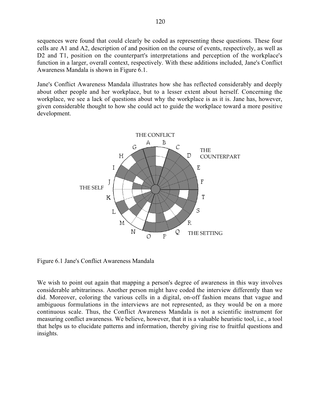sequences were found that could clearly be coded as representing these questions. These four cells are A1 and A2, description of and position on the course of events, respectively, as well as D<sub>2</sub> and T<sub>1</sub>, position on the counterpart's interpretations and perception of the workplace's function in a larger, overall context, respectively. With these additions included, Jane's Conflict Awareness Mandala is shown in Figure 6.1.

Jane's Conflict Awareness Mandala illustrates how she has reflected considerably and deeply about other people and her workplace, but to a lesser extent about herself. Concerning the workplace, we see a lack of questions about why the workplace is as it is. Jane has, however, given considerable thought to how she could act to guide the workplace toward a more positive development.



Figure 6.1 Jane's Conflict Awareness Mandala

We wish to point out again that mapping a person's degree of awareness in this way involves considerable arbitrariness. Another person might have coded the interview differently than we did. Moreover, coloring the various cells in a digital, on-off fashion means that vague and ambiguous formulations in the interviews are not represented, as they would be on a more continuous scale. Thus, the Conflict Awareness Mandala is not a scientific instrument for measuring conflict awareness. We believe, however, that it is a valuable heuristic tool, i.e., a tool that helps us to elucidate patterns and information, thereby giving rise to fruitful questions and insights.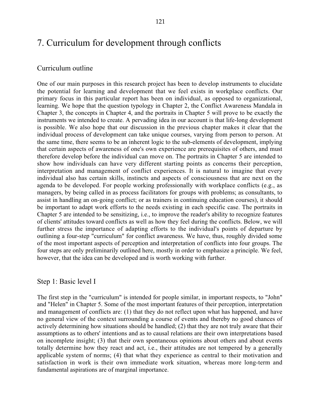# 7. Curriculum for development through conflicts

### Curriculum outline

One of our main purposes in this research project has been to develop instruments to elucidate the potential for learning and development that we feel exists in workplace conflicts. Our primary focus in this particular report has been on individual, as opposed to organizational, learning. We hope that the question typology in Chapter 2, the Conflict Awareness Mandala in Chapter 3, the concepts in Chapter 4, and the portraits in Chapter 5 will prove to be exactly the instruments we intended to create. A pervading idea in our account is that life-long development is possible. We also hope that our discussion in the previous chapter makes it clear that the individual process of development can take unique courses, varying from person to person. At the same time, there seems to be an inherent logic to the sub-elements of development, implying that certain aspects of awareness of one's own experience are prerequisites of others, and must therefore develop before the individual can move on. The portraits in Chapter 5 are intended to show how individuals can have very different starting points as concerns their perception, interpretation and management of conflict experiences. It is natural to imagine that every individual also has certain skills, instincts and aspects of consciousness that are next on the agenda to be developed. For people working professionally with workplace conflicts (e.g., as managers, by being called in as process facilitators for groups with problems; as consultants, to assist in handling an on-going conflict; or as trainers in continuing education courses), it should be important to adapt work efforts to the needs existing in each specific case. The portraits in Chapter 5 are intended to be sensitizing, i.e., to improve the reader's ability to recognize features of clients' attitudes toward conflicts as well as how they feel during the conflicts. Below, we will further stress the importance of adapting efforts to the individual's points of departure by outlining a four-step "curriculum" for conflict awareness. We have, thus, roughly divided some of the most important aspects of perception and interpretation of conflicts into four groups. The four steps are only preliminarily outlined here, mostly in order to emphasize a principle. We feel, however, that the idea can be developed and is worth working with further.

### Step 1: Basic level I

The first step in the "curriculum" is intended for people similar, in important respects, to "John" and "Helen" in Chapter 5. Some of the most important features of their perception, interpretation and management of conflicts are: (1) that they do not reflect upon what has happened, and have no general view of the context surrounding a course of events and thereby no good chances of actively determining how situations should be handled; (2) that they are not truly aware that their assumptions as to others' intentions and as to causal relations are their own interpretations based on incomplete insight; (3) that their own spontaneous opinions about others and about events totally determine how they react and act, i.e., their attitudes are not tempered by a generally applicable system of norms; (4) that what they experience as central to their motivation and satisfaction in work is their own immediate work situation, whereas more long-term and fundamental aspirations are of marginal importance.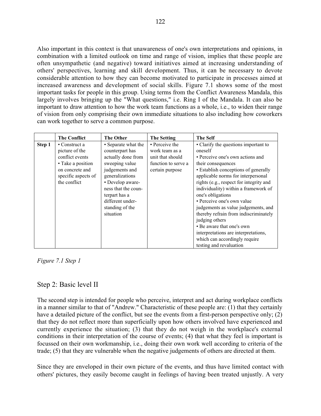Also important in this context is that unawareness of one's own interpretations and opinions, in combination with a limited outlook on time and range of vision, implies that these people are often unsympathetic (and negative) toward initiatives aimed at increasing understanding of others' perspectives, learning and skill development. Thus, it can be necessary to devote considerable attention to how they can become motivated to participate in processes aimed at increased awareness and development of social skills. Figure 7.1 shows some of the most important tasks for people in this group. Using terms from the Conflict Awareness Mandala, this largely involves bringing up the "What questions," i.e. Ring I of the Mandala. It can also be important to draw attention to how the work team functions as a whole, i.e., to widen their range of vision from only comprising their own immediate situations to also including how coworkers can work together to serve a common purpose.

|        | <b>The Conflict</b>   | <b>The Other</b>    | <b>The Setting</b>  | <b>The Self</b>                         |
|--------|-----------------------|---------------------|---------------------|-----------------------------------------|
| Step 1 | $\bullet$ Construct a | • Separate what the | • Perceive the      | • Clarify the questions important to    |
|        | picture of the        | counterpart has     | work team as a      | oneself                                 |
|        | conflict events       | actually done from  | unit that should    | • Perceive one's own actions and        |
|        | • Take a position     | sweeping value      | function to serve a | their consequences                      |
|        | on concrete and       | judgements and      | certain purpose     | • Establish conceptions of generally    |
|        | specific aspects of   | generalizations     |                     | applicable norms for interpersonal      |
|        | the conflict          | • Develop aware-    |                     | rights (e.g., respect for integrity and |
|        |                       | ness that the coun- |                     | individuality) within a framework of    |
|        |                       | terpart has a       |                     | one's obligations                       |
|        |                       | different under-    |                     | • Perceive one's own value              |
|        |                       | standing of the     |                     | judgements as value judgements, and     |
|        |                       | situation           |                     | thereby refrain from indiscriminately   |
|        |                       |                     |                     | judging others                          |
|        |                       |                     |                     | • Be aware that one's own               |
|        |                       |                     |                     | interpretations are interpretations,    |
|        |                       |                     |                     | which can accordingly require           |
|        |                       |                     |                     | testing and revaluation                 |

*Figure 7.1 Step 1*

### Step 2: Basic level II

The second step is intended for people who perceive, interpret and act during workplace conflicts in a manner similar to that of "Andrew." Characteristic of these people are: (1) that they certainly have a detailed picture of the conflict, but see the events from a first-person perspective only; (2) that they do not reflect more than superficially upon how others involved have experienced and currently experience the situation; (3) that they do not weigh in the workplace's external conditions in their interpretation of the course of events; (4) that what they feel is important is focussed on their own workmanship, i.e., doing their own work well according to criteria of the trade; (5) that they are vulnerable when the negative judgements of others are directed at them.

Since they are enveloped in their own picture of the events, and thus have limited contact with others' pictures, they easily become caught in feelings of having been treated unjustly. A very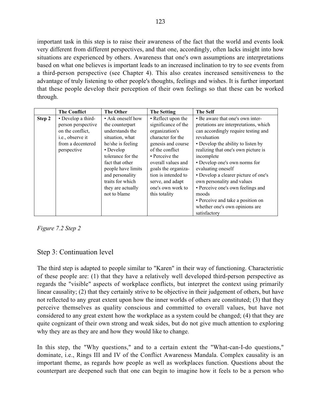important task in this step is to raise their awareness of the fact that the world and events look very different from different perspectives, and that one, accordingly, often lacks insight into how situations are experienced by others. Awareness that one's own assumptions are interpretations based on what one believes is important leads to an increased inclination to try to see events from a third-person perspective (see Chapter 4). This also creates increased sensitiveness to the advantage of truly listening to other people's thoughts, feelings and wishes. It is further important that these people develop their perception of their own feelings so that these can be worked through.

|        | <b>The Conflict</b> | <b>The Other</b>   | <b>The Setting</b>  | <b>The Self</b>                                    |  |
|--------|---------------------|--------------------|---------------------|----------------------------------------------------|--|
| Step 2 | • Develop a third-  | • Ask oneself how  | • Reflect upon the  | • Be aware that one's own inter-                   |  |
|        | person perspective  | the counterpart    | significance of the | pretations are interpretations, which              |  |
|        | on the conflict,    | understands the    | organization's      | can accordingly require testing and<br>revaluation |  |
|        | i.e., observe it    | situation, what    | character for the   |                                                    |  |
|        | from a decentered   | he/she is feeling  | genesis and course  | • Develop the ability to listen by                 |  |
|        | perspective         | • Develop          | of the conflict     | realizing that one's own picture is                |  |
|        |                     | tolerance for the  | • Perceive the      | incomplete                                         |  |
|        |                     | fact that other    | overall values and  | • Develop one's own norms for                      |  |
|        |                     | people have limits | goals the organiza- | evaluating oneself                                 |  |
|        |                     | and personality    | tion is intended to | • Develop a clearer picture of one's               |  |
|        |                     | traits for which   | serve, and adapt    | own personality and values                         |  |
|        |                     | they are actually  | one's own work to   | • Perceive one's own feelings and                  |  |
|        |                     | not to blame       | this totality       | moods                                              |  |
|        |                     |                    |                     | • Perceive and take a position on                  |  |
|        |                     |                    |                     | whether one's own opinions are                     |  |
|        |                     |                    |                     | satisfactory                                       |  |

*Figure 7.2 Step 2*

# Step 3: Continuation level

The third step is adapted to people similar to "Karen" in their way of functioning. Characteristic of these people are: (1) that they have a relatively well developed third-person perspective as regards the "visible" aspects of workplace conflicts, but interpret the context using primarily linear causality; (2) that they certainly strive to be objective in their judgement of others, but have not reflected to any great extent upon how the inner worlds of others are constituted; (3) that they perceive themselves as quality conscious and committed to overall values, but have not considered to any great extent how the workplace as a system could be changed; (4) that they are quite cognizant of their own strong and weak sides, but do not give much attention to exploring why they are as they are and how they would like to change.

In this step, the "Why questions," and to a certain extent the "What-can-I-do questions," dominate, i.e., Rings III and IV of the Conflict Awareness Mandala. Complex causality is an important theme, as regards how people as well as workplaces function. Questions about the counterpart are deepened such that one can begin to imagine how it feels to be a person who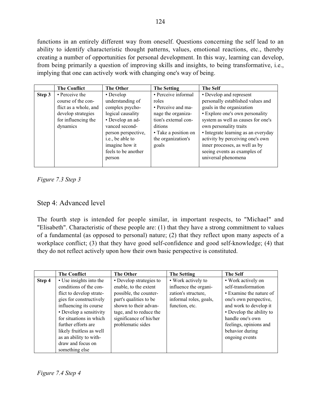functions in an entirely different way from oneself. Questions concerning the self lead to an ability to identify characteristic thought patterns, values, emotional reactions, etc., thereby creating a number of opportunities for personal development. In this way, learning can develop, from being primarily a question of improving skills and insights, to being transformative, i.e., implying that one can actively work with changing one's way of being.

|        | <b>The Conflict</b>   | <b>The Other</b>    | <b>The Setting</b>   | <b>The Self</b>                     |
|--------|-----------------------|---------------------|----------------------|-------------------------------------|
| Step 3 | • Perceive the        | • Develop           | • Perceive informal  | • Develop and represent             |
|        | course of the con-    | understanding of    | roles                | personally established values and   |
|        | flict as a whole, and | complex psycho-     | • Perceive and ma-   | goals in the organization           |
|        | develop strategies    | logical causality   | nage the organiza-   | • Explore one's own personality     |
|        | for influencing the   | • Develop an ad-    | tion's external con- | system as well as causes for one's  |
|        | dynamics              | vanced second-      | ditions              | own personality traits              |
|        |                       | person perspective, | • Take a position on | • Integrate learning as an everyday |
|        |                       | i.e., be able to    | the organization's   | activity by perceiving one's own    |
|        |                       | imagine how it      | goals                | inner processes, as well as by      |
|        |                       | feels to be another |                      | seeing events as examples of        |
|        |                       | person              |                      | universal phenomena                 |
|        |                       |                     |                      |                                     |

*Figure 7.3 Step 3*

# Step 4: Advanced level

The fourth step is intended for people similar, in important respects, to "Michael" and "Elisabeth". Characteristic of these people are: (1) that they have a strong commitment to values of a fundamental (as opposed to personal) nature; (2) that they reflect upon many aspects of a workplace conflict; (3) that they have good self-confidence and good self-knowledge; (4) that they do not reflect actively upon how their own basic perspective is constituted.

|        | <b>The Conflict</b>      | <b>The Other</b>        | <b>The Setting</b>     | <b>The Self</b>          |
|--------|--------------------------|-------------------------|------------------------|--------------------------|
| Step 4 | • Use insights into the  | • Develop strategies to | • Work actively to     | • Work actively on       |
|        | conditions of the con-   | enable, to the extent   | influence the organi-  | self-transformation      |
|        | flict to develop strate- | possible, the counter-  | zation's structure,    | • Examine the nature of  |
|        | gies for constructively  | part's qualities to be  | informal roles, goals, | one's own perspective,   |
|        | influencing its course   | shown to their advan-   | function, etc.         | and work to develop it   |
|        | • Develop a sensitivity  | tage, and to reduce the |                        | • Develop the ability to |
|        | for situations in which  | significance of his/her |                        | handle one's own         |
|        | further efforts are      | problematic sides       |                        | feelings, opinions and   |
|        | likely fruitless as well |                         |                        | behavior during          |
|        | as an ability to with-   |                         |                        | ongoing events           |
|        | draw and focus on        |                         |                        |                          |
|        | something else           |                         |                        |                          |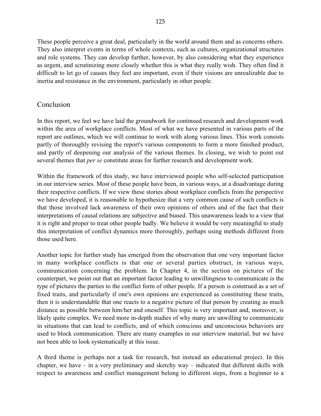These people perceive a great deal, particularly in the world around them and as concerns others. They also interpret events in terms of whole contexts, such as cultures, organizational structures and role systems. They can develop further, however, by also considering what they experience as urgent, and scrutinizing more closely whether this is what they really wish. They often find it difficult to let go of causes they feel are important, even if their visions are unrealizable due to inertia and resistance in the environment, particularly in other people.

# Conclusion

In this report, we feel we have laid the groundwork for continued research and development work within the area of workplace conflicts. Most of what we have presented in various parts of the report are outlines, which we will continue to work with along various lines. This work consists partly of thoroughly revising the report's various components to form a more finished product, and partly of deepening our analysis of the various themes. In closing, we wish to point out several themes that *per se* constitute areas for further research and development work.

Within the framework of this study, we have interviewed people who self-selected participation in our interview series. Most of these people have been, in various ways, at a disadvantage during their respective conflicts. If we view these stories about workplace conflicts from the perspective we have developed, it is reasonable to hypothesize that a very common cause of such conflicts is that those involved lack awareness of their own opinions of others and of the fact that their interpretations of causal relations are subjective and biased. This unawareness leads to a view that it is right and proper to treat other people badly. We believe it would be very meaningful to study this interpretation of conflict dynamics more thoroughly, perhaps using methods different from those used here.

Another topic for further study has emerged from the observation that one very important factor in many workplace conflicts is that one or several parties obstruct, in various ways, communication concerning the problem. In Chapter 4, in the section on pictures of the counterpart, we point out that an important factor leading to unwillingness to communicate is the type of pictures the parties to the conflict form of other people. If a person is construed as a set of fixed traits, and particularly if one's own opinions are experienced as constituting these traits, then it is understandable that one reacts to a negative picture of that person by creating as much distance as possible between him/her and oneself. This topic is very important and, moreover, is likely quite complex. We need more in-depth studies of why many are unwilling to communicate in situations that can lead to conflicts, and of which conscious and unconscious behaviors are used to block communication. There are many examples in our interview material, but we have not been able to look systematically at this issue.

A third theme is perhaps not a task for research, but instead an educational project. In this chapter, we have – in a very preliminary and sketchy way – indicated that different skills with respect to awareness and conflict management belong to different steps, from a beginner to a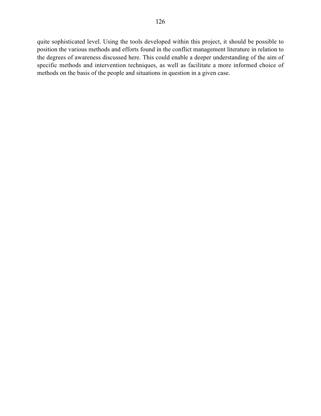quite sophisticated level. Using the tools developed within this project, it should be possible to position the various methods and efforts found in the conflict management literature in relation to the degrees of awareness discussed here. This could enable a deeper understanding of the aim of specific methods and intervention techniques, as well as facilitate a more informed choice of methods on the basis of the people and situations in question in a given case.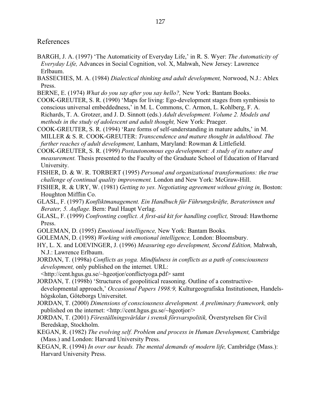### References

- BARGH, J. A. (1997) 'The Automaticity of Everyday Life,' in R. S. Wyer: *The Automaticity of Everyday Life,* Advances in Social Cognition, vol. X, Mahwah, New Jersey: Lawrence Erlbaum.
- BASSECHES, M. A. (1984) *Dialectical thinking and adult development,* Norwood, N.J.: Ablex Press.
- BERNE, E. (1974) *What do you say after you say hello?,* New York: Bantam Books.
- COOK-GREUTER, S. R. (1990) 'Maps for living: Ego-development stages from symbiosis to conscious universal embeddedness,' in M. L. Commons, C. Armon, L. Kohlberg, F. A. Richards, T. A. Grotzer, and J. D. Sinnott (eds.) *Adult development. Volume 2. Models and methods in the study of adolescent and adult thought,* New York: Praeger.
- COOK-GREUTER, S. R. (1994) 'Rare forms of self-understanding in mature adults,' in M. MILLER & S. R. COOK-GREUTER: *Transcendence and mature thought in adulthood. The further reaches of adult development,* Lanham, Maryland: Rowman & Littlefield.
- COOK-GREUTER, S. R. (1999) *Postautonomous ego development: A study of its nature and measurement.* Thesis presented to the Faculty of the Graduate School of Education of Harvard University.
- FISHER, D. & W. R. TORBERT (1995) *Personal and organizational transformations: the true challenge of continual quality improvement.* London and New York: McGraw-Hill.
- FISHER, R. & URY, W. (1981) *Getting to yes. Negotiating agreement without giving in,* Boston: Houghton Mifflin Co.
- GLASL, F. (1997) *Konfliktmanagement. Ein Handbuch für Führungskräfte, Beraterinnen und Berater, 5. Auflage.* Bern: Paul Haupt Verlag.
- GLASL, F. (1999) *Confronting conflict. A first-aid kit for handling conflict,* Stroud: Hawthorne Press.
- GOLEMAN, D. (1995) *Emotional intelligence,* New York: Bantam Books.
- GOLEMAN, D. (1998) *Working with emotional intelligence,* London: Bloomsbury.
- HY, L. X. and LOEVINGER, J. (1996) *Measuring ego development, Second Edition,* Mahwah, N.J.: Lawrence Erlbaum.
- JORDAN, T. (1998a) *Conflicts as yoga. Mindfulness in conflicts as a path of consciousness development,* only published on the internet. URL:
- <http://cent.hgus.gu.se/~hgeotjor/conflictyoga.pdf> samt
- JORDAN, T. (1998b) 'Structures of geopolitical reasoning. Outline of a constructivedevelopmental approach,' *Occasional Papers 1998:9,* Kulturgeografiska Institutionen, Handelshögskolan, Göteborgs Universitet.
- JORDAN, T. (2000) *Dimensions of consciousness development. A preliminary framework,* only published on the internet: <http://cent.hgus.gu.se/~hgeotjor/>
- JORDAN, T. (2001) *Föreställningsvärldar i svensk försvarspolitik,* Överstyrelsen för Civil Beredskap, Stockholm.
- KEGAN, R. (1982) *The evolving self. Problem and process in Human Development,* Cambridge (Mass.) and London: Harvard University Press.
- KEGAN, R. (1994) *In over our heads. The mental demands of modern life,* Cambridge (Mass.): Harvard University Press.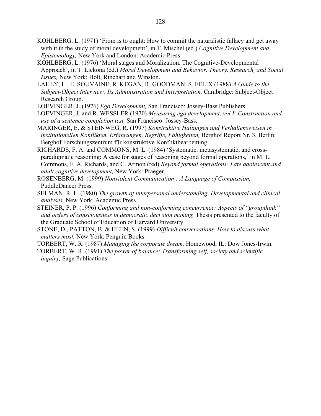KOHLBERG, L. (1971) 'From is to ought: How to commit the naturalistic fallacy and get away with it in the study of moral development', in T. Mischel (ed.) *Cognitive Development and Epistemology,* New York and London: Academic Press.

KOHLBERG, L. (1976) 'Moral stages and Moralization. The Cognitive-Developmental Approach', in T. Lickona (ed.) *Moral Development and Behavior. Theory, Research, and Social Issues,* New York: Holt, Rinehart and Winston.

LAHEY, L., E. SOUVAINE, R. KEGAN, R. GOODMAN, S. FELIX (1988) *A Guide to the Subject-Object Interview: Its Administration and Interpretation,* Cambridge: Subject-Object Research Group.

LOEVINGER, J. (1976) *Ego Development,* San Francisco: Jossey-Bass Publishers.

- LOEVINGER, J. and R. WESSLER (1970) *Measuring ego development, vol I: Construction and use of a sentence completion test,* San Francisco: Jossey-Bass.
- MARINGER, E. & STEINWEG, R. (1997) *Konstruktive Haltungen und Verhaltensweisen in* institutionellen Konflikten. Erfahrungen, Begriffe, Fähigkeiten, Berghof Report Nr. 3, Berlin: Berghof Forschungszentrum für konstruktive Konfliktbearbeitung.

RICHARDS, F. A. and COMMONS, M. L. (1984) 'Systematic. metasystematic, and crossparadigmatic reasoning: A case for stages of reasoning beyond formal operations,' in M. L. Commons, F. A. Richards, and C. Armon (red) *Beyond formal operations: Late adolescent and adult cognitive development,* New York: Praeger.

- ROSENBERG, M. (1999) *Nonviolent Communication : A Language of Compassion,* PuddleDancer Press.
- SELMAN, R. L. (1980) *The growth of interpersonal understanding. Developmental and clinical analyses,* New York: Academic Press.
- STEINER, P. P. (1996) *Conforming and non-conforming concurrence: Aspects of "groupthink" and orders of consciousness in democratic deci sion making,* Thesis presented to the faculty of the Graduate School of Education of Harvard University.

STONE, D., PATTON, B. & HEEN, S. (1999) *Difficult conversations. How to discuss what matters most,* New York: Penguin Books.

TORBERT, W. R. (1987) *Managing the corporate dream,* Homewood, IL: Dow Jones-Irwin.

TORBERT, W. R. (1991) *The power of balance: Transforming self, society and scientific inquiry,* Sage Publications.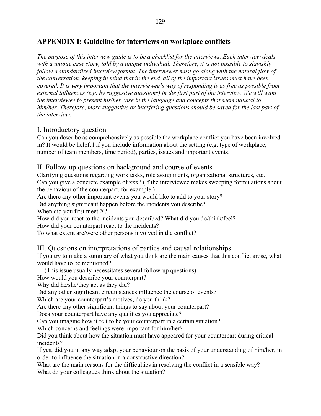# **APPENDIX I: Guideline for interviews on workplace conflicts**

*The purpose of this interview guide is to be a checklist for the interviews. Each interview deals with a unique case story, told by a unique individual. Therefore, it is not possible to slavishly follow a standardized interview format. The interviewer must go along with the natural flow of the conversation, keeping in mind that in the end, all of the important issues must have been covered. It is very important that the interviewee's way of responding is as free as possible from external influences (e.g. by suggestive questions) in the first part of the interview. We will want the interviewee to present his/her case in the language and concepts that seem natural to him/her. Therefore, more suggestive or interfering questions should be saved for the last part of the interview.*

## I. Introductory question

Can you describe as comprehensively as possible the workplace conflict you have been involved in? It would be helpful if you include information about the setting (e.g. type of workplace, number of team members, time period), parties, issues and important events.

# II. Follow-up questions on background and course of events

Clarifying questions regarding work tasks, role assignments, organizational structures, etc. Can you give a concrete example of xxx? (If the interviewee makes sweeping formulations about the behaviour of the counterpart, for example.)

Are there any other important events you would like to add to your story?

Did anything significant happen before the incidents you describe?

When did you first meet X?

How did you react to the incidents you described? What did you do/think/feel?

How did your counterpart react to the incidents?

To what extent are/were other persons involved in the conflict?

# III. Questions on interpretations of parties and causal relationships

If you try to make a summary of what you think are the main causes that this conflict arose, what would have to be mentioned?

(This issue usually necessitates several follow-up questions)

How would you describe your counterpart?

Why did he/she/they act as they did?

Did any other significant circumstances influence the course of events?

Which are your counterpart's motives, do you think?

Are there any other significant things to say about your counterpart?

Does your counterpart have any qualities you appreciate?

Can you imagine how it felt to be your counterpart in a certain situation?

Which concerns and feelings were important for him/her?

Did you think about how the situation must have appeared for your counterpart during critical incidents?

If yes, did you in any way adapt your behaviour on the basis of your understanding of him/her, in order to influence the situation in a constructive direction?

What are the main reasons for the difficulties in resolving the conflict in a sensible way? What do your colleagues think about the situation?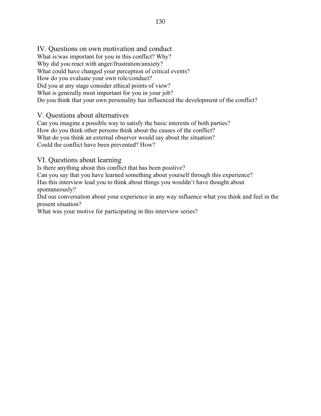What is/was important for you in this conflict? Why? Why did you react with anger/frustration/anxiety? What could have changed your perception of critical events? How do you evaluate your own role/conduct? Did you at any stage consider ethical points of view? What is generally most important for you in your job? Do you think that your own personality has influenced the development of the conflict?

# V. Questions about alternatives

Can you imagine a possible way to satisfy the basic interests of both parties? How do you think other persons think about the causes of the conflict? What do you think an external observer would say about the situation? Could the conflict have been prevented? How?

# VI. Questions about learning

Is there anything about this conflict that has been positive?

Can you say that you have learned something about yourself through this experience? Has this interview lead you to think about things you wouldn't have thought about spontaneously?

Did our conversation about your experience in any way influence what you think and feel in the present situation?

What was your motive for participating in this interview series?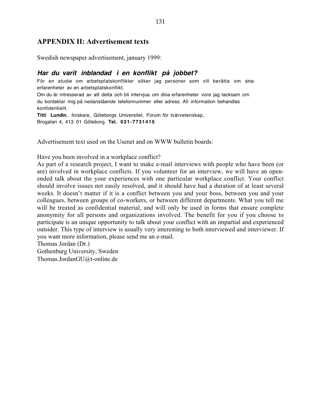## **APPENDIX II: Advertisement texts**

Swedish newspaper advertisement, january 1999:

### *Har du varit inblandad i en konflikt på jobbet?*

För en studie om arbetsplatskonflikter söker jag personer som vill berätta om sina erfarenheter av en arbetsplatskonflikt.

Om du är intresserad av att delta och bli intervjua om dina erfarenheter vore jag tacksam om du kontaktar mig på nedanstående telefonnummer eller adress. All information behandlas konfidentiellt.

*Titti Lundin*, forskare, Göteborgs Universitet, Forum för tvärvetenskap, Brogatan 4, 413 01 Göteborg. *Tel. 031-7731415*

Advertisement text used on the Usenet and on WWW bulletin boards:

Have you been involved in a workplace conflict?

As part of a research project, I want to make e-mail interviews with people who have been (or are) involved in workplace conflicts. If you volunteer for an interview, we will have an openended talk about the your experiences with one particular workplace conflict. Your conflict should involve issues not easily resolved, and it should have had a duration of at least several weeks. It doesn't matter if it is a conflict between you and your boss, between you and your colleagues, between groups of co-workers, or between different departments. What you tell me will be treated as confidential material, and will only be used in forms that ensure complete anonymity for all persons and organizations involved. The benefit for you if you choose to participate is an unique opportunity to talk about your conflict with an impartial and experienced outsider. This type of interview is usually very interesting to both interviewed and interviewer. If you want more information, please send me an e-mail.

Thomas Jordan (Dr.)

Gothenburg University, Sweden Thomas.JordanGU@t-online.de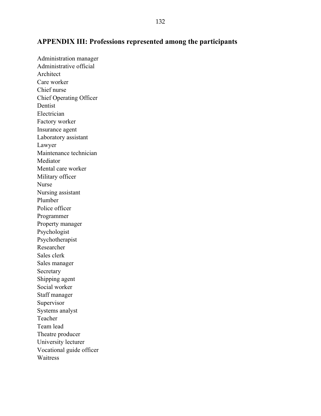# **APPENDIX III: Professions represented among the participants**

Administration manager Administrative official Architect Care worker Chief nurse Chief Operating Officer Dentist Electrician Factory worker Insurance agent Laboratory assistant Lawyer Maintenance technician Mediator Mental care worker Military officer Nurse Nursing assistant Plumber Police officer Programmer Property manager Psychologist Psychotherapist Researcher Sales clerk Sales manager Secretary Shipping agent Social worker Staff manager Supervisor Systems analyst Teacher Team lead Theatre producer University lecturer Vocational guide officer Waitress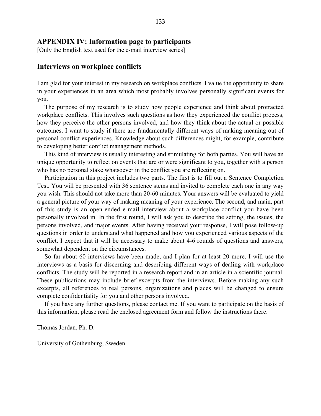### **APPENDIX IV: Information page to participants**

[Only the English text used for the e-mail interview series]

### **Interviews on workplace conflicts**

I am glad for your interest in my research on workplace conflicts. I value the opportunity to share in your experiences in an area which most probably involves personally significant events for you.

The purpose of my research is to study how people experience and think about protracted workplace conflicts. This involves such questions as how they experienced the conflict process, how they perceive the other persons involved, and how they think about the actual or possible outcomes. I want to study if there are fundamentally different ways of making meaning out of personal conflict experiences. Knowledge about such differences might, for example, contribute to developing better conflict management methods.

This kind of interview is usually interesting and stimulating for both parties. You will have an unique opportunity to reflect on events that are or were significant to you, together with a person who has no personal stake whatsoever in the conflict you are reflecting on.

Participation in this project includes two parts. The first is to fill out a Sentence Completion Test. You will be presented with 36 sentence stems and invited to complete each one in any way you wish. This should not take more than 20-60 minutes. Your answers will be evaluated to yield a general picture of your way of making meaning of your experience. The second, and main, part of this study is an open-ended e-mail interview about a workplace conflict you have been personally involved in. In the first round, I will ask you to describe the setting, the issues, the persons involved, and major events. After having received your response, I will pose follow-up questions in order to understand what happened and how you experienced various aspects of the conflict. I expect that it will be necessary to make about 4-6 rounds of questions and answers, somewhat dependent on the circumstances.

So far about 60 interviews have been made, and I plan for at least 20 more. I will use the interviews as a basis for discerning and describing different ways of dealing with workplace conflicts. The study will be reported in a research report and in an article in a scientific journal. These publications may include brief excerpts from the interviews. Before making any such excerpts, all references to real persons, organizations and places will be changed to ensure complete confidentiality for you and other persons involved.

If you have any further questions, please contact me. If you want to participate on the basis of this information, please read the enclosed agreement form and follow the instructions there.

Thomas Jordan, Ph. D.

University of Gothenburg, Sweden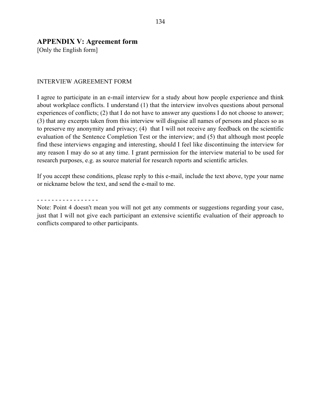## **APPENDIX V: Agreement form**

[Only the English form]

### INTERVIEW AGREEMENT FORM

I agree to participate in an e-mail interview for a study about how people experience and think about workplace conflicts. I understand (1) that the interview involves questions about personal experiences of conflicts; (2) that I do not have to answer any questions I do not choose to answer; (3) that any excerpts taken from this interview will disguise all names of persons and places so as to preserve my anonymity and privacy; (4) that I will not receive any feedback on the scientific evaluation of the Sentence Completion Test or the interview; and (5) that although most people find these interviews engaging and interesting, should I feel like discontinuing the interview for any reason I may do so at any time. I grant permission for the interview material to be used for research purposes, e.g. as source material for research reports and scientific articles.

If you accept these conditions, please reply to this e-mail, include the text above, type your name or nickname below the text, and send the e-mail to me.

- - - - - - - - - - - - - - - - -

Note: Point 4 doesn't mean you will not get any comments or suggestions regarding your case, just that I will not give each participant an extensive scientific evaluation of their approach to conflicts compared to other participants.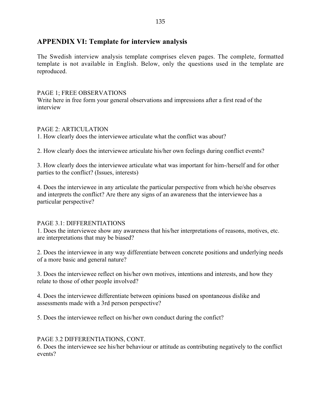# **APPENDIX VI: Template for interview analysis**

The Swedish interview analysis template comprises eleven pages. The complete, formatted template is not available in English. Below, only the questions used in the template are reproduced.

### PAGE 1; FREE OBSERVATIONS

Write here in free form your general observations and impressions after a first read of the interview

### PAGE 2: ARTICULATION

1. How clearly does the interviewee articulate what the conflict was about?

2. How clearly does the interviewee articulate his/her own feelings during conflict events?

3. How clearly does the interviewee articulate what was important for him-/herself and for other parties to the conflict? (Issues, interests)

4. Does the interviewee in any articulate the particular perspective from which he/she observes and interprets the conflict? Are there any signs of an awareness that the interviewee has a particular perspective?

### PAGE 3.1: DIFFERENTIATIONS

1. Does the interviewee show any awareness that his/her interpretations of reasons, motives, etc. are interpretations that may be biased?

2. Does the interviewee in any way differentiate between concrete positions and underlying needs of a more basic and general nature?

3. Does the interviewee reflect on his/her own motives, intentions and interests, and how they relate to those of other people involved?

4. Does the interviewee differentiate between opinions based on spontaneous dislike and assessments made with a 3rd person perspective?

5. Does the interviewee reflect on his/her own conduct during the confict?

### PAGE 3.2 DIFFERENTIATIONS, CONT.

6. Does the interviewee see his/her behaviour or attitude as contributing negatively to the conflict events?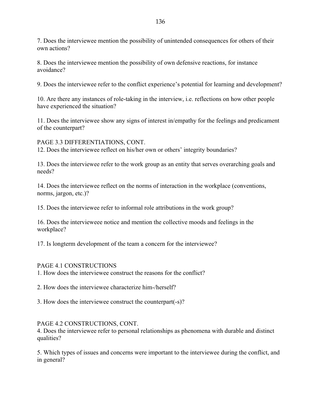7. Does the interviewee mention the possibility of unintended consequences for others of their own actions?

8. Does the interviewee mention the possibility of own defensive reactions, for instance avoidance?

9. Does the interviewee refer to the conflict experience's potential for learning and development?

10. Are there any instances of role-taking in the interview, i.e. reflections on how other people have experienced the situation?

11. Does the interviewee show any signs of interest in/empathy for the feelings and predicament of the counterpart?

PAGE 3.3 DIFFERENTIATIONS, CONT. 12. Does the interviewee reflect on his/her own or others' integrity boundaries?

13. Does the interviewee refer to the work group as an entity that serves overarching goals and needs?

14. Does the interviewee reflect on the norms of interaction in the workplace (conventions, norms, jargon, etc.)?

15. Does the interviewee refer to informal role attributions in the work group?

16. Does the intervieweee notice and mention the collective moods and feelings in the workplace?

17. Is longterm development of the team a concern for the interviewee?

# PAGE 4.1 CONSTRUCTIONS

1. How does the interviewee construct the reasons for the conflict?

2. How does the interviewee characterize him-/herself?

3. How does the interviewee construct the counterpart(-s)?

# PAGE 4.2 CONSTRUCTIONS, CONT.

4. Does the interviewee refer to personal relationships as phenomena with durable and distinct qualities?

5. Which types of issues and concerns were important to the interviewee during the conflict, and in general?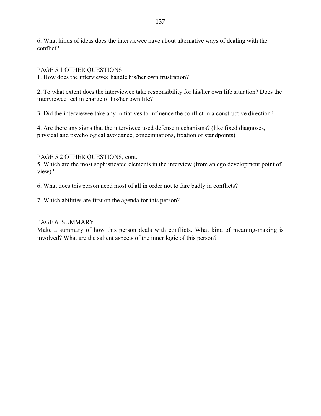6. What kinds of ideas does the interviewee have about alternative ways of dealing with the conflict?

PAGE 5.1 OTHER QUESTIONS

1. How does the interviewee handle his/her own frustration?

2. To what extent does the interviewee take responsibility for his/her own life situation? Does the interviewee feel in charge of his/her own life?

3. Did the interviewee take any initiatives to influence the conflict in a constructive direction?

4. Are there any signs that the interviwee used defense mechanisms? (like fixed diagnoses, physical and psychological avoidance, condemnations, fixation of standpoints)

### PAGE 5.2 OTHER QUESTIONS, cont.

5. Which are the most sophisticated elements in the interview (from an ego development point of view)?

6. What does this person need most of all in order not to fare badly in conflicts?

7. Which abilities are first on the agenda for this person?

### PAGE 6: SUMMARY

Make a summary of how this person deals with conflicts. What kind of meaning-making is involved? What are the salient aspects of the inner logic of this person?